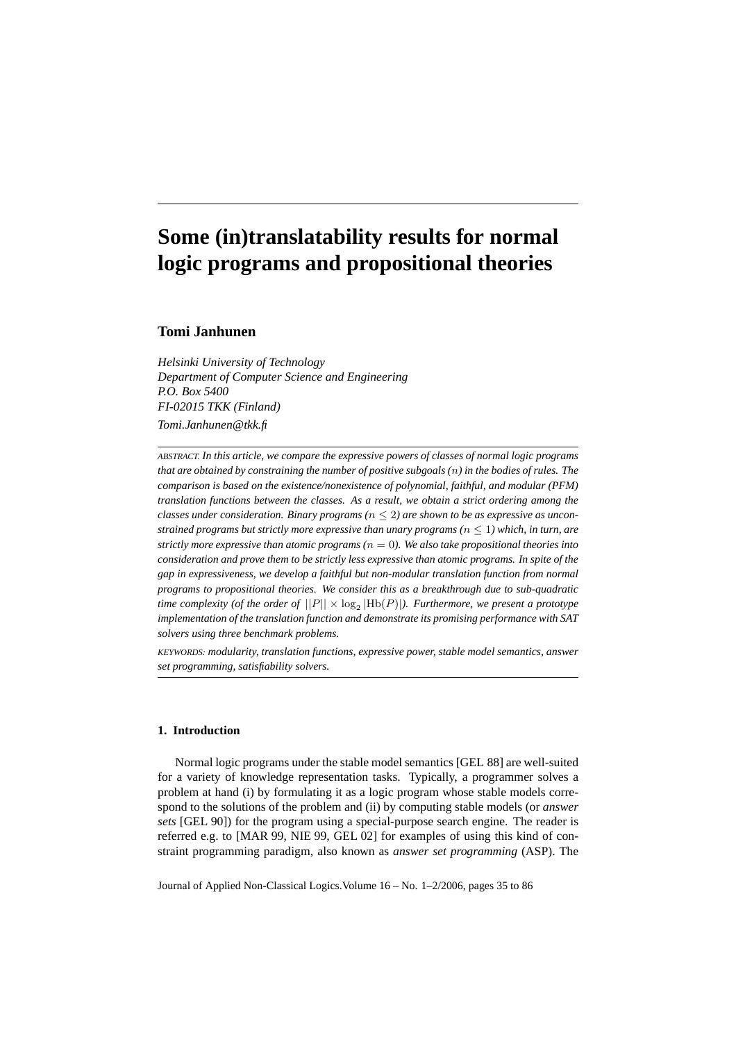# **Some (in)translatability results for normal logic programs and propositional theories**

# **Tomi Janhunen**

*Helsinki University of Technology Department of Computer Science and Engineering P.O. Box 5400 FI-02015 TKK (Finland) Tomi.Janhunen@tkk.fi*

*ABSTRACT. In this article, we compare the expressive powers of classes of normal logic programs that are obtained by constraining the number of positive subgoals (*n*) in the bodies of rules. The comparison is based on the existence/nonexistence of polynomial, faithful, and modular (PFM) translation functions between the classes. As a result, we obtain a strict ordering among the classes under consideration. Binary programs*  $(n \leq 2)$  *are shown to be as expressive as unconstrained programs but strictly more expressive than unary programs (* $n \leq 1$ *) which, in turn, are strictly more expressive than atomic programs (*n = 0*). We also take propositional theories into consideration and prove them to be strictly less expressive than atomic programs. In spite of the gap in expressiveness, we develop a faithful but non-modular translation function from normal programs to propositional theories. We consider this as a breakthrough due to sub-quadratic* time complexity (of the order of  $||P|| \times \log_2|\text{Hb}(P)|$ ). Furthermore, we present a prototype *implementation of the translation function and demonstrate its promising performance with SAT solvers using three benchmark problems.*

*KEYWORDS: modularity, translation functions, expressive power, stable model semantics, answer set programming, satisfiability solvers.*

# **1. Introduction**

Normal logic programs under the stable model semantics [GEL 88] are well-suited for a variety of knowledge representation tasks. Typically, a programmer solves a problem at hand (i) by formulating it as a logic program whose stable models correspond to the solutions of the problem and (ii) by computing stable models (or *answer sets* [GEL 90]) for the program using a special-purpose search engine. The reader is referred e.g. to [MAR 99, NIE 99, GEL 02] for examples of using this kind of constraint programming paradigm, also known as *answer set programming* (ASP). The

Journal of Applied Non-Classical Logics.Volume 16 – No. 1–2/2006, pages 35 to 86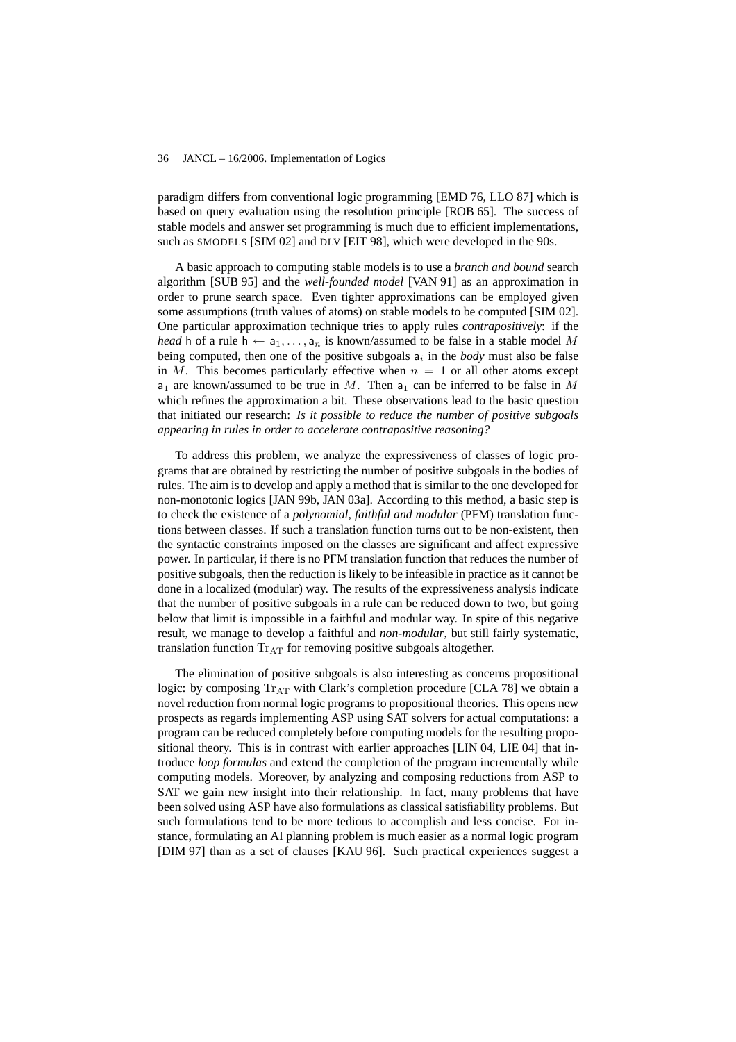paradigm differs from conventional logic programming [EMD 76, LLO 87] which is based on query evaluation using the resolution principle [ROB 65]. The success of stable models and answer set programming is much due to efficient implementations, such as SMODELS [SIM 02] and DLV [EIT 98], which were developed in the 90s.

A basic approach to computing stable models is to use a *branch and bound* search algorithm [SUB 95] and the *well-founded model* [VAN 91] as an approximation in order to prune search space. Even tighter approximations can be employed given some assumptions (truth values of atoms) on stable models to be computed [SIM 02]. One particular approximation technique tries to apply rules *contrapositively*: if the *head* h of a rule h  $\leftarrow$  a<sub>1</sub>, ..., a<sub>n</sub> is known/assumed to be false in a stable model M being computed, then one of the positive subgoals  $a_i$  in the *body* must also be false in M. This becomes particularly effective when  $n = 1$  or all other atoms except  $a_1$  are known/assumed to be true in M. Then  $a_1$  can be inferred to be false in M which refines the approximation a bit. These observations lead to the basic question that initiated our research: *Is it possible to reduce the number of positive subgoals appearing in rules in order to accelerate contrapositive reasoning?*

To address this problem, we analyze the expressiveness of classes of logic programs that are obtained by restricting the number of positive subgoals in the bodies of rules. The aim is to develop and apply a method that is similar to the one developed for non-monotonic logics [JAN 99b, JAN 03a]. According to this method, a basic step is to check the existence of a *polynomial, faithful and modular* (PFM) translation functions between classes. If such a translation function turns out to be non-existent, then the syntactic constraints imposed on the classes are significant and affect expressive power. In particular, if there is no PFM translation function that reduces the number of positive subgoals, then the reduction is likely to be infeasible in practice as it cannot be done in a localized (modular) way. The results of the expressiveness analysis indicate that the number of positive subgoals in a rule can be reduced down to two, but going below that limit is impossible in a faithful and modular way. In spite of this negative result, we manage to develop a faithful and *non-modular*, but still fairly systematic, translation function  $Tr_{AT}$  for removing positive subgoals altogether.

The elimination of positive subgoals is also interesting as concerns propositional logic: by composing  $Tr_{AT}$  with Clark's completion procedure [CLA 78] we obtain a novel reduction from normal logic programs to propositional theories. This opens new prospects as regards implementing ASP using SAT solvers for actual computations: a program can be reduced completely before computing models for the resulting propositional theory. This is in contrast with earlier approaches [LIN 04, LIE 04] that introduce *loop formulas* and extend the completion of the program incrementally while computing models. Moreover, by analyzing and composing reductions from ASP to SAT we gain new insight into their relationship. In fact, many problems that have been solved using ASP have also formulations as classical satisfiability problems. But such formulations tend to be more tedious to accomplish and less concise. For instance, formulating an AI planning problem is much easier as a normal logic program [DIM 97] than as a set of clauses [KAU 96]. Such practical experiences suggest a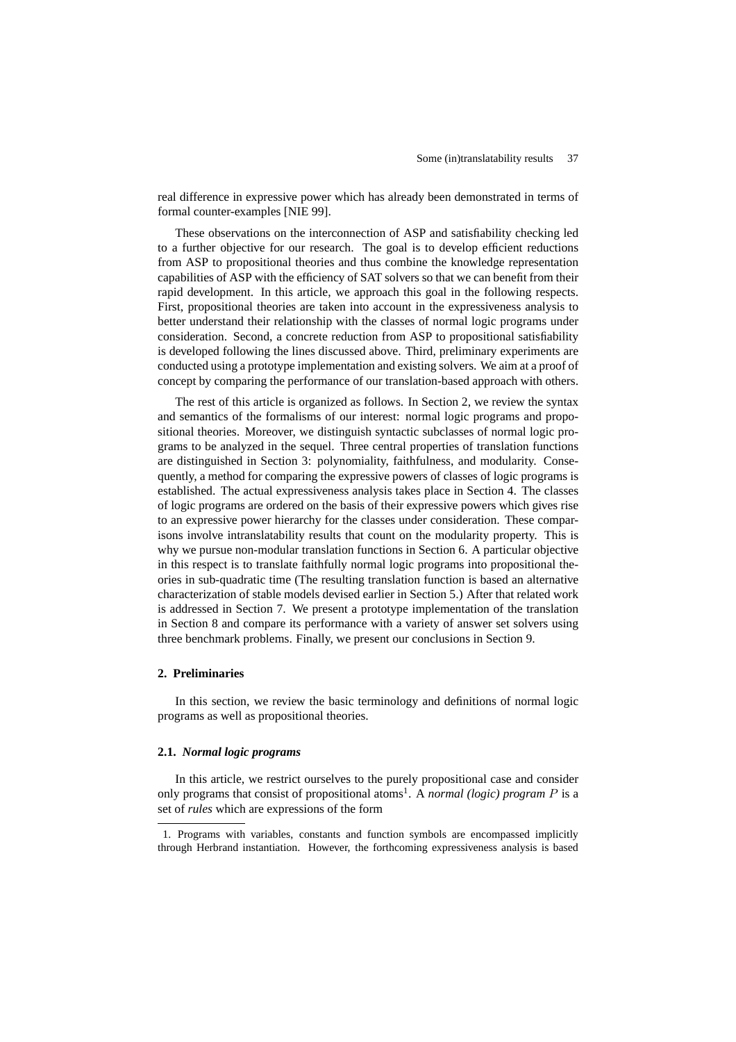real difference in expressive power which has already been demonstrated in terms of formal counter-examples [NIE 99].

These observations on the interconnection of ASP and satisfiability checking led to a further objective for our research. The goal is to develop efficient reductions from ASP to propositional theories and thus combine the knowledge representation capabilities of ASP with the efficiency of SAT solvers so that we can benefit from their rapid development. In this article, we approach this goal in the following respects. First, propositional theories are taken into account in the expressiveness analysis to better understand their relationship with the classes of normal logic programs under consideration. Second, a concrete reduction from ASP to propositional satisfiability is developed following the lines discussed above. Third, preliminary experiments are conducted using a prototype implementation and existing solvers. We aim at a proof of concept by comparing the performance of our translation-based approach with others.

The rest of this article is organized as follows. In Section 2, we review the syntax and semantics of the formalisms of our interest: normal logic programs and propositional theories. Moreover, we distinguish syntactic subclasses of normal logic programs to be analyzed in the sequel. Three central properties of translation functions are distinguished in Section 3: polynomiality, faithfulness, and modularity. Consequently, a method for comparing the expressive powers of classes of logic programs is established. The actual expressiveness analysis takes place in Section 4. The classes of logic programs are ordered on the basis of their expressive powers which gives rise to an expressive power hierarchy for the classes under consideration. These comparisons involve intranslatability results that count on the modularity property. This is why we pursue non-modular translation functions in Section 6. A particular objective in this respect is to translate faithfully normal logic programs into propositional theories in sub-quadratic time (The resulting translation function is based an alternative characterization of stable models devised earlier in Section 5.) After that related work is addressed in Section 7. We present a prototype implementation of the translation in Section 8 and compare its performance with a variety of answer set solvers using three benchmark problems. Finally, we present our conclusions in Section 9.

### **2. Preliminaries**

In this section, we review the basic terminology and definitions of normal logic programs as well as propositional theories.

# **2.1.** *Normal logic programs*

In this article, we restrict ourselves to the purely propositional case and consider only programs that consist of propositional atoms<sup>1</sup>. A *normal (logic) program P* is a set of *rules* which are expressions of the form

<sup>1.</sup> Programs with variables, constants and function symbols are encompassed implicitly through Herbrand instantiation. However, the forthcoming expressiveness analysis is based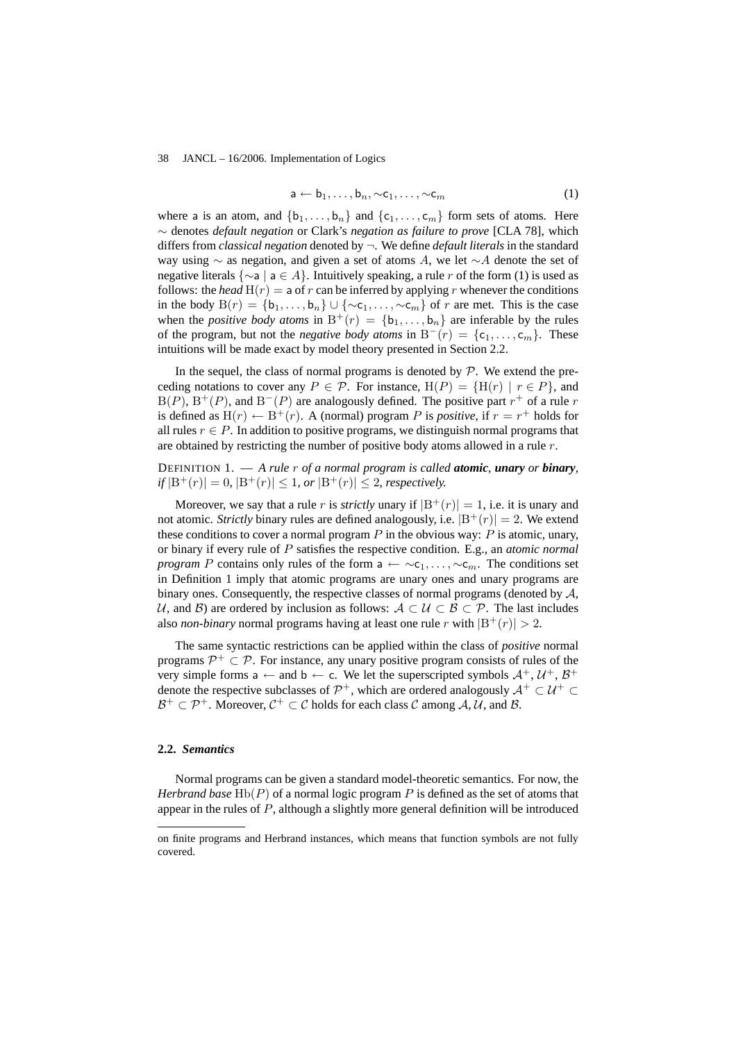$$
\mathsf{a} \leftarrow \mathsf{b}_1, \dots, \mathsf{b}_n, \sim \mathsf{c}_1, \dots, \sim \mathsf{c}_m \tag{1}
$$

where a is an atom, and  $\{b_1, \ldots, b_n\}$  and  $\{c_1, \ldots, c_m\}$  form sets of atoms. Here ∼ denotes *default negation* or Clark's *negation as failure to prove* [CLA 78], which differs from *classical negation* denoted by ¬. We define *default literals* in the standard way using  $\sim$  as negation, and given a set of atoms A, we let  $\sim$ A denote the set of negative literals  $\{\sim a \mid a \in A\}$ . Intuitively speaking, a rule r of the form (1) is used as follows: the *head*  $H(r) = a$  of r can be inferred by applying r whenever the conditions in the body  $B(r) = \{b_1, \ldots, b_n\} \cup \{\sim c_1, \ldots, \sim c_m\}$  of r are met. This is the case when the *positive body atoms* in  $B^+(r) = \{b_1, \ldots, b_n\}$  are inferable by the rules of the program, but not the *negative body atoms* in  $B^-(r) = \{c_1, \ldots, c_m\}$ . These intuitions will be made exact by model theory presented in Section 2.2.

In the sequel, the class of normal programs is denoted by  $P$ . We extend the preceding notations to cover any  $P \in \mathcal{P}$ . For instance,  $H(P) = {H(r) | r \in P}$ , and  $B(P)$ ,  $B^+(P)$ , and  $B^-(P)$  are analogously defined. The positive part  $r^+$  of a rule r is defined as  $H(r) \leftarrow B^+(r)$ . A (normal) program P is *positive*, if  $r = r^+$  holds for all rules  $r \in P$ . In addition to positive programs, we distinguish normal programs that are obtained by restricting the number of positive body atoms allowed in a rule r.

DEFINITION 1. — *A rule* r *of a normal program is called atomic, unary or binary,*  $if |B^+(r)| = 0, |B^+(r)| \le 1, or |B^+(r)| \le 2, respectively.$ 

Moreover, we say that a rule r is *strictly* unary if  $|B^+(r)| = 1$ , i.e. it is unary and not atomic. *Strictly* binary rules are defined analogously, i.e.  $|B^+(r)| = 2$ . We extend these conditions to cover a normal program  $P$  in the obvious way:  $P$  is atomic, unary, or binary if every rule of P satisfies the respective condition. E.g., an *atomic normal program* P contains only rules of the form  $a \leftarrow \neg c_1, \dots, \neg c_m$ . The conditions set in Definition 1 imply that atomic programs are unary ones and unary programs are binary ones. Consequently, the respective classes of normal programs (denoted by  $A$ , U, and B) are ordered by inclusion as follows:  $A \subset U \subset B \subset \mathcal{P}$ . The last includes also *non-binary* normal programs having at least one rule r with  $|B^+(r)| > 2$ .

The same syntactic restrictions can be applied within the class of *positive* normal programs  $\mathcal{P}^+ \subset \mathcal{P}$ . For instance, any unary positive program consists of rules of the very simple forms a  $\leftarrow$  and b  $\leftarrow$  c. We let the superscripted symbols  $\mathcal{A}^+$ ,  $\mathcal{U}^+$ ,  $\mathcal{B}^+$ denote the respective subclasses of  $\mathcal{P}^+$ , which are ordered analogously  $\mathcal{A}^+ \subset \mathcal{U}^+ \subset$  $\mathcal{B}^+\subset\mathcal{P}^+$ . Moreover,  $\mathcal{C}^+\subset\mathcal{C}$  holds for each class  $\mathcal C$  among  $\mathcal A,\mathcal U,$  and  $\mathcal B.$ 

# **2.2.** *Semantics*

Normal programs can be given a standard model-theoretic semantics. For now, the *Herbrand base* Hb(P) of a normal logic program P is defined as the set of atoms that appear in the rules of  $P$ , although a slightly more general definition will be introduced

on finite programs and Herbrand instances, which means that function symbols are not fully covered.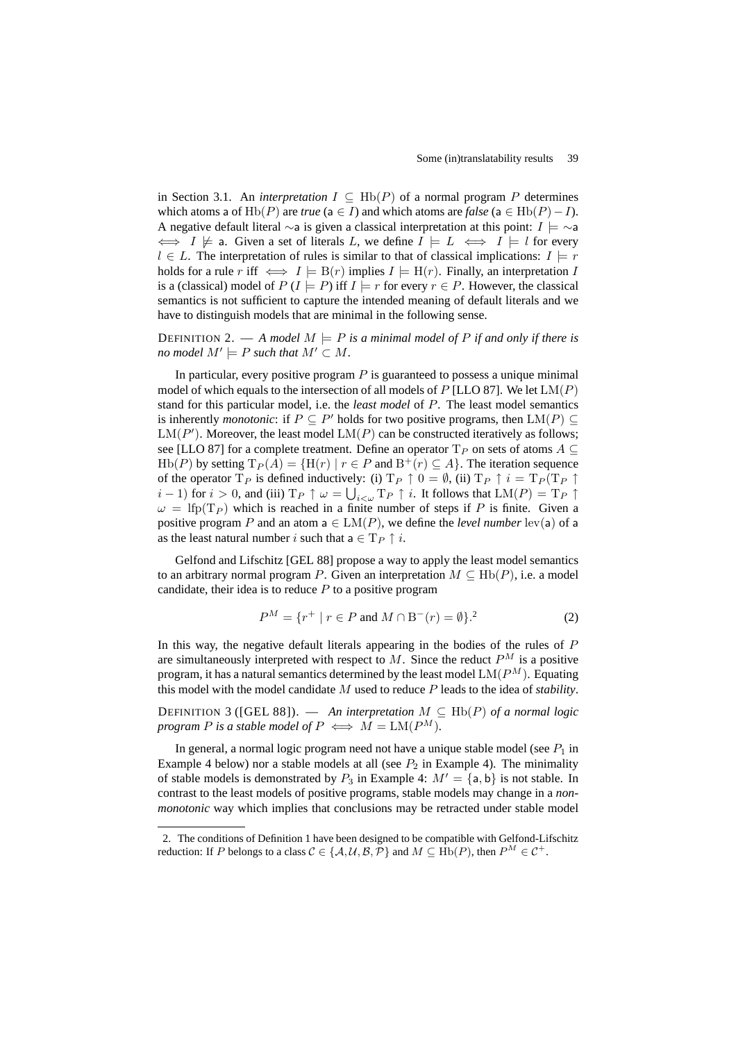in Section 3.1. An *interpretation*  $I \subseteq \text{Hb}(P)$  of a normal program P determines which atoms a of Hb(P) are *true* (a ∈ I) and which atoms are *false* (a ∈ Hb(P) – I). A negative default literal  $\sim$ a is given a classical interpretation at this point:  $I \models \sim$ a  $\iff I \not\models$  a. Given a set of literals L, we define  $I \models L \iff I \models l$  for every  $l \in L$ . The interpretation of rules is similar to that of classical implications:  $I \models r$ holds for a rule r iff  $\iff I \models B(r)$  implies  $I \models H(r)$ . Finally, an interpretation I is a (classical) model of  $P(I \models P)$  iff  $I \models r$  for every  $r \in P$ . However, the classical semantics is not sufficient to capture the intended meaning of default literals and we have to distinguish models that are minimal in the following sense.

DEFINITION 2. — A model  $M \models P$  is a minimal model of P if and only if there is *no model*  $M' \models P$  *such that*  $M' \subset M$ *.* 

In particular, every positive program  $P$  is guaranteed to possess a unique minimal model of which equals to the intersection of all models of P [LLO 87]. We let  $LM(P)$ stand for this particular model, i.e. the *least model* of P. The least model semantics is inherently *monotonic*: if  $P \subseteq P'$  holds for two positive programs, then  $LM(P) \subseteq$  $LM(P')$ . Moreover, the least model  $LM(P)$  can be constructed iteratively as follows; see [LLO 87] for a complete treatment. Define an operator  $T_P$  on sets of atoms  $A \subseteq$  $\text{Hb}(P)$  by setting  $\text{T}_P(A) = \{ \text{H}(r) \mid r \in P \text{ and } \text{B}^+(r) \subseteq A \}.$  The iteration sequence of the operator  $T_P$  is defined inductively: (i)  $T_P \uparrow 0 = \emptyset$ , (ii)  $T_P \uparrow i = T_P (T_P \uparrow i)$ *i* − 1) for *i* > 0, and (iii)  $T_P \uparrow \omega = \bigcup_{i < \omega} T_P \uparrow i$ . It follows that  $LM(P) = T_P \uparrow$  $\omega =$  lfp(T<sub>P</sub>) which is reached in a finite number of steps if P is finite. Given a positive program P and an atom  $a \in LM(P)$ , we define the *level number* lev(a) of a as the least natural number i such that  $a \in T_P \uparrow i$ .

Gelfond and Lifschitz [GEL 88] propose a way to apply the least model semantics to an arbitrary normal program P. Given an interpretation  $M \subseteq \text{Hb}(P)$ , i.e. a model candidate, their idea is to reduce  $P$  to a positive program

$$
P^{M} = \{r^{+} \mid r \in P \text{ and } M \cap B^{-}(r) = \emptyset\}.^{2}
$$
 (2)

In this way, the negative default literals appearing in the bodies of the rules of  $P$ are simultaneously interpreted with respect to M. Since the reduct  $P^M$  is a positive program, it has a natural semantics determined by the least model  $LM(P^M)$ . Equating this model with the model candidate M used to reduce P leads to the idea of *stability*.

DEFINITION 3 ( $[GEL 88]$ ). — An interpretation  $M \subseteq \text{Hb}(P)$  of a normal logic *program* P *is a stable model of*  $P \iff M = LM(P^M)$ *.* 

In general, a normal logic program need not have a unique stable model (see  $P_1$  in Example 4 below) nor a stable models at all (see  $P_2$  in Example 4). The minimality of stable models is demonstrated by  $P_3$  in Example 4:  $M' = \{a, b\}$  is not stable. In contrast to the least models of positive programs, stable models may change in a *nonmonotonic* way which implies that conclusions may be retracted under stable model

<sup>2.</sup> The conditions of Definition 1 have been designed to be compatible with Gelfond-Lifschitz reduction: If P belongs to a class  $C \in \{A, U, B, P\}$  and  $M \subseteq \text{Hb}(P)$ , then  $P^M \in \mathcal{C}^+$ .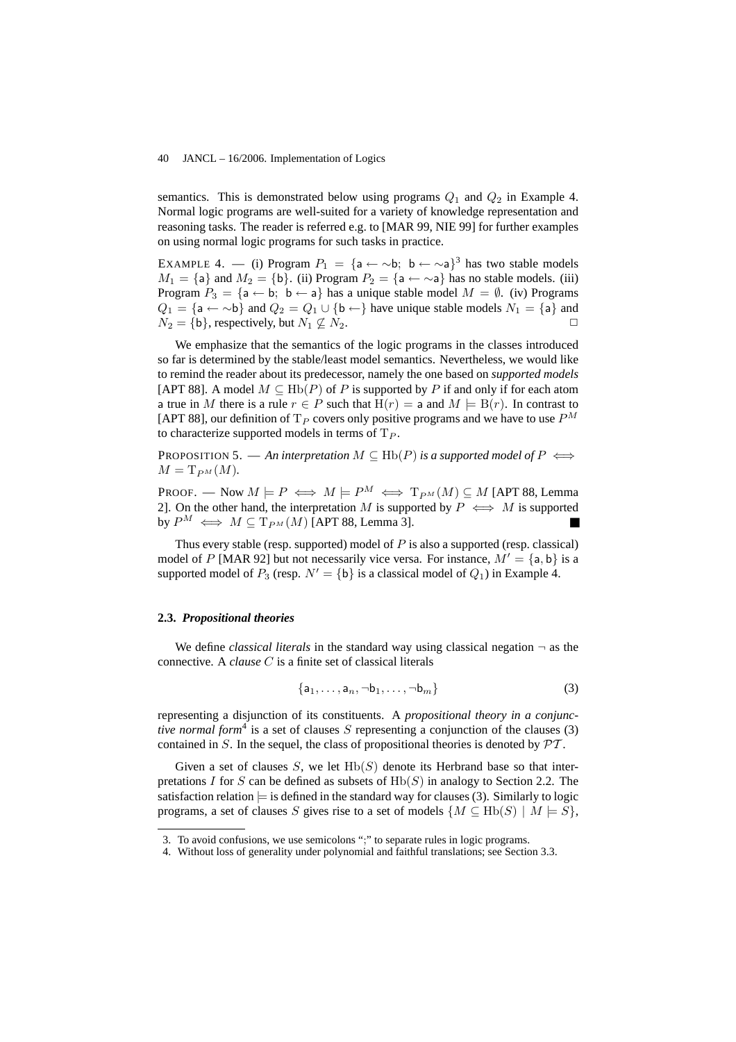semantics. This is demonstrated below using programs  $Q_1$  and  $Q_2$  in Example 4. Normal logic programs are well-suited for a variety of knowledge representation and reasoning tasks. The reader is referred e.g. to [MAR 99, NIE 99] for further examples on using normal logic programs for such tasks in practice.

EXAMPLE 4. — (i) Program  $P_1 = \{a \leftarrow \sim b; \ b \leftarrow \sim a\}^3$  has two stable models  $M_1 = \{a\}$  and  $M_2 = \{b\}$ . (ii) Program  $P_2 = \{a \leftarrow \sim a\}$  has no stable models. (iii) Program  $P_3 = \{a \leftarrow b; b \leftarrow a\}$  has a unique stable model  $M = \emptyset$ . (iv) Programs  $Q_1 = \{a \leftarrow \neg b\}$  and  $Q_2 = Q_1 \cup \{b \leftarrow\}$  have unique stable models  $N_1 = \{a\}$  and  $N_2 = \{b\}$ , respectively, but  $N_1 \nsubseteq N_2$ .

We emphasize that the semantics of the logic programs in the classes introduced so far is determined by the stable/least model semantics. Nevertheless, we would like to remind the reader about its predecessor, namely the one based on *supported models* [APT 88]. A model  $M \subseteq \text{Hb}(P)$  of P is supported by P if and only if for each atom a true in M there is a rule  $r \in P$  such that  $H(r) = a$  and  $M \models B(r)$ . In contrast to [APT 88], our definition of T<sub>P</sub> covers only positive programs and we have to use  $P^M$ to characterize supported models in terms of  $T_P$ .

PROPOSITION 5. — An interpretation  $M \subseteq \text{Hb}(P)$  is a supported model of  $P \iff$  $M = T_{PM}(M)$ .

PROOF. — Now  $M \models P \iff M \models P^M \iff T_{P^M}(M) \subseteq M$  [APT 88, Lemma 2]. On the other hand, the interpretation M is supported by  $P \iff M$  is supported by  $P^M \iff M \subseteq T_{P^M}(M)$  [APT 88, Lemma 3].

Thus every stable (resp. supported) model of  $P$  is also a supported (resp. classical) model of P [MAR 92] but not necessarily vice versa. For instance,  $M' = \{a, b\}$  is a supported model of  $P_3$  (resp.  $N' = {\{b\}}$  is a classical model of  $Q_1$ ) in Example 4.

# **2.3.** *Propositional theories*

We define *classical literals* in the standard way using classical negation  $\neg$  as the connective. A *clause* C is a finite set of classical literals

$$
\{a_1,\ldots,a_n,\neg b_1,\ldots,\neg b_m\}\tag{3}
$$

representing a disjunction of its constituents. A *propositional theory in a conjunctive normal form*<sup>4</sup> is a set of clauses  $S$  representing a conjunction of the clauses (3) contained in  $S$ . In the sequel, the class of propositional theories is denoted by  $\mathcal{PT}$ .

Given a set of clauses S, we let  $Hb(S)$  denote its Herbrand base so that interpretations I for S can be defined as subsets of  $Hb(S)$  in analogy to Section 2.2. The satisfaction relation  $\models$  is defined in the standard way for clauses (3). Similarly to logic programs, a set of clauses S gives rise to a set of models  $\{M \subseteq \text{Hb}(S) \mid M \models S\}$ ,

<sup>3.</sup> To avoid confusions, we use semicolons ";" to separate rules in logic programs.

<sup>4.</sup> Without loss of generality under polynomial and faithful translations; see Section 3.3.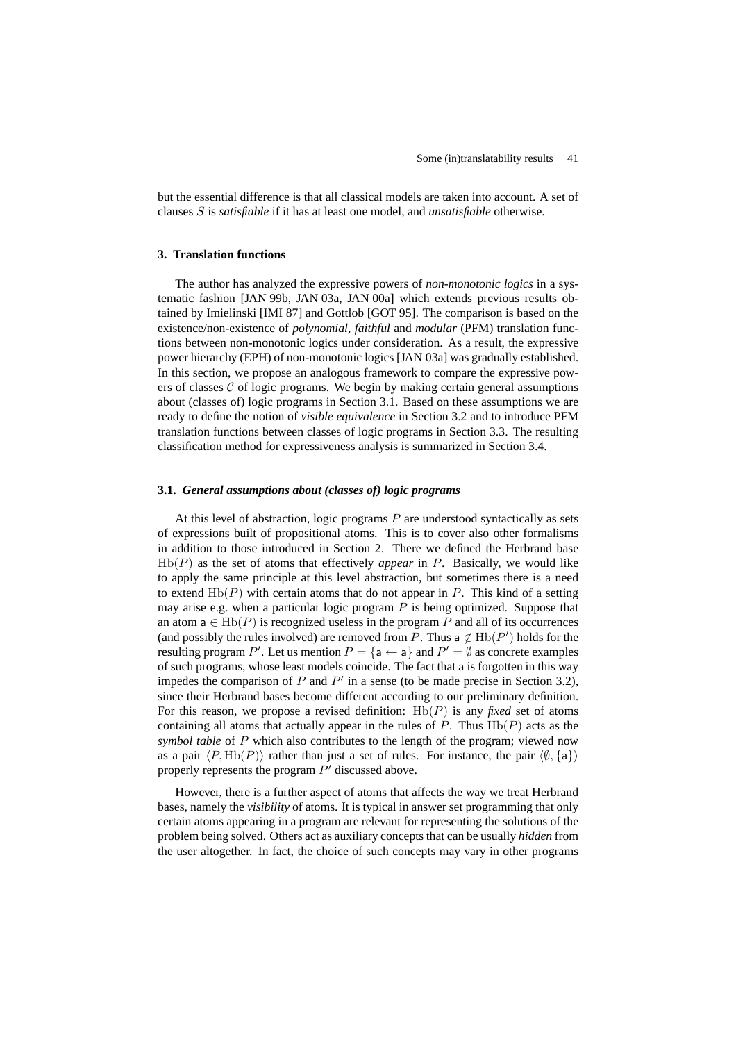but the essential difference is that all classical models are taken into account. A set of clauses S is *satisfiable* if it has at least one model, and *unsatisfiable* otherwise.

# **3. Translation functions**

The author has analyzed the expressive powers of *non-monotonic logics* in a systematic fashion [JAN 99b, JAN 03a, JAN 00a] which extends previous results obtained by Imielinski [IMI 87] and Gottlob [GOT 95]. The comparison is based on the existence/non-existence of *polynomial*, *faithful* and *modular* (PFM) translation functions between non-monotonic logics under consideration. As a result, the expressive power hierarchy (EPH) of non-monotonic logics [JAN 03a] was gradually established. In this section, we propose an analogous framework to compare the expressive powers of classes  $\mathcal C$  of logic programs. We begin by making certain general assumptions about (classes of) logic programs in Section 3.1. Based on these assumptions we are ready to define the notion of *visible equivalence* in Section 3.2 and to introduce PFM translation functions between classes of logic programs in Section 3.3. The resulting classification method for expressiveness analysis is summarized in Section 3.4.

# **3.1.** *General assumptions about (classes of) logic programs*

At this level of abstraction, logic programs  $P$  are understood syntactically as sets of expressions built of propositional atoms. This is to cover also other formalisms in addition to those introduced in Section 2. There we defined the Herbrand base  $Hb(P)$  as the set of atoms that effectively *appear* in P. Basically, we would like to apply the same principle at this level abstraction, but sometimes there is a need to extend  $Hb(P)$  with certain atoms that do not appear in  $P$ . This kind of a setting may arise e.g. when a particular logic program  $P$  is being optimized. Suppose that an atom  $a \in Hb(P)$  is recognized useless in the program P and all of its occurrences (and possibly the rules involved) are removed from P. Thus a  $\notin$  Hb( $P'$ ) holds for the resulting program P'. Let us mention  $P = \{a \leftarrow a\}$  and  $P' = \emptyset$  as concrete examples of such programs, whose least models coincide. The fact that a is forgotten in this way impedes the comparison of  $P$  and  $P'$  in a sense (to be made precise in Section 3.2), since their Herbrand bases become different according to our preliminary definition. For this reason, we propose a revised definition:  $Hb(P)$  is any *fixed* set of atoms containing all atoms that actually appear in the rules of  $P$ . Thus  $Hb(P)$  acts as the *symbol table* of P which also contributes to the length of the program; viewed now as a pair  $\langle P, Hb(P) \rangle$  rather than just a set of rules. For instance, the pair  $\langle \emptyset, \{a\} \rangle$ properly represents the program  $P'$  discussed above.

However, there is a further aspect of atoms that affects the way we treat Herbrand bases, namely the *visibility* of atoms. It is typical in answer set programming that only certain atoms appearing in a program are relevant for representing the solutions of the problem being solved. Others act as auxiliary concepts that can be usually *hidden* from the user altogether. In fact, the choice of such concepts may vary in other programs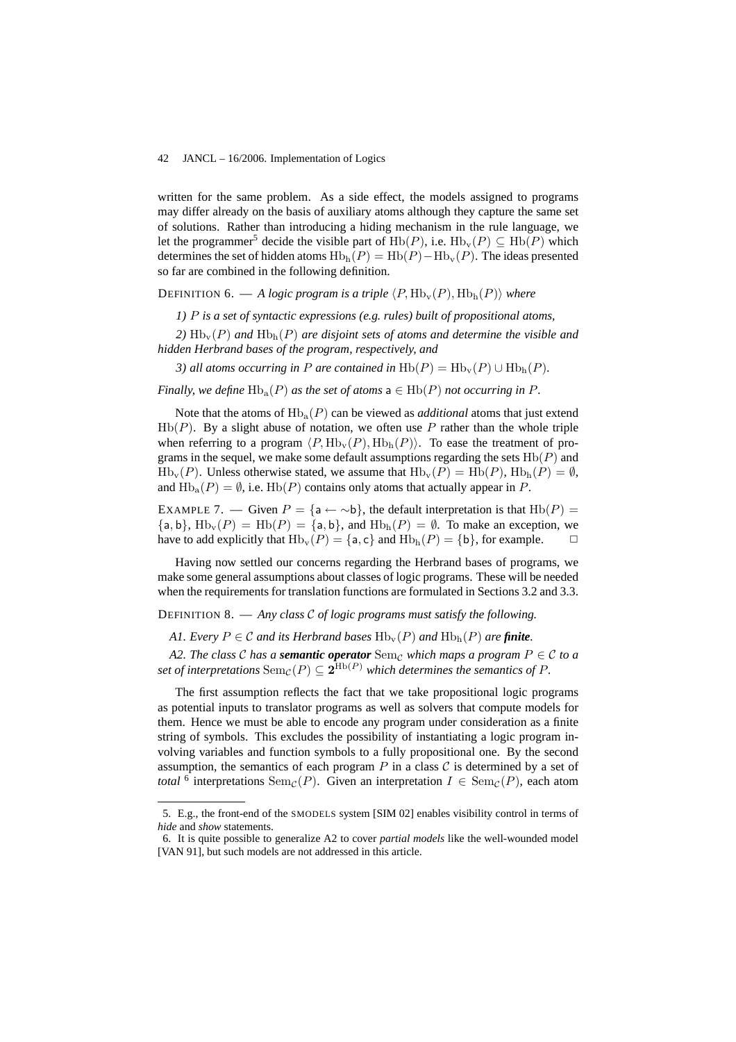written for the same problem. As a side effect, the models assigned to programs may differ already on the basis of auxiliary atoms although they capture the same set of solutions. Rather than introducing a hiding mechanism in the rule language, we let the programmer<sup>5</sup> decide the visible part of Hb(P), i.e.  $Hb_v(P) \subseteq Hb(P)$  which determines the set of hidden atoms  $Hb<sub>h</sub>(P) = Hb(P) - Hb<sub>v</sub>(P)$ . The ideas presented so far are combined in the following definition.

# **DEFINITION 6.** — A logic program is a triple  $\langle P, Hb_v(P), Hb_h(P) \rangle$  where

*1)* P *is a set of syntactic expressions (e.g. rules) built of propositional atoms,*

2)  $\text{Hb}_{\text{v}}(P)$  *and*  $\text{Hb}_{\text{h}}(P)$  *are disjoint sets of atoms and determine the visible and hidden Herbrand bases of the program, respectively, and*

*3) all atoms occurring in* P are contained in  $Hb(P) = Hb_v(P) \cup Hb_h(P)$ .

*Finally, we define*  $\text{Hb}_{a}(P)$  *as the set of atoms*  $a \in \text{Hb}(P)$  *not occurring in* P.

Note that the atoms of  $\text{Hb}_a(P)$  can be viewed as *additional* atoms that just extend  $Hb(P)$ . By a slight abuse of notation, we often use P rather than the whole triple when referring to a program  $\langle P, Hb_v(P), Hb_h(P)\rangle$ . To ease the treatment of programs in the sequel, we make some default assumptions regarding the sets  $Hb(P)$  and  $Hb_v(P)$ . Unless otherwise stated, we assume that  $Hb_v(P) = Hb(P)$ ,  $Hb_h(P) = \emptyset$ , and  $\text{Hb}_a(P) = \emptyset$ , i.e.  $\text{Hb}(P)$  contains only atoms that actually appear in P.

EXAMPLE 7. — Given  $P = \{a \leftarrow \neg b\}$ , the default interpretation is that  $Hb(P) =$  ${a, b}$ ,  $Hb_v(P) = Hb(P) = {a, b}$ , and  $Hb_h(P) = \emptyset$ . To make an exception, we have to add explicitly that  $\text{Hb}_v(P) = \{a, c\}$  and  $\text{Hb}_h(P) = \{b\}$ , for example.  $\Box$ 

Having now settled our concerns regarding the Herbrand bases of programs, we make some general assumptions about classes of logic programs. These will be needed when the requirements for translation functions are formulated in Sections 3.2 and 3.3.

# DEFINITION 8. — *Any class* C *of logic programs must satisfy the following.*

*A1. Every*  $P \in \mathcal{C}$  *and its Herbrand bases*  $Hb_v(P)$  *and*  $Hb_h(P)$  *are finite.* 

*A2. The class* C *has a semantic operator*  $\text{Sem}_{\mathcal{C}}$  *which maps a program*  $P \in \mathcal{C}$  *to a* set of interpretations  ${\rm Sem}_\mathcal{C}(P)\subseteq\mathbf{2}^{\operatorname{Hb}(P)}$  which determines the semantics of  $P.$ 

The first assumption reflects the fact that we take propositional logic programs as potential inputs to translator programs as well as solvers that compute models for them. Hence we must be able to encode any program under consideration as a finite string of symbols. This excludes the possibility of instantiating a logic program involving variables and function symbols to a fully propositional one. By the second assumption, the semantics of each program  $P$  in a class  $\mathcal C$  is determined by a set of *total* <sup>6</sup> interpretations Sem<sub>C</sub>(P). Given an interpretation  $I \in \text{Sem}_\mathcal{C}(P)$ , each atom

<sup>5.</sup> E.g., the front-end of the SMODELS system [SIM 02] enables visibility control in terms of *hide* and *show* statements.

<sup>6.</sup> It is quite possible to generalize A2 to cover *partial models* like the well-wounded model [VAN 91], but such models are not addressed in this article.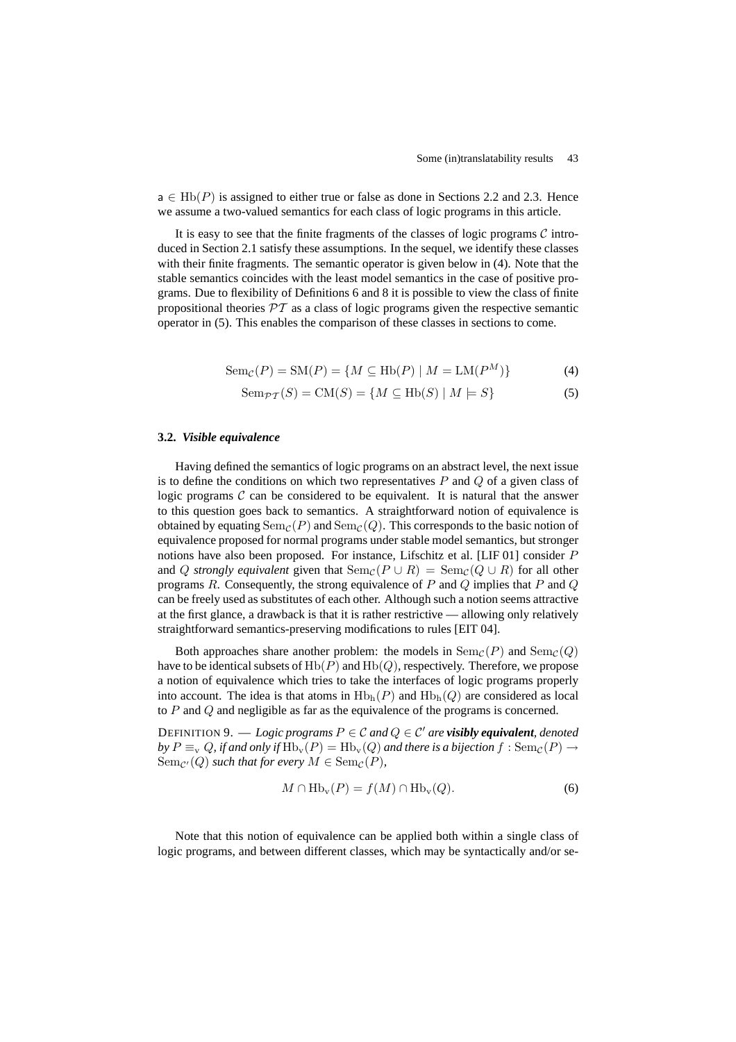$a \in \text{Hb}(P)$  is assigned to either true or false as done in Sections 2.2 and 2.3. Hence we assume a two-valued semantics for each class of logic programs in this article.

It is easy to see that the finite fragments of the classes of logic programs  $\mathcal C$  introduced in Section 2.1 satisfy these assumptions. In the sequel, we identify these classes with their finite fragments. The semantic operator is given below in (4). Note that the stable semantics coincides with the least model semantics in the case of positive programs. Due to flexibility of Definitions 6 and 8 it is possible to view the class of finite propositional theories  $\mathcal{PT}$  as a class of logic programs given the respective semantic operator in (5). This enables the comparison of these classes in sections to come.

$$
Sem_{\mathcal{C}}(P) = SM(P) = \{ M \subseteq Hb(P) \mid M = LM(P^M) \}
$$
 (4)

$$
Sem_{\mathcal{PT}}(S) = CM(S) = \{ M \subseteq Hb(S) \mid M \models S \}
$$
 (5)

# **3.2.** *Visible equivalence*

Having defined the semantics of logic programs on an abstract level, the next issue is to define the conditions on which two representatives  $P$  and  $Q$  of a given class of logic programs  $\mathcal C$  can be considered to be equivalent. It is natural that the answer to this question goes back to semantics. A straightforward notion of equivalence is obtained by equating  $Sem_{\mathcal{C}}(P)$  and  $Sem_{\mathcal{C}}(Q)$ . This corresponds to the basic notion of equivalence proposed for normal programs under stable model semantics, but stronger notions have also been proposed. For instance, Lifschitz et al. [LIF 01] consider P and Q *strongly equivalent* given that  $\text{Sem}_{\mathcal{C}}(P \cup R) = \text{Sem}_{\mathcal{C}}(Q \cup R)$  for all other programs  $R$ . Consequently, the strong equivalence of  $P$  and  $Q$  implies that  $P$  and  $Q$ can be freely used as substitutes of each other. Although such a notion seems attractive at the first glance, a drawback is that it is rather restrictive — allowing only relatively straightforward semantics-preserving modifications to rules [EIT 04].

Both approaches share another problem: the models in  $Sem_{\mathcal{C}}(P)$  and  $Sem_{\mathcal{C}}(Q)$ have to be identical subsets of  $\text{Hb}(P)$  and  $\text{Hb}(Q)$ , respectively. Therefore, we propose a notion of equivalence which tries to take the interfaces of logic programs properly into account. The idea is that atoms in  $Hb<sub>h</sub>(P)$  and  $Hb<sub>h</sub>(Q)$  are considered as local to P and Q and negligible as far as the equivalence of the programs is concerned.

DEFINITION 9. — *Logic programs*  $P \in \mathcal{C}$  *and*  $Q \in \mathcal{C}'$  *are visibly equivalent, denoted by*  $P \equiv_v Q$ , *if and only if*  $Hb_v(P) = Hb_v(Q)$  *and there is a bijection*  $f : Sem_{\mathcal{C}}(P) \rightarrow$  $\text{Sem}_{\mathcal{C}'}(Q)$  *such that for every*  $M \in \text{Sem}_{\mathcal{C}}(P)$ *,* 

$$
M \cap \text{Hb}_{\text{v}}(P) = f(M) \cap \text{Hb}_{\text{v}}(Q). \tag{6}
$$

Note that this notion of equivalence can be applied both within a single class of logic programs, and between different classes, which may be syntactically and/or se-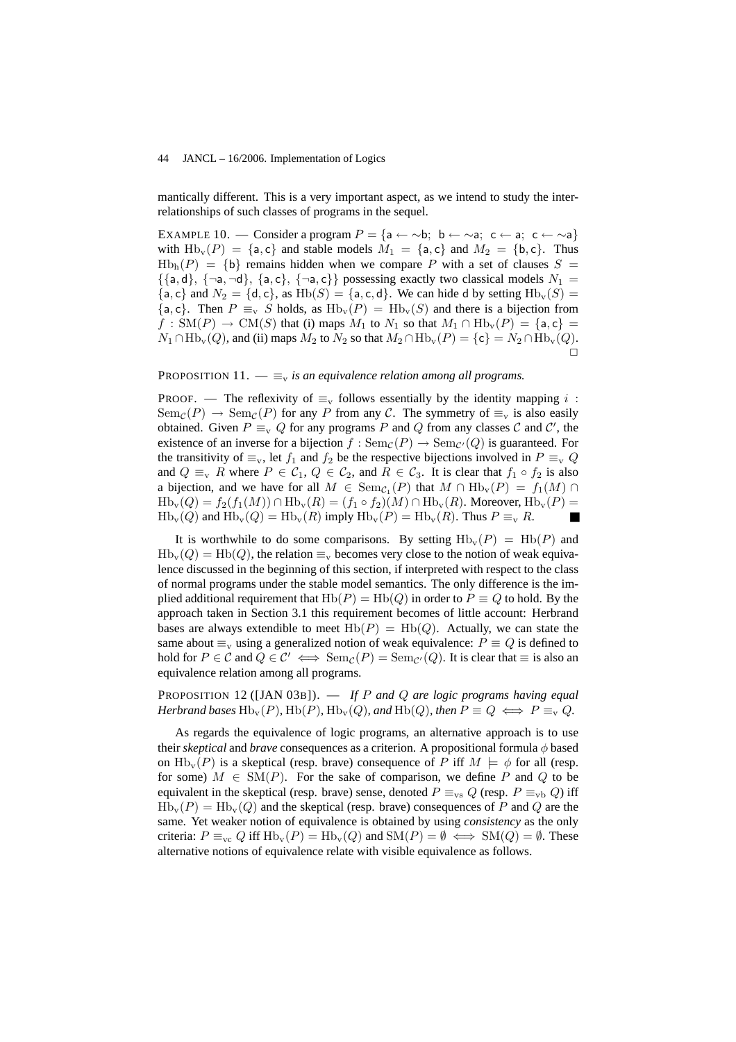mantically different. This is a very important aspect, as we intend to study the interrelationships of such classes of programs in the sequel.

EXAMPLE 10. — Consider a program  $P = \{a \leftarrow \sim b; \ b \leftarrow \sim a; \ c \leftarrow a; \ c \leftarrow \sim a\}$ with  $Hb_v(P) = \{a, c\}$  and stable models  $M_1 = \{a, c\}$  and  $M_2 = \{b, c\}$ . Thus  $Hb<sub>h</sub>(P) = {b}$  remains hidden when we compare P with a set of clauses  $S =$  $\{\{a, d\}, \{\neg a, \neg d\}, \{a, c\}, \{\neg a, c\}\}\$  possessing exactly two classical models  $N_1 =$  ${a, c}$  and  $N_2 = {d, c}$ , as  $Hb(S) = {a, c, d}$ . We can hide d by setting  $Hb<sub>v</sub>(S) =$  ${a, c}$ . Then  $P \equiv_v S$  holds, as  $Hb_v(P) = Hb_v(S)$  and there is a bijection from  $f : SM(P) \rightarrow CM(S)$  that (i) maps  $M_1$  to  $N_1$  so that  $M_1 \cap H_{\text{D}_V}(P) = \{a, c\}$  $N_1 \cap \text{Hb}_v(Q)$ , and (ii) maps  $M_2$  to  $N_2$  so that  $M_2 \cap \text{Hb}_v(P) = \{c\} = N_2 \cap \text{Hb}_v(Q)$ .  $\Box$ 

PROPOSITION 11.  $-\equiv_{v}$  *is an equivalence relation among all programs.* 

PROOF. — The reflexivity of  $\equiv_{\rm v}$  follows essentially by the identity mapping i:  $Sem_{\mathcal{C}}(P) \rightarrow Sem_{\mathcal{C}}(P)$  for any P from any C. The symmetry of  $\equiv_{\rm v}$  is also easily obtained. Given  $P \equiv_{\rm v} Q$  for any programs P and Q from any classes C and C', the existence of an inverse for a bijection  $f : \text{Sem}_{\mathcal{C}}(P) \to \text{Sem}_{\mathcal{C}'}(Q)$  is guaranteed. For the transitivity of  $\equiv_{\rm v}$ , let  $f_1$  and  $f_2$  be the respective bijections involved in  $P \equiv_{\rm v} Q$ and  $Q \equiv_{\rm v} R$  where  $P \in C_1$ ,  $Q \in C_2$ , and  $R \in C_3$ . It is clear that  $f_1 \circ f_2$  is also a bijection, and we have for all  $M \in \text{Sem}_{\mathcal{C}_1}(P)$  that  $M \cap \text{Hb}_v(P) = f_1(M) \cap$  $Hb_v(Q) = f_2(f_1(M)) \cap Hb_v(R) = (f_1 \circ f_2)(M) \cap Hb_v(R)$ . Moreover,  $Hb_v(P) =$  $Hb_v(Q)$  and  $Hb_v(Q) = Hb_v(R)$  imply  $Hb_v(P) = Hb_v(R)$ . Thus  $P \equiv_v R$ .

It is worthwhile to do some comparisons. By setting  $Hb_v(P) = Hb(P)$  and  $Hb_v(Q) = Hb(Q)$ , the relation  $\equiv_v$  becomes very close to the notion of weak equivalence discussed in the beginning of this section, if interpreted with respect to the class of normal programs under the stable model semantics. The only difference is the implied additional requirement that  $Hb(P) = Hb(Q)$  in order to  $P \equiv Q$  to hold. By the approach taken in Section 3.1 this requirement becomes of little account: Herbrand bases are always extendible to meet  $Hb(P) = Hb(Q)$ . Actually, we can state the same about  $\equiv_{\rm v}$  using a generalized notion of weak equivalence:  $P \equiv Q$  is defined to hold for  $P \in \mathcal{C}$  and  $Q \in \mathcal{C}' \iff \text{Sem}_{\mathcal{C}}(P) = \text{Sem}_{\mathcal{C}}(Q)$ . It is clear that  $\equiv$  is also an equivalence relation among all programs.

PROPOSITION 12 ([JAN 03B]). — *If* P *and* Q *are logic programs having equal Herbrand bases*  $\text{Hb}_v(P)$ *,*  $\text{Hb}(P)$ *,*  $\text{Hb}_v(Q)$ *, and*  $\text{Hb}(Q)$ *, then*  $P \equiv Q \iff P \equiv_v Q$ *.* 

As regards the equivalence of logic programs, an alternative approach is to use their *skeptical* and *brave* consequences as a criterion. A propositional formula φ based on  $Hb_v(P)$  is a skeptical (resp. brave) consequence of P iff  $M \models \phi$  for all (resp. for some)  $M \in SM(P)$ . For the sake of comparison, we define P and Q to be equivalent in the skeptical (resp. brave) sense, denoted  $P \equiv_{\text{vs}} Q$  (resp.  $P \equiv_{\text{vb}} Q$ ) iff  $Hb_v(P) = Hb_v(Q)$  and the skeptical (resp. brave) consequences of P and Q are the same. Yet weaker notion of equivalence is obtained by using *consistency* as the only criteria:  $P \equiv_{\text{vc}} Q$  iff  $\text{Hb}_{\text{v}}(P) = \text{Hb}_{\text{v}}(Q)$  and  $\text{SM}(P) = \emptyset \iff \text{SM}(Q) = \emptyset$ . These alternative notions of equivalence relate with visible equivalence as follows.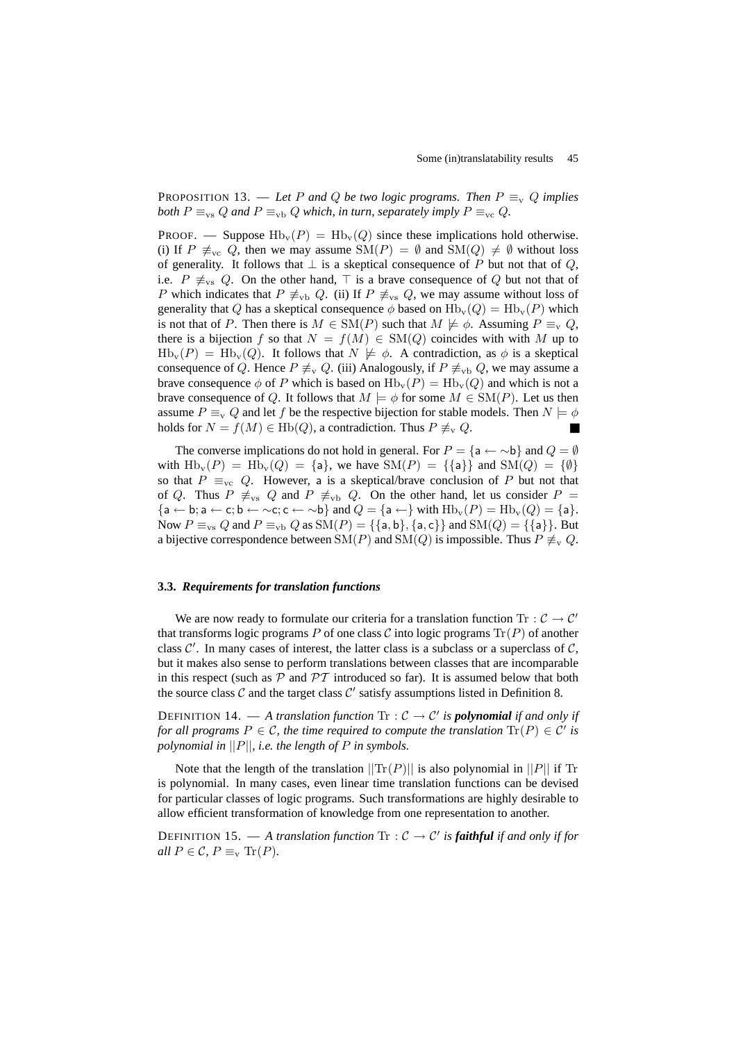PROPOSITION 13. — Let P and Q be two logic programs. Then  $P \equiv_v Q$  implies *both*  $P \equiv_{\text{vs}} Q$  *and*  $P \equiv_{\text{vb}} Q$  *which, in turn, separately imply*  $P \equiv_{\text{vc}} Q$ *.* 

PROOF. — Suppose  $Hb_v(P) = Hb_v(Q)$  since these implications hold otherwise. (i) If  $P \not\equiv_{\text{vc}} Q$ , then we may assume  $\text{SM}(P) = \emptyset$  and  $\text{SM}(Q) \neq \emptyset$  without loss of generality. It follows that  $\perp$  is a skeptical consequence of P but not that of Q, i.e.  $P \neq_{vs} Q$ . On the other hand,  $\top$  is a brave consequence of Q but not that of P which indicates that  $P \not\equiv_{\text{vb}} Q$ . (ii) If  $P \not\equiv_{\text{vs}} Q$ , we may assume without loss of generality that Q has a skeptical consequence  $\phi$  based on  $Hb_v(Q) = Hb_v(P)$  which is not that of P. Then there is  $M \in SM(P)$  such that  $M \not\models \phi$ . Assuming  $P \equiv_{\rm v} Q$ , there is a bijection f so that  $N = f(M) \in SM(Q)$  coincides with with M up to  $Hb_v(P) = Hb_v(Q)$ . It follows that  $N \not\models \phi$ . A contradiction, as  $\phi$  is a skeptical consequence of Q. Hence  $P \not\equiv_{\rm v} Q$ . (iii) Analogously, if  $P \not\equiv_{\rm vb} Q$ , we may assume a brave consequence  $\phi$  of P which is based on  $\text{Hb}_v(P) = \text{Hb}_v(Q)$  and which is not a brave consequence of Q. It follows that  $M \models \phi$  for some  $M \in SM(P)$ . Let us then assume  $P \equiv_{\rm v} Q$  and let f be the respective bijection for stable models. Then  $N \models \phi$ holds for  $N = f(M) \in \text{Hb}(Q)$ , a contradiction. Thus  $P \not\equiv_{\text{v}} Q$ .

The converse implications do not hold in general. For  $P = \{a \leftarrow \neg b\}$  and  $Q = \emptyset$ with  $\text{Hb}_v(P) = \text{Hb}_v(Q) = \{a\}$ , we have  $\text{SM}(P) = \{\{a\}\}\$  and  $\text{SM}(Q) = \{\emptyset\}$ so that  $P \equiv_{\text{vc}} Q$ . However, a is a skeptical/brave conclusion of P but not that of Q. Thus  $P \neq_{vs} Q$  and  $P \neq_{vb} Q$ . On the other hand, let us consider  $P =$  ${a \leftarrow b; a \leftarrow c; b \leftarrow \neg c; c \leftarrow \neg b}$  and  $Q = {a \leftarrow}$  with  $Hb_v(P) = Hb_v(Q) = {a}.$ Now  $P \equiv_{\text{vs}} Q$  and  $P \equiv_{\text{vb}} Q$  as  $\text{SM}(P) = \{\{\text{a},\text{b}\},\{\text{a},\text{c}\}\}\$  and  $\text{SM}(Q) = \{\{\text{a}\}\}\$ . But a bijective correspondence between SM(P) and SM(Q) is impossible. Thus  $P \neq_{\rm v} Q$ .

# **3.3.** *Requirements for translation functions*

We are now ready to formulate our criteria for a translation function Tr :  $C \rightarrow C'$ that transforms logic programs P of one class C into logic programs  $\text{Tr}(P)$  of another class  $C'$ . In many cases of interest, the latter class is a subclass or a superclass of  $C$ , but it makes also sense to perform translations between classes that are incomparable in this respect (such as  $\mathcal P$  and  $\mathcal PT$  introduced so far). It is assumed below that both the source class  $\mathcal C$  and the target class  $\mathcal C'$  satisfy assumptions listed in Definition 8.

DEFINITION 14.  $-$  *A translation function*  $\text{Tr}$  :  $C \rightarrow C'$  *is polynomial if and only if for all programs*  $P \in \mathcal{C}$ , the time required to compute the translation  $\text{Tr}(P) \in \mathcal{C}'$  is *polynomial in* ||P||*, i.e. the length of* P *in symbols.*

Note that the length of the translation  $||\text{Tr}(P)||$  is also polynomial in  $||P||$  if Tr is polynomial. In many cases, even linear time translation functions can be devised for particular classes of logic programs. Such transformations are highly desirable to allow efficient transformation of knowledge from one representation to another.

DEFINITION 15.  $-$  *A translation function*  $\text{Tr}$  :  $C \rightarrow C'$  *is faithful if and only if for all*  $P \in \mathcal{C}$ ,  $P \equiv_{\rm v} \text{Tr}(P)$ .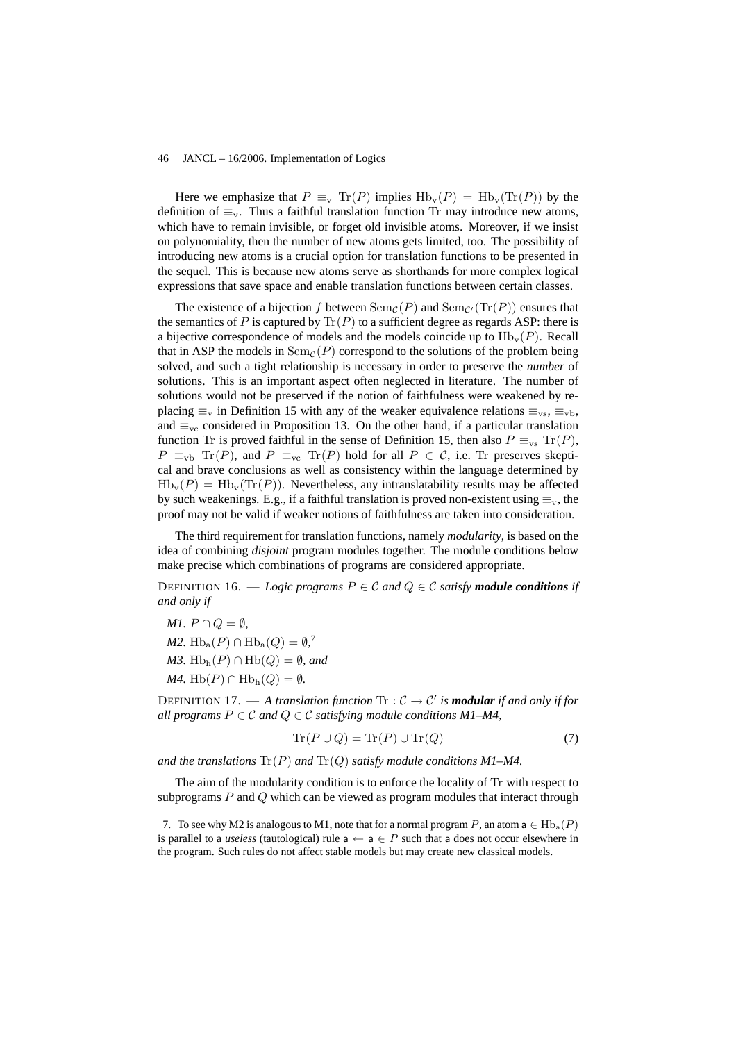Here we emphasize that  $P \equiv_{v} \text{Tr}(P)$  implies  $\text{Hb}_{v}(P) = \text{Hb}_{v}(\text{Tr}(P))$  by the definition of  $\equiv_v$ . Thus a faithful translation function Tr may introduce new atoms, which have to remain invisible, or forget old invisible atoms. Moreover, if we insist on polynomiality, then the number of new atoms gets limited, too. The possibility of introducing new atoms is a crucial option for translation functions to be presented in the sequel. This is because new atoms serve as shorthands for more complex logical expressions that save space and enable translation functions between certain classes.

The existence of a bijection f between  $\text{Sem}_{\mathcal{C}}(P)$  and  $\text{Sem}_{\mathcal{C}'}(\text{Tr}(P))$  ensures that the semantics of P is captured by  $\text{Tr}(P)$  to a sufficient degree as regards ASP: there is a bijective correspondence of models and the models coincide up to  $H_{\text{b}}(P)$ . Recall that in ASP the models in  $Sem_C(P)$  correspond to the solutions of the problem being solved, and such a tight relationship is necessary in order to preserve the *number* of solutions. This is an important aspect often neglected in literature. The number of solutions would not be preserved if the notion of faithfulness were weakened by replacing  $\equiv_{\rm v}$  in Definition 15 with any of the weaker equivalence relations  $\equiv_{\rm vs}$ ,  $\equiv_{\rm vb}$ , and  $\equiv_{\text{vc}}$  considered in Proposition 13. On the other hand, if a particular translation function Tr is proved faithful in the sense of Definition 15, then also  $P \equiv_{vs} \text{Tr}(P)$ ,  $P \equiv_{\text{vb}} \text{Tr}(P)$ , and  $P \equiv_{\text{vc}} \text{Tr}(P)$  hold for all  $P \in \mathcal{C}$ , i.e. Tr preserves skeptical and brave conclusions as well as consistency within the language determined by  $Hb_v(P) = Hb_v(Tr(P))$ . Nevertheless, any intranslatability results may be affected by such weakenings. E.g., if a faithful translation is proved non-existent using  $\equiv_v$ , the proof may not be valid if weaker notions of faithfulness are taken into consideration.

The third requirement for translation functions, namely *modularity*, is based on the idea of combining *disjoint* program modules together. The module conditions below make precise which combinations of programs are considered appropriate.

DEFINITION 16. — *Logic programs*  $P \in \mathcal{C}$  and  $Q \in \mathcal{C}$  *satisfy module conditions if and only if*

*M1.*  $P \cap Q = \emptyset$ , *M2.*  $Hb_a(P) \cap Hb_a(Q) = \emptyset$ <sup>7</sup> *M3.* Hb<sub>h</sub> $(P) \cap \text{Hb}(Q) = \emptyset$ *, and M4.* Hb( $P$ ) ∩ Hb<sub>h</sub>( $Q$ ) =  $\emptyset$ *.* 

DEFINITION 17.  $-$  *A translation function*  $\text{Tr}$  :  $C \rightarrow C'$  *is modular if and only if for all programs*  $P \in \mathcal{C}$  *and*  $Q \in \mathcal{C}$  *satisfying module conditions M1–M4,* 

$$
Tr(P \cup Q) = Tr(P) \cup Tr(Q)
$$
\n(7)

*and the translations* Tr(P) *and* Tr(Q) *satisfy module conditions M1–M4.*

The aim of the modularity condition is to enforce the locality of Tr with respect to subprograms  $P$  and  $Q$  which can be viewed as program modules that interact through

<sup>7.</sup> To see why M2 is analogous to M1, note that for a normal program P, an atom  $a \in Hb_a(P)$ is parallel to a *useless* (tautological) rule  $a \leftarrow a \in P$  such that a does not occur elsewhere in the program. Such rules do not affect stable models but may create new classical models.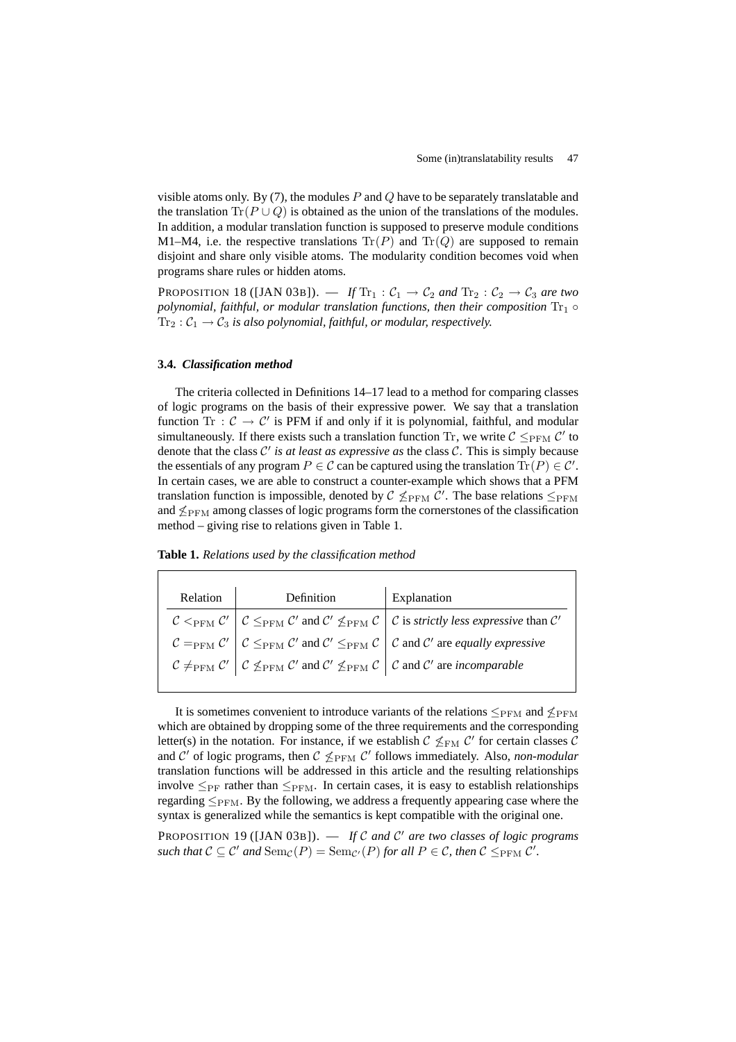visible atoms only. By (7), the modules  $P$  and  $Q$  have to be separately translatable and the translation  $\text{Tr}(P \cup Q)$  is obtained as the union of the translations of the modules. In addition, a modular translation function is supposed to preserve module conditions M1–M4, i.e. the respective translations  $\text{Tr}(P)$  and  $\text{Tr}(Q)$  are supposed to remain disjoint and share only visible atoms. The modularity condition becomes void when programs share rules or hidden atoms.

PROPOSITION 18 ([JAN 03B]). — *If*  $\text{Tr}_1 : C_1 \rightarrow C_2$  *and*  $\text{Tr}_2 : C_2 \rightarrow C_3$  *are two polynomial, faithful, or modular translation functions, then their composition*  $Tr_1 \circ$  $Tr_2: C_1 \rightarrow C_3$  *is also polynomial, faithful, or modular, respectively.* 

# **3.4.** *Classification method*

The criteria collected in Definitions 14–17 lead to a method for comparing classes of logic programs on the basis of their expressive power. We say that a translation function Tr :  $C \rightarrow C'$  is PFM if and only if it is polynomial, faithful, and modular simultaneously. If there exists such a translation function Tr, we write  $\mathcal{C} \leq_{\text{PFM}} \mathcal{C}'$  to denote that the class  $C'$  is at least as expressive as the class  $C$ . This is simply because the essentials of any program  $P \in \mathcal{C}$  can be captured using the translation  $\text{Tr}(P) \in \mathcal{C}'$ . In certain cases, we are able to construct a counter-example which shows that a PFM translation function is impossible, denoted by  $\mathcal{C} \nleq_{\text{PFM}} \mathcal{C}'$ . The base relations  $\leq_{\text{PFM}}$ and  $\leq_{\text{PFM}}$  among classes of logic programs form the cornerstones of the classification method – giving rise to relations given in Table 1.

**Table 1.** *Relations used by the classification method*

|  | Relation Definition Explanation |                                                                                                                                                                                                                                                                                                                                                                                                                                                                                                     |
|--|---------------------------------|-----------------------------------------------------------------------------------------------------------------------------------------------------------------------------------------------------------------------------------------------------------------------------------------------------------------------------------------------------------------------------------------------------------------------------------------------------------------------------------------------------|
|  |                                 | $\begin{array}{c c c c c c} \hline \mathcal{C} & \subset_{\mathrm{PFM}} \mathcal{C}' & \mathcal{C} \leq_{\mathrm{PFM}} \mathcal{C}' & \mathrm{and} & \mathcal{C}' \not\leq_{\mathrm{PFM}} \mathcal{C} & \mathcal{C} & \mathrm{is} \text{ strictly less expressive than } & \mathcal{C}' \\ \hline \mathcal{C} =_{\mathrm{PFM}} \mathcal{C}' & \mathcal{C} \leq_{\mathrm{PFM}} \mathcal{C}' & \mathrm{and} & \mathcal{C}' \leq_{\mathrm{PFM}} \mathcal{C} & \mathcal{C} & \mathrm{and} & \mathcal{C$ |
|  |                                 |                                                                                                                                                                                                                                                                                                                                                                                                                                                                                                     |
|  |                                 |                                                                                                                                                                                                                                                                                                                                                                                                                                                                                                     |
|  |                                 |                                                                                                                                                                                                                                                                                                                                                                                                                                                                                                     |

It is sometimes convenient to introduce variants of the relations  $\leq_{\text{PFM}}$  and  $\leq_{\text{PFM}}$ which are obtained by dropping some of the three requirements and the corresponding letter(s) in the notation. For instance, if we establish  $\mathcal{C} \nleq_{\text{FM}} \mathcal{C}'$  for certain classes  $\mathcal{C}$ and  $\mathcal{C}'$  of logic programs, then  $\mathcal{C}$   $\nleq$ <sub>PFM</sub>  $\mathcal{C}'$  follows immediately. Also, *non-modular* translation functions will be addressed in this article and the resulting relationships involve  $\leq_{PF}$  rather than  $\leq_{PFM}$ . In certain cases, it is easy to establish relationships regarding  $\leq_{PFM}$ . By the following, we address a frequently appearing case where the syntax is generalized while the semantics is kept compatible with the original one.

PROPOSITION 19 ([JAN 03B]). — If C and C' are two classes of logic programs  $\mathcal{L}$  *such that*  $C \subseteq C'$  *and*  $\text{Sem}_{\mathcal{C}}(P) = \text{Sem}_{\mathcal{C}'}(P)$  *for all*  $P \in \mathcal{C}$ *, then*  $C \leq_{\text{PFM}} C'.$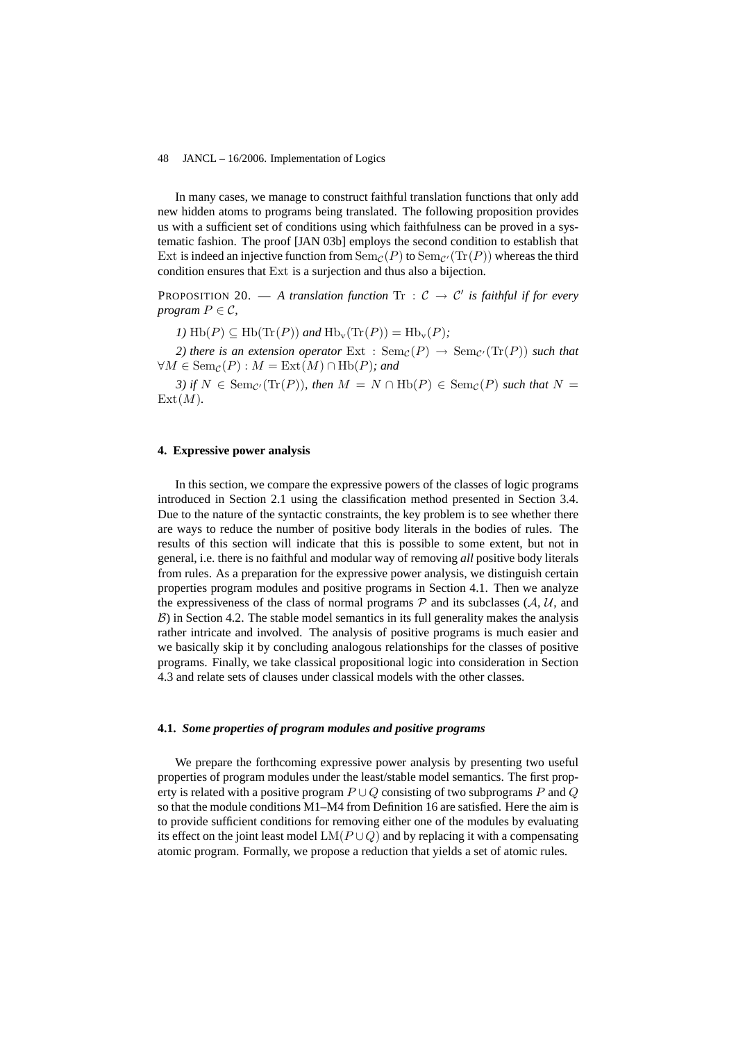In many cases, we manage to construct faithful translation functions that only add new hidden atoms to programs being translated. The following proposition provides us with a sufficient set of conditions using which faithfulness can be proved in a systematic fashion. The proof [JAN 03b] employs the second condition to establish that Ext is indeed an injective function from  $Sem_{\mathcal{C}}(P)$  to  $Sem_{\mathcal{C}'}(Tr(P))$  whereas the third condition ensures that Ext is a surjection and thus also a bijection.

**PROPOSITION 20.**  $-$  *A translation function*  $\text{Tr}$  :  $\mathcal{C} \rightarrow \mathcal{C}'$  *is faithful if for every program*  $P \in \mathcal{C}$ *,* 

*1*)  $\text{Hb}(P) \subset \text{Hb}(\text{Tr}(P))$  *and*  $\text{Hb}_v(\text{Tr}(P)) = \text{Hb}_v(P)$ ;

*2) there is an extension operator* Ext :  $Sem_{\mathcal{C}}(P) \rightarrow Sem_{\mathcal{C}'}(Tr(P))$  *such that*  $\forall M \in \text{Sem}_{\mathcal{C}}(P) : M = \text{Ext}(M) \cap \text{Hb}(P)$ *; and* 

*3)* if  $N \in \text{Sem}_{\mathcal{C}'}(\text{Tr}(P))$ , then  $M = N \cap \text{Hb}(P) \in \text{Sem}_{\mathcal{C}}(P)$  such that  $N =$  $Ext(M)$ .

### **4. Expressive power analysis**

In this section, we compare the expressive powers of the classes of logic programs introduced in Section 2.1 using the classification method presented in Section 3.4. Due to the nature of the syntactic constraints, the key problem is to see whether there are ways to reduce the number of positive body literals in the bodies of rules. The results of this section will indicate that this is possible to some extent, but not in general, i.e. there is no faithful and modular way of removing *all* positive body literals from rules. As a preparation for the expressive power analysis, we distinguish certain properties program modules and positive programs in Section 4.1. Then we analyze the expressiveness of the class of normal programs  $P$  and its subclasses ( $A$ ,  $U$ , and  $\beta$ ) in Section 4.2. The stable model semantics in its full generality makes the analysis rather intricate and involved. The analysis of positive programs is much easier and we basically skip it by concluding analogous relationships for the classes of positive programs. Finally, we take classical propositional logic into consideration in Section 4.3 and relate sets of clauses under classical models with the other classes.

# **4.1.** *Some properties of program modules and positive programs*

We prepare the forthcoming expressive power analysis by presenting two useful properties of program modules under the least/stable model semantics. The first property is related with a positive program  $P \cup Q$  consisting of two subprograms P and Q so that the module conditions M1–M4 from Definition 16 are satisfied. Here the aim is to provide sufficient conditions for removing either one of the modules by evaluating its effect on the joint least model  $LM(P\cup Q)$  and by replacing it with a compensating atomic program. Formally, we propose a reduction that yields a set of atomic rules.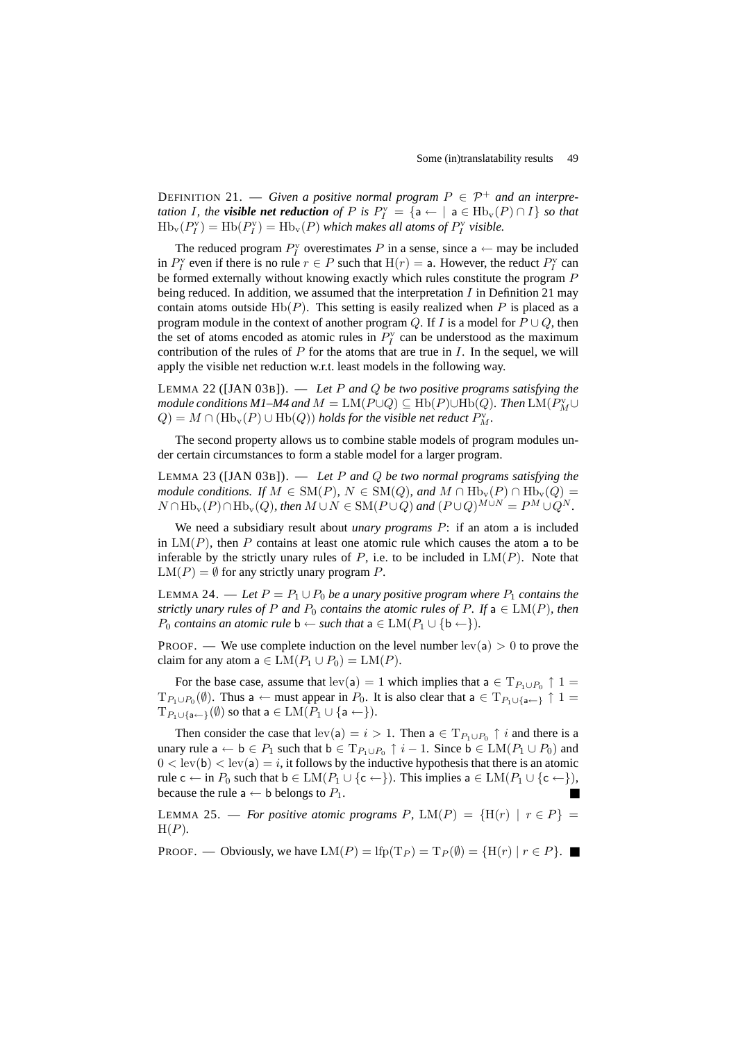DEFINITION 21. — *Given a positive normal program*  $P \in \mathcal{P}^+$  *and an interpretation I*, *the visible* net reduction of P is  $P_I^{\text{v}} = \{a \leftarrow | a \in Hb_{\text{v}}(P) \cap I\}$  so that  $\text{Hb}_{\text{v}}(P_I^{\text{v}}) = \text{Hb}(P_I^{\text{v}}) = \text{Hb}_{\text{v}}(P)$  which makes all atoms of  $P_I^{\text{v}}$  visible.

The reduced program  $P_I^{\rm v}$  overestimates P in a sense, since a  $\leftarrow$  may be included in  $P_I^{\rm v}$  even if there is no rule  $r \in P$  such that  $H(r) = a$ . However, the reduct  $P_I^{\rm v}$  can be formed externally without knowing exactly which rules constitute the program P being reduced. In addition, we assumed that the interpretation  $I$  in Definition 21 may contain atoms outside  $Hb(P)$ . This setting is easily realized when P is placed as a program module in the context of another program Q. If I is a model for  $P \cup Q$ , then the set of atoms encoded as atomic rules in  $P_I^{\rm v}$  can be understood as the maximum contribution of the rules of  $P$  for the atoms that are true in  $I$ . In the sequel, we will apply the visible net reduction w.r.t. least models in the following way.

LEMMA 22 ([JAN 03B]). — *Let* P *and* Q *be two positive programs satisfying the module conditions M1–M4 and*  $M = LM(P \cup Q) \subseteq \text{Hb}(P) \cup \text{Hb}(Q)$ *. Then*  $LM(P_M^{\vee} \cup$  $Q) = M \cap (\mathrm{Hb}_v(P) \cup \mathrm{Hb}(Q))$  *holds for the visible net reduct*  $P_M^v$ .

The second property allows us to combine stable models of program modules under certain circumstances to form a stable model for a larger program.

LEMMA 23 ([JAN 03B]). — *Let* P *and* Q *be two normal programs satisfying the module conditions.* If  $M \in SM(P)$ ,  $N \in SM(Q)$ , and  $M \cap Hb_v(P) \cap Hb_v(Q) =$  $N \cap \text{Hb}_{\text{v}}(P) \cap \text{Hb}_{\text{v}}(Q)$ *, then*  $M \cup N \in \text{SM}(P \cup Q)$  and  $(P \cup Q)^{M \cup N} = P^M \cup Q^N$ .

We need a subsidiary result about *unary programs* P: if an atom a is included in  $LM(P)$ , then P contains at least one atomic rule which causes the atom a to be inferable by the strictly unary rules of  $P$ , i.e. to be included in  $LM(P)$ . Note that  $LM(P) = \emptyset$  for any strictly unary program P.

LEMMA 24. — Let  $P = P_1 \cup P_0$  be a unary positive program where  $P_1$  contains the *strictly unary rules of* P *and*  $P_0$  *contains the atomic rules of* P. If  $a \in LM(P)$ *, then P*<sub>0</sub> *contains an atomic rule*  $\mathbf{b} \leftarrow \text{such that } \mathbf{a} \in LM(P_1 \cup {\mathbf{b}} \leftarrow).$ 

PROOF. — We use complete induction on the level number  $lev(a) > 0$  to prove the claim for any atom  $a \in LM(P_1 \cup P_0) = LM(P)$ .

For the base case, assume that  $lev(a) = 1$  which implies that  $a \in T_{P_1 \cup P_0} \uparrow 1 =$  $T_{P_1\cup P_0}(\emptyset)$ . Thus a  $\leftarrow$  must appear in  $P_0$ . It is also clear that a  $\in T_{P_1\cup\{a\leftarrow\}}$   $\uparrow$  1 =  $T_{P_1 \cup \{a \leftarrow \}}(\emptyset)$  so that  $a \in LM(P_1 \cup \{a \leftarrow \}).$ 

Then consider the case that  $\text{lev}(\mathsf{a}) = i > 1$ . Then  $\mathsf{a} \in \mathrm{T}_{P_1 \cup P_0} \uparrow i$  and there is a unary rule  $a \leftarrow b \in P_1$  such that  $b \in T_{P_1 \cup P_0} \uparrow i - 1$ . Since  $b \in LM(P_1 \cup P_0)$  and  $0 < \text{lev}(b) < \text{lev}(a) = i$ , it follows by the inductive hypothesis that there is an atomic rule  $c \leftarrow$  in  $P_0$  such that  $b \in LM(P_1 \cup \{c \leftarrow\})$ . This implies  $a \in LM(P_1 \cup \{c \leftarrow\})$ , because the rule  $a \leftarrow b$  belongs to  $P_1$ .

LEMMA 25. — *For positive atomic programs* P,  $LM(P) = \{H(r) | r \in P\}$ H(P)*.*

PROOF. — Obviously, we have  $LM(P) = lfp(T_P) = T_P(\emptyset) = {H(r) | r \in P}$ .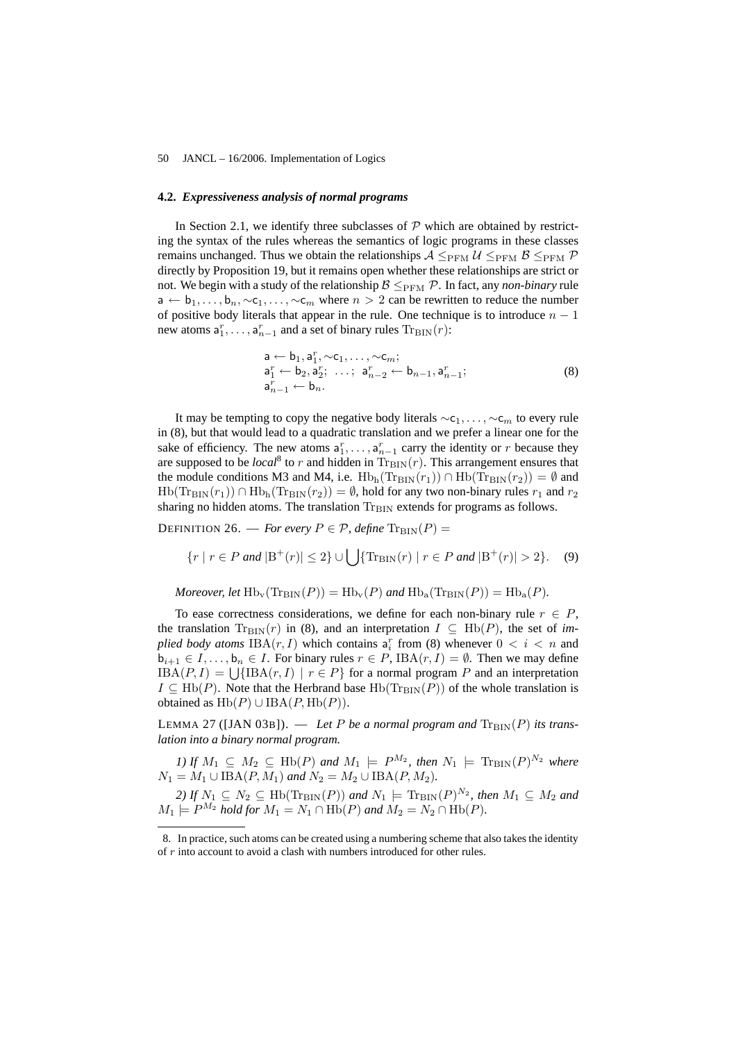# **4.2.** *Expressiveness analysis of normal programs*

In Section 2.1, we identify three subclasses of  $P$  which are obtained by restricting the syntax of the rules whereas the semantics of logic programs in these classes remains unchanged. Thus we obtain the relationships  $A \leq_{PFM} U \leq_{PFM} B \leq_{PFM} P$ directly by Proposition 19, but it remains open whether these relationships are strict or not. We begin with a study of the relationship  $\beta \leq_{PFM} \mathcal{P}$ . In fact, any *non-binary* rule  $a \leftarrow b_1, \ldots, b_n, \sim c_1, \ldots, \sim c_m$  where  $n > 2$  can be rewritten to reduce the number of positive body literals that appear in the rule. One technique is to introduce  $n - 1$ new atoms  $a_1^r, \ldots, a_{n-1}^r$  and a set of binary rules  $\text{Tr}_{\text{BIN}}(r)$ :

$$
a \leftarrow b_1, a_1^r, \sim c_1, \ldots, \sim c_m;
$$
  
\n
$$
a_1^r \leftarrow b_2, a_2^r; \ldots; a_{n-2}^r \leftarrow b_{n-1}, a_{n-1}^r;
$$
  
\n
$$
a_{n-1}^r \leftarrow b_n.
$$
  
\n(8)

It may be tempting to copy the negative body literals  $\sim c_1, \ldots, \sim c_m$  to every rule in (8), but that would lead to a quadratic translation and we prefer a linear one for the sake of efficiency. The new atoms  $a_1^r, \ldots, a_{n-1}^r$  carry the identity or r because they are supposed to be *local*<sup>8</sup> to r and hidden in  $\text{Tr}_{\text{BIN}}(r)$ . This arrangement ensures that the module conditions M3 and M4, i.e.  $Hb_h(Tr_{\text{BIN}}(r_1)) \cap Hb(Tr_{\text{BIN}}(r_2)) = \emptyset$  and  $Hb(Tr_{\text{BIN}}(r_1)) \cap Hb_{h}(Tr_{\text{BIN}}(r_2)) = \emptyset$ , hold for any two non-binary rules  $r_1$  and  $r_2$ sharing no hidden atoms. The translation Tr<sub>BIN</sub> extends for programs as follows.

DEFINITION 26. — *For every*  $P \in \mathcal{P}$ *, define*  $\text{Tr}_{\text{BIN}}(P)$  =

$$
\{r \mid r \in P \text{ and } |B^+(r)| \le 2\} \cup \bigcup \{ \text{Tr}_{\text{BIN}}(r) \mid r \in P \text{ and } |B^+(r)| > 2\}. \tag{9}
$$

*Moreover, let*  $Hb_v(Tr_{\text{BIN}}(P)) = Hb_v(P)$  *and*  $Hb_a(Tr_{\text{BIN}}(P)) = Hb_a(P)$ *.* 

To ease correctness considerations, we define for each non-binary rule  $r \in P$ , the translation  $\text{Tr}_{\text{BIN}}(r)$  in (8), and an interpretation  $I \subseteq \text{Hb}(P)$ , the set of *im*plied body atoms  $IBA(r, I)$  which contains  $a_i^r$  from (8) whenever  $0 < i < n$  and  $b_{i+1} \in I, \ldots, b_n \in I$ . For binary rules  $r \in P$ , IBA $(r, I) = \emptyset$ . Then we may define  $B_{i+1} \in I, \ldots, B_n \in I$ . For binary rules  $r \in P$ ,  $L(A(r, I)) = \emptyset$ . Then we may define<br>  $L(BA(P, I)) = \bigcup \{L(BP, I) \mid r \in P\}$  for a normal program P and an interpretation  $I \subseteq \text{Hb}(P)$ . Note that the Herbrand base  $\text{Hb}(\text{Tr}_{\text{BIN}}(P))$  of the whole translation is obtained as  $Hb(P) \cup IBA(P, Hb(P)).$ 

LEMMA 27 ([JAN 03B]).  $-$  Let P be a normal program and  $\text{Tr}_{\text{BIN}}(P)$  its trans*lation into a binary normal program.*

*1)* If  $M_1 \subseteq M_2 \subseteq \text{Hb}(P)$  and  $M_1 \models P^{M_2}$ , then  $N_1 \models \text{Tr}_{\text{BIN}}(P)^{N_2}$  where  $N_1 = M_1 \cup \text{IBA}(P, M_1)$  *and*  $N_2 = M_2 \cup \text{IBA}(P, M_2)$ *.* 

2) If  $N_1 \subseteq N_2 \subseteq \text{Hb}(\text{Tr}_{\text{BIN}}(P))$  and  $N_1 \models \text{Tr}_{\text{BIN}}(P)^{N_2}$ , then  $M_1 \subseteq M_2$  and  $M_1 \models P^{M_2}$  *hold for*  $M_1 = N_1 \cap \text{Hb}(P)$  *and*  $M_2 = N_2 \cap \text{Hb}(P)$ *.* 

<sup>8.</sup> In practice, such atoms can be created using a numbering scheme that also takes the identity of r into account to avoid a clash with numbers introduced for other rules.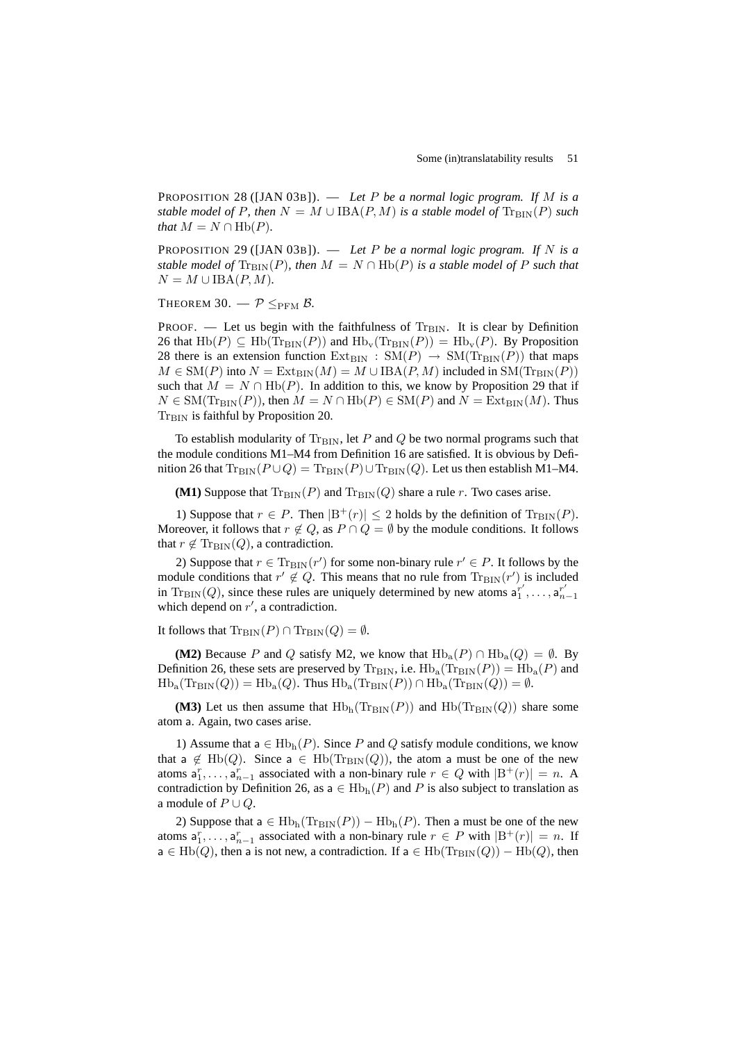PROPOSITION 28 ([JAN 03B]). — *Let* P *be a normal logic program. If* M *is a stable model of* P, then  $N = M \cup \text{IBA}(P, M)$  *is a stable model of*  $\text{Tr}_{\text{BIN}}(P)$  *such that*  $M = N \cap \text{Hb}(P)$ *.* 

PROPOSITION 29 ([JAN 03B]). — *Let* P *be a normal logic program. If* N *is a stable model of*  $\text{Tr}_{\text{BIN}}(P)$ *, then*  $M = N \cap \text{Hb}(P)$  *is a stable model of* P *such that*  $N = M \cup IBA(P, M)$ .

THEOREM 30.  $-\mathcal{P} \leq_{\text{PFM}} \mathcal{B}$ .

PROOF. — Let us begin with the faithfulness of  $Tr<sub>BIN</sub>$ . It is clear by Definition 26 that  $Hb(P) \subseteq Hb(Tr_{\text{BIN}}(P))$  and  $Hb_v(Tr_{\text{BIN}}(P)) = Hb_v(P)$ . By Proposition 28 there is an extension function  $Ext_{\text{BIN}} : SM(P) \rightarrow SM(Tr_{\text{BIN}}(P))$  that maps  $M \in SM(P)$  into  $N = Ext_{BIN}(M) = M \cup IBA(P, M)$  included in  $SM(Tr_{BIN}(P))$ such that  $M = N \cap \text{Hb}(P)$ . In addition to this, we know by Proposition 29 that if  $N \in SM(\text{Tr}_{\text{BIN}}(P))$ , then  $M = N \cap \text{Hb}(P) \in SM(P)$  and  $N = \text{Ext}_{\text{BIN}}(M)$ . Thus  $Tr<sub>BIN</sub>$  is faithful by Proposition 20.

To establish modularity of  $Tr<sub>BIN</sub>$ , let P and Q be two normal programs such that the module conditions M1–M4 from Definition 16 are satisfied. It is obvious by Definition 26 that  $\text{Tr}_{\text{BIN}}(P \cup Q) = \text{Tr}_{\text{BIN}}(P) \cup \text{Tr}_{\text{BIN}}(Q)$ . Let us then establish M1–M4.

**(M1)** Suppose that  $Tr_{\text{BIN}}(P)$  and  $Tr_{\text{BIN}}(Q)$  share a rule r. Two cases arise.

1) Suppose that  $r \in P$ . Then  $|B^+(r)| \leq 2$  holds by the definition of  $Tr_{\text{BIN}}(P)$ . Moreover, it follows that  $r \notin Q$ , as  $P \cap Q = \emptyset$  by the module conditions. It follows that  $r \notin \text{Tr}_{\text{BIN}}(Q)$ , a contradiction.

2) Suppose that  $r \in \text{Tr}_{\text{BIN}}(r')$  for some non-binary rule  $r' \in P$ . It follows by the module conditions that  $r' \notin Q$ . This means that no rule from  $\text{Tr}_{\text{BIN}}(r')$  is included in  $\text{Tr}_{\text{BIN}}(Q)$ , since these rules are uniquely determined by new atoms  $a_1^{r'}$ , ...,  $a_{n-1}^{r'}$ which depend on  $r'$ , a contradiction.

It follows that  $\text{Tr}_{\text{BIN}}(P) \cap \text{Tr}_{\text{BIN}}(Q) = \emptyset$ .

**(M2)** Because P and Q satisfy M2, we know that  $Hb_a(P) \cap Hb_a(Q) = \emptyset$ . By Definition 26, these sets are preserved by  $\text{Tr}_{\text{BIN}}$ , i.e.  $\text{Hb}_a(\text{Tr}_{\text{BIN}}(P)) = \text{Hb}_a(P)$  and  $Hb_a(Tr_{\text{BIN}}(Q)) = Hb_a(Q)$ . Thus  $Hb_a(Tr_{\text{BIN}}(P)) \cap Hb_a(Tr_{\text{BIN}}(Q)) = \emptyset$ .

**(M3)** Let us then assume that  $Hb<sub>h</sub>(Tr<sub>BIN</sub>(P))$  and  $Hb(Tr<sub>BIN</sub>(Q))$  share some atom a. Again, two cases arise.

1) Assume that  $a \in Hb_h(P)$ . Since P and Q satisfy module conditions, we know that a  $\notin$  Hb(Q). Since a  $\in$  Hb(Tr<sub>BIN</sub>(Q)), the atom a must be one of the new atoms  $a_1^r, \ldots, a_{n-1}^r$  associated with a non-binary rule  $r \in Q$  with  $|B^+(r)| = n$ . A contradiction by Definition 26, as  $a \in Hb<sub>h</sub>(P)$  and P is also subject to translation as a module of  $P \cup Q$ .

2) Suppose that a  $\in$  Hb<sub>h</sub>(Tr<sub>BIN</sub>(P)) – Hb<sub>h</sub>(P). Then a must be one of the new atoms  $a_1^r, \ldots, a_{n-1}^r$  associated with a non-binary rule  $r \in P$  with  $|B^+(r)| = n$ . If  $a \in Hb(Q)$ , then a is not new, a contradiction. If  $a \in Hb(Tr_{\text{BIN}}(Q)) - Hb(Q)$ , then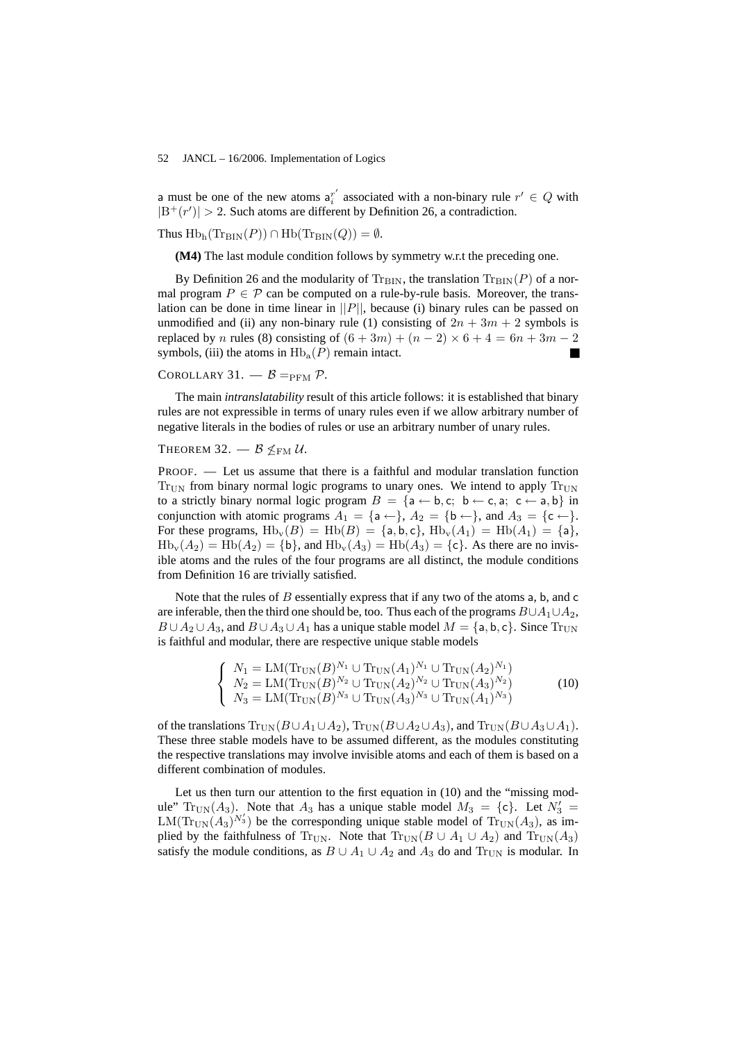a must be one of the new atoms  $a_i^{r'}$  associated with a non-binary rule  $r' \in Q$  with  $|B^+(r')| > 2$ . Such atoms are different by Definition 26, a contradiction.

Thus  $Hb_h(\text{Tr}_{\text{BIN}}(P)) \cap Hb(\text{Tr}_{\text{BIN}}(Q)) = \emptyset$ .

**(M4)** The last module condition follows by symmetry w.r.t the preceding one.

By Definition 26 and the modularity of  $T_{\rm BIN}$ , the translation  $T_{\rm BIN}(P)$  of a normal program  $P \in \mathcal{P}$  can be computed on a rule-by-rule basis. Moreover, the translation can be done in time linear in  $||P||$ , because (i) binary rules can be passed on unmodified and (ii) any non-binary rule (1) consisting of  $2n + 3m + 2$  symbols is replaced by n rules (8) consisting of  $(6+3m) + (n-2) \times 6 + 4 = 6n + 3m - 2$ symbols, (iii) the atoms in  $\text{Hb}_a(P)$  remain intact.

# COROLLARY 31.  $-\beta$  = PFM  $\mathcal{P}$ .

The main *intranslatability* result of this article follows: it is established that binary rules are not expressible in terms of unary rules even if we allow arbitrary number of negative literals in the bodies of rules or use an arbitrary number of unary rules.

# THEOREM 32.  $-$  B  $\leq$ <sub>FM</sub> U.

PROOF. — Let us assume that there is a faithful and modular translation function  $T_{\text{HIN}}$  from binary normal logic programs to unary ones. We intend to apply  $T_{\text{HIN}}$ to a strictly binary normal logic program  $B = \{a \leftarrow b, c; b \leftarrow c, a; c \leftarrow a, b\}$  in conjunction with atomic programs  $A_1 = \{a \leftarrow\}, A_2 = \{b \leftarrow\}, \text{ and } A_3 = \{c \leftarrow\}.$ For these programs,  $\text{Hb}_v(B) = \text{Hb}(B) = \{\text{a}, \text{b}, \text{c}\}, \text{Hb}_v(A_1) = \text{Hb}(A_1) = \{\text{a}\},\$  $Hb_v(A_2) = Hb(A_2) = \{b\}$ , and  $Hb_v(A_3) = Hb(A_3) = \{c\}$ . As there are no invisible atoms and the rules of the four programs are all distinct, the module conditions from Definition 16 are trivially satisfied.

Note that the rules of  $B$  essentially express that if any two of the atoms  $a, b,$  and  $c$ are inferable, then the third one should be, too. Thus each of the programs  $B\cup A_1\cup A_2$ ,  $B \cup A_2 \cup A_3$ , and  $B \cup A_3 \cup A_1$  has a unique stable model  $M = \{a, b, c\}$ . Since  $Tr_{UN}$ is faithful and modular, there are respective unique stable models

$$
\begin{cases}\nN_1 = \text{LM}(\text{Tr}_{\text{UN}}(B)^{N_1} \cup \text{Tr}_{\text{UN}}(A_1)^{N_1} \cup \text{Tr}_{\text{UN}}(A_2)^{N_1}) \\
N_2 = \text{LM}(\text{Tr}_{\text{UN}}(B)^{N_2} \cup \text{Tr}_{\text{UN}}(A_2)^{N_2} \cup \text{Tr}_{\text{UN}}(A_3)^{N_2}) \\
N_3 = \text{LM}(\text{Tr}_{\text{UN}}(B)^{N_3} \cup \text{Tr}_{\text{UN}}(A_3)^{N_3} \cup \text{Tr}_{\text{UN}}(A_1)^{N_3})\n\end{cases} (10)
$$

of the translations  $\text{Tr}_{\text{UN}}(B \cup A_1 \cup A_2)$ ,  $\text{Tr}_{\text{UN}}(B \cup A_2 \cup A_3)$ , and  $\text{Tr}_{\text{UN}}(B \cup A_3 \cup A_1)$ . These three stable models have to be assumed different, as the modules constituting the respective translations may involve invisible atoms and each of them is based on a different combination of modules.

Let us then turn our attention to the first equation in (10) and the "missing module"  $Tr_{UN}(A_3)$ . Note that  $A_3$  has a unique stable model  $M_3 = \{c\}$ . Let  $N_3' =$  $LM(Tr_{UN}(A_3)^{N'_3})$  be the corresponding unique stable model of  $Tr_{UN}(A_3)$ , as implied by the faithfulness of Tr<sub>UN</sub>. Note that  $\text{Tr}_{UN}(B \cup A_1 \cup A_2)$  and  $\text{Tr}_{UN}(A_3)$ satisfy the module conditions, as  $B \cup A_1 \cup A_2$  and  $A_3$  do and Tr<sub>UN</sub> is modular. In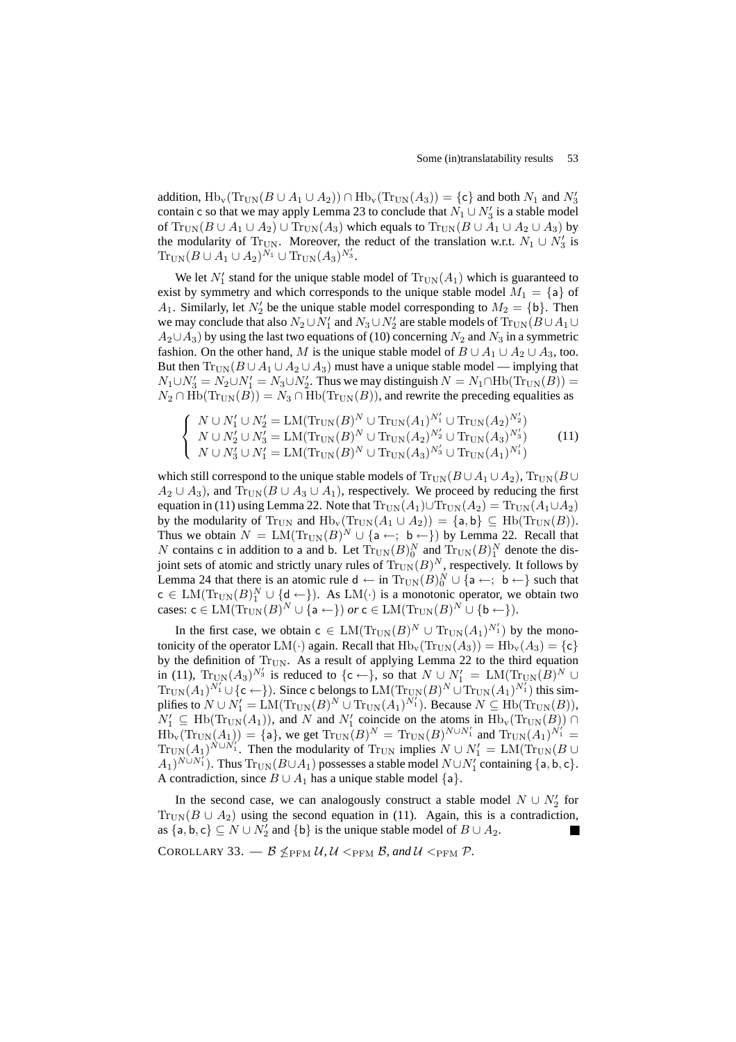addition,  $Hb_v(Tr_{UN}(B\cup A_1\cup A_2)) \cap Hb_v(Tr_{UN}(A_3)) = \{c\}$  and both  $N_1$  and  $N'_3$ contain c so that we may apply Lemma 23 to conclude that  $N_1 \cup N'_3$  is a stable model of  $\text{Tr}_{UN}(B \cup A_1 \cup A_2) \cup \text{Tr}_{UN}(A_3)$  which equals to  $\text{Tr}_{UN}(B \cup A_1 \cup A_2 \cup A_3)$  by the modularity of Tr<sub>UN</sub>. Moreover, the reduct of the translation w.r.t.  $N_1 \cup N'_3$  is  $\text{Tr}_{\text{UN}}(B \cup A_1 \cup A_2)^{\tilde{N}_1} \cup \text{Tr}_{\text{UN}}(A_3)^{N'_3}.$ 

We let  $N'_1$  stand for the unique stable model of  $\text{Tr}_{UN}(A_1)$  which is guaranteed to exist by symmetry and which corresponds to the unique stable model  $M_1 = \{a\}$  of  $A_1$ . Similarly, let  $N'_2$  be the unique stable model corresponding to  $M_2 = \{b\}$ . Then we may conclude that also  $N_2 \cup N_1'$  and  $N_3 \cup N_2'$  are stable models of  $\text{Tr}_{\text{UN}}(B \cup A_1 \cup$  $A_2 \cup A_3$ ) by using the last two equations of (10) concerning  $N_2$  and  $N_3$  in a symmetric fashion. On the other hand, M is the unique stable model of  $B \cup A_1 \cup A_2 \cup A_3$ , too. But then  $\text{Tr}_{\text{UN}}(B \cup A_1 \cup A_2 \cup A_3)$  must have a unique stable model — implying that  $N_1 \cup N_3' = N_2 \cup N_1' = N_3 \cup N_2'$ . Thus we may distinguish  $N = N_1 \cap \text{Hb}(\text{Tr}_{\text{UN}}(B))$  $N_2 \cap \text{Hb}(\text{Tr}_{\text{UN}}(B)) = N_3 \cap \text{Hb}(\text{Tr}_{\text{UN}}(B))$ , and rewrite the preceding equalities as

$$
\begin{cases}\nN \cup N_1' \cup N_2' = \text{LM}(\text{Tr}_{\text{UN}}(B)^N \cup \text{Tr}_{\text{UN}}(A_1)^{N_1'} \cup \text{Tr}_{\text{UN}}(A_2)^{N_2'}) \\
N \cup N_2' \cup N_3' = \text{LM}(\text{Tr}_{\text{UN}}(B)^N \cup \text{Tr}_{\text{UN}}(A_2)^{N_2'} \cup \text{Tr}_{\text{UN}}(A_3)^{N_3'}) \\
N \cup N_3' \cup N_1' = \text{LM}(\text{Tr}_{\text{UN}}(B)^N \cup \text{Tr}_{\text{UN}}(A_3)^{N_3'} \cup \text{Tr}_{\text{UN}}(A_1)^{N_1'}\n\end{cases} (11)
$$

which still correspond to the unique stable models of  $\text{Tr}_{UN}(B \cup A_1 \cup A_2)$ ,  $\text{Tr}_{UN}(B \cup A_1 \cup A_2)$  $A_2 \cup A_3$ ), and  $Tr_{UN}(B \cup A_3 \cup A_1)$ , respectively. We proceed by reducing the first equation in (11) using Lemma 22. Note that  $Tr_{UN}(A_1) \cup Tr_{UN}(A_2) = Tr_{UN}(A_1 \cup A_2)$ by the modularity of Tr<sub>UN</sub> and  $Hb_v(Tr_{UN}(A_1 \cup A_2)) = \{a, b\} \subseteq Hb(Tr_{UN}(B)).$ Thus we obtain  $N = LM(\text{Tr}_{UN}(B)^N \cup \{a \leftarrow; b \leftarrow\})$  by Lemma 22. Recall that N contains c in addition to a and b. Let  $\text{Tr}_{\text{UN}}(B)_0^N$  and  $\text{Tr}_{\text{UN}}(B)_1^N$  denote the disjoint sets of atomic and strictly unary rules of  $\text{Tr}_{\text{UN}}(B)^N$ , respectively. It follows by Lemma 24 that there is an atomic rule  $d \leftarrow in \text{Tr}_{UN}(B)_0^N \cup \{a \leftarrow; b \leftarrow\}$  such that  $c \in LM(\text{Tr}_{UN}(B)_1^N \cup \{d \leftarrow\})$ . As  $LM(\cdot)$  is a monotonic operator, we obtain two cases:  $c \in LM(\text{Tr}_{UN}(B)^N \cup \{a \leftarrow\})$  or  $c \in LM(\text{Tr}_{UN}(B)^N \cup \{b \leftarrow\}).$ 

In the first case, we obtain  $c \in LM(\text{Tr}_{UN}(B)^N \cup \text{Tr}_{UN}(A_1)^{N'_1})$  by the monotonicity of the operator LM(·) again. Recall that  $Hb_v(Tr_{UN}(A_3)) = Hb_v(A_3) = \{c\}$ by the definition of  $Tr_{UN}$ . As a result of applying Lemma 22 to the third equation in (11),  $\text{Tr}_{\text{UN}}(A_3)^{N'_3}$  is reduced to  $\{c \leftarrow\}$ , so that  $N \cup N'_1 = \text{LM}(\text{Tr}_{\text{UN}}(B)^N \cup$  $\text{Tr}_{\text{UN}}(A_1)^{N_1'} \cup \{\textsf{c} \leftarrow\}$ ). Since c belongs to  $\text{LM}(\text{Tr}_{\text{UN}}(B)^N \cup \text{Tr}_{\text{UN}}(A_1)^{N_1'}$ ) this simplifies to  $N \cup N'_1 = \text{LM}(\text{Tr}_{\text{UN}}(B)^N \cup \text{Tr}_{\text{UN}}(A_1)^{N'_1})$ . Because  $N \subseteq \text{Hb}(\text{Tr}_{\text{UN}}(B)),$  $N'_1 \subseteq \text{Hb}(\text{Tr}_{\text{UN}}(A_1)),$  and N and  $N'_1$  coincide on the atoms in  $\text{Hb}_{\text{v}}(\text{Tr}_{\text{UN}}(B)) \cap$  $\text{Hb}_{\text{v}}(\text{Tr}_{\text{UN}}(A_1)) = \{a\}$ , we get  $\text{Tr}_{\text{UN}}(B)^N = \text{Tr}_{\text{UN}}(B)^{N \cup N'_1}$  and  $\text{Tr}_{\text{UN}}(A_1)^{N'_1} =$  $Tr_{UN}(A_1)^{N \cup N_1'}$ . Then the modularity of  $Tr_{UN}$  implies  $N \cup N_1' = LM(Tr_{UN}(B \cup$  $(A_1)^{N \cup N_1}$ ). Thus  $\text{Tr}_{\text{UN}}(B \cup A_1)$  possesses a stable model  $N \cup N_1'$  containing  $\{a, b, c\}$ . A contradiction, since  $B \cup A_1$  has a unique stable model {a}.

In the second case, we can analogously construct a stable model  $N \cup N'_2$  for  $\text{Tr}_{\text{UN}}(B \cup A_2)$  using the second equation in (11). Again, this is a contradiction, as  $\{a, b, c\} \subseteq N \cup N'_2$  and  $\{b\}$  is the unique stable model of  $B \cup A_2$ .

COROLLARY 33.  $-\mathcal{B} \nleq_{\text{PFM}} \mathcal{U}, \mathcal{U} \leq_{\text{PFM}} \mathcal{B}, \text{and } \mathcal{U} \leq_{\text{PFM}} \mathcal{P}.$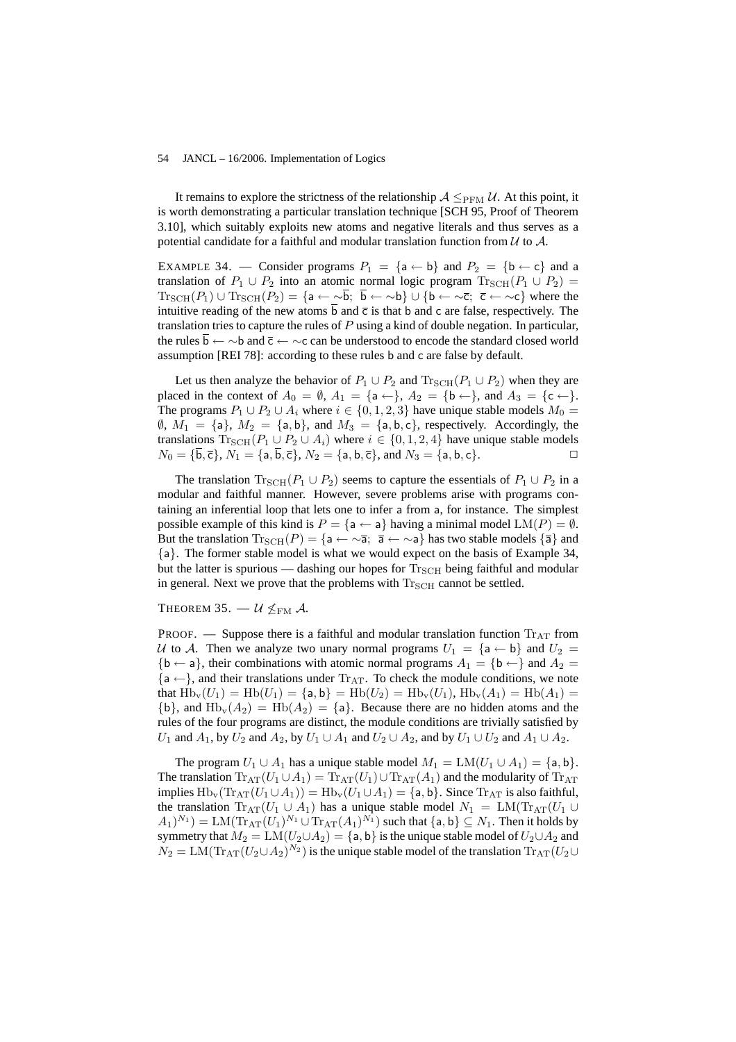It remains to explore the strictness of the relationship  $A \leq_{PFM} U$ . At this point, it is worth demonstrating a particular translation technique [SCH 95, Proof of Theorem 3.10], which suitably exploits new atoms and negative literals and thus serves as a potential candidate for a faithful and modular translation function from  $\mathcal U$  to  $\mathcal A$ .

EXAMPLE 34. — Consider programs  $P_1 = \{a \leftarrow b\}$  and  $P_2 = \{b \leftarrow c\}$  and a translation of  $P_1 \cup P_2$  into an atomic normal logic program  $\text{Tr}_{\text{SCH}}(P_1 \cup P_2)$  =  $\text{Tr}_{\text{SCH}}(P_1) \cup \text{Tr}_{\text{SCH}}(P_2) = \{ \mathsf{a} \leftarrow \sim \overline{\mathsf{b}}; \ \overline{\mathsf{b}} \leftarrow \sim \mathsf{b} \} \cup \{ \mathsf{b} \leftarrow \sim \overline{\mathsf{c}}; \ \overline{\mathsf{c}} \leftarrow \sim \mathsf{c} \}$  where the intuitive reading of the new atoms  $\overline{b}$  and  $\overline{c}$  is that b and c are false, respectively. The translation tries to capture the rules of  $P$  using a kind of double negation. In particular, the rules b ←  $\sim$ b and  $\bar{c}$  ←  $\sim$ c can be understood to encode the standard closed world assumption [REI 78]: according to these rules b and c are false by default.

Let us then analyze the behavior of  $P_1 \cup P_2$  and  $\text{Tr}_{\text{SCH}}(P_1 \cup P_2)$  when they are placed in the context of  $A_0 = \emptyset$ ,  $A_1 = \{a \leftarrow\}$ ,  $A_2 = \{b \leftarrow\}$ , and  $A_3 = \{c \leftarrow\}$ . The programs  $P_1 \cup P_2 \cup A_i$  where  $i \in \{0, 1, 2, 3\}$  have unique stable models  $M_0 =$  $\emptyset$ ,  $M_1 = \{a\}$ ,  $M_2 = \{a, b\}$ , and  $M_3 = \{a, b, c\}$ , respectively. Accordingly, the translations  $\text{Tr}_{\text{SCH}}(P_1 \cup P_2 \cup A_i)$  where  $i \in \{0, 1, 2, 4\}$  have unique stable models  $N_0 = {\{\overline{\mathbf{b}}, \overline{\mathbf{c}}\}}, N_1 = {\{\mathbf{a}, \overline{\mathbf{b}}, \overline{\mathbf{c}}\}}, N_2 = {\{\mathbf{a}, \mathbf{b}, \overline{\mathbf{c}}\}}, \text{ and } N_3 = {\{\mathbf{a}, \mathbf{b}, \mathbf{c}\}}.$ 

The translation  $\text{Tr}_{\text{SCH}}(P_1 \cup P_2)$  seems to capture the essentials of  $P_1 \cup P_2$  in a modular and faithful manner. However, severe problems arise with programs containing an inferential loop that lets one to infer a from a, for instance. The simplest possible example of this kind is  $P = \{a \leftarrow a\}$  having a minimal model  $LM(P) = \emptyset$ . But the translation  $\text{Tr}_{\text{SCH}}(P) = \{a \leftarrow \tilde{\alpha}; \overline{a} \leftarrow \tilde{\alpha}\}$  has two stable models  $\{\overline{a}\}\$  and {a}. The former stable model is what we would expect on the basis of Example 34, but the latter is spurious — dashing our hopes for  $T_{SCH}$  being faithful and modular in general. Next we prove that the problems with  $T_{\text{SCH}}$  cannot be settled.

# THEOREM 35.  $U \nleq_{\text{FM}} A$ .

PROOF. — Suppose there is a faithful and modular translation function  $Tr_{AT}$  from U to A. Then we analyze two unary normal programs  $U_1 = \{a \leftarrow b\}$  and  $U_2 =$  ${b \leftarrow a}$ , their combinations with atomic normal programs  $A_1 = {b \leftarrow}$  and  $A_2 =$  ${a \leftarrow}$ , and their translations under Tr<sub>AT</sub>. To check the module conditions, we note that  $Hb_v(U_1) = Hb(U_1) = \{a, b\} = Hb(U_2) = Hb_v(U_1)$ ,  $Hb_v(A_1) = Hb(A_1) =$  ${b}$ , and  $Hb_v(A_2) = Hb(A_2) = {a}$ . Because there are no hidden atoms and the rules of the four programs are distinct, the module conditions are trivially satisfied by  $U_1$  and  $A_1$ , by  $U_2$  and  $A_2$ , by  $U_1 \cup A_1$  and  $U_2 \cup A_2$ , and by  $U_1 \cup U_2$  and  $A_1 \cup A_2$ .

The program  $U_1 \cup A_1$  has a unique stable model  $M_1 = LM(U_1 \cup A_1) = \{a, b\}.$ The translation  $\text{Tr}_{AT}(U_1 \cup A_1) = \text{Tr}_{AT}(U_1) \cup \text{Tr}_{AT}(A_1)$  and the modularity of  $\text{Tr}_{AT}$ implies  $\text{Hb}_{\text{v}}(\text{Tr}_{\text{AT}}(U_1 \cup A_1)) = \text{Hb}_{\text{v}}(U_1 \cup A_1) = \{\textsf{a},\textsf{b}\}.$  Since  $\text{Tr}_{\text{AT}}$  is also faithful, the translation  $\text{Tr}_{\text{AT}}(U_1 \cup A_1)$  has a unique stable model  $N_1 = \text{LM}(\text{Tr}_{\text{AT}}(U_1 \cup A_1))$  $(A_1)^{N_1}) = \mathrm{LM}(\mathrm{Tr}_{\mathrm{AT}}(U_1)^{N_1} \cup \mathrm{Tr}_{\mathrm{AT}}(A_1)^{N_1})$  such that  $\{\mathsf{a},\mathsf{b}\} \subseteq N_1.$  Then it holds by symmetry that  $M_2 = LM(U_2 \cup A_2) = \{a, b\}$  is the unique stable model of  $U_2 \cup A_2$  and  $N_2 = \text{LM}(\text{Tr}_{\text{AT}}(U_2 \cup A_2)^{N_2})$  is the unique stable model of the translation  $\text{Tr}_{\text{AT}}(U_2 \cup$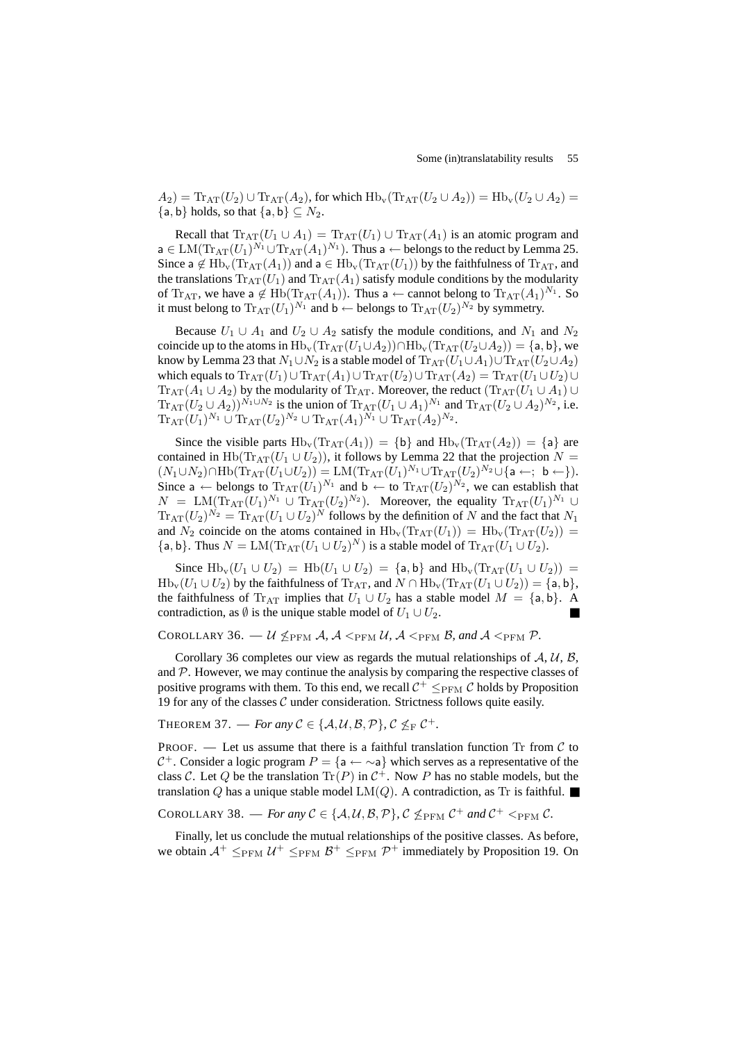$A_2$ ) = Tr<sub>AT</sub>( $U_2$ )  $\cup$  Tr<sub>AT</sub>( $A_2$ ), for which  $Hb_v$ (Tr<sub>AT</sub>( $U_2 \cup A_2$ )) =  $Hb_v(U_2 \cup A_2)$  =  ${a, b}$  holds, so that  ${a, b} \subset N_2$ .

Recall that  $\text{Tr}_{AT}(U_1 \cup A_1) = \text{Tr}_{AT}(U_1) \cup \text{Tr}_{AT}(A_1)$  is an atomic program and  $\mathsf{a}\in\mathrm{LM}(\mathrm{Tr}_{\mathrm{AT}}(U_1)^{N_1}\cup\mathrm{Tr}_{\mathrm{AT}}(A_1)^{N_1}).$  Thus  $\mathsf{a}\leftarrow$  belongs to the reduct by Lemma 25. Since a  $\notin$  Hb<sub>v</sub>(Tr<sub>AT</sub>(A<sub>1</sub>)) and a  $\in$  Hb<sub>v</sub>(Tr<sub>AT</sub>(U<sub>1</sub>)) by the faithfulness of Tr<sub>AT</sub>, and the translations  $Tr_{AT}(U_1)$  and  $Tr_{AT}(A_1)$  satisfy module conditions by the modularity of  $\text{Tr}_{AT}$ , we have a  $\notin \text{Hb}(\text{Tr}_{AT}(A_1))$ . Thus a  $\leftarrow$  cannot belong to  $\text{Tr}_{AT}(A_1)^{N_1}$ . So it must belong to  $\text{Tr}_{\text{AT}}(U_1)^{N_1}$  and b  $\leftarrow$  belongs to  $\text{Tr}_{\text{AT}}(U_2)^{N_2}$  by symmetry.

Because  $U_1 \cup A_1$  and  $U_2 \cup A_2$  satisfy the module conditions, and  $N_1$  and  $N_2$ coincide up to the atoms in Hb<sub>v</sub>(Tr<sub>AT</sub>( $U_1 \cup A_2$ ))∩Hb<sub>v</sub>(Tr<sub>AT</sub>( $U_2 \cup A_2$ )) = {a, b}, we know by Lemma 23 that  $N_1 \cup N_2$  is a stable model of  $\text{Tr}_{AT}(U_1 \cup A_1) \cup \text{Tr}_{AT}(U_2 \cup A_2)$ which equals to  $\text{Tr}_{AT}(U_1) \cup \text{Tr}_{AT}(A_1) \cup \text{Tr}_{AT}(U_2) \cup \text{Tr}_{AT}(A_2) = \text{Tr}_{AT}(U_1 \cup U_2) \cup$  $\text{Tr}_{\text{AT}}(A_1 \cup A_2)$  by the modularity of  $\text{Tr}_{\text{AT}}$ . Moreover, the reduct  $(\text{Tr}_{\text{AT}}(U_1 \cup A_1) \cup$  $\text{Tr}_{\text{AT}}(U_2 \cup A_2))^{N_1 \cup N_2}$  is the union of  $\text{Tr}_{\text{AT}}(U_1 \cup A_1)^{N_1}$  and  $\text{Tr}_{\text{AT}}(U_2 \cup A_2)^{N_2}$ , i.e.  $\text{Tr}_{\text{AT}}(U_1)^{N_1} \cup \text{Tr}_{\text{AT}}(U_2)^{N_2} \cup \text{Tr}_{\text{AT}}(A_1)^{N_1} \cup \text{Tr}_{\text{AT}}(A_2)^{N_2}.$ 

Since the visible parts  $Hb_v(Tr_{AT}(A_1)) = \{b\}$  and  $Hb_v(Tr_{AT}(A_2)) = \{a\}$  are contained in Hb(Tr<sub>AT</sub>( $U_1 \cup U_2$ )), it follows by Lemma 22 that the projection  $N =$  $(N_1 \cup N_2) \cap \text{Hb}(\text{Tr}_{\text{AT}}(U_1 \cup U_2)) = \text{LM}(\text{Tr}_{\text{AT}}(U_1)^{N_1} \cup \text{Tr}_{\text{AT}}(U_2)^{N_2} \cup \{ \mathsf{a} \leftarrow; \mathsf{b} \leftarrow \}).$ Since a  $\leftarrow$  belongs to  $\text{Tr}_{\text{AT}}(U_1)^{N_1}$  and  $b \leftarrow$  to  $\text{Tr}_{\text{AT}}(U_2)^{N_2}$ , we can establish that  $N = LM(\text{Tr}_{AT}(U_1)^{N_1} \cup \text{Tr}_{AT}(U_2)^{N_2})$ . Moreover, the equality  $\text{Tr}_{AT}(U_1)^{N_1} \cup$  $\text{Tr}_{\text{AT}}(U_2)^{N_2} = \text{Tr}_{\text{AT}}(U_1 \cup U_2)^N$  follows by the definition of N and the fact that  $N_1$ and  $N_2$  coincide on the atoms contained in  $Hb_v(Tr_{AT}(U_1)) = Hb_v(Tr_{AT}(U_2)) =$ {a, b}. Thus  $N = LM(\text{Tr}_{AT}(U_1 \cup U_2)^N)$  is a stable model of  $\text{Tr}_{AT}(U_1 \cup U_2)$ .

Since  $\text{Hb}_v(U_1 \cup U_2) = \text{Hb}(U_1 \cup U_2) = \{a, b\}$  and  $\text{Hb}_v(\text{Tr}_{AT}(U_1 \cup U_2)) =$  $Hb_v(U_1 \cup U_2)$  by the faithfulness of  $Tr_{AT}$ , and  $N \cap Hb_v(Tr_{AT}(U_1 \cup U_2)) = \{a, b\}$ , the faithfulness of Tr<sub>AT</sub> implies that  $U_1 \cup U_2$  has a stable model  $M = \{a, b\}$ . A contradiction, as  $\emptyset$  is the unique stable model of  $U_1 \cup U_2$ .

# COROLLARY 36.  $-$  U  $\leq_{PFM}$  A, A  $\leq_{PFM}$  U, A  $\leq_{PFM}$  B, and A  $\leq_{PFM}$  P.

Corollary 36 completes our view as regards the mutual relationships of  $A, U, B$ , and  $P$ . However, we may continue the analysis by comparing the respective classes of positive programs with them. To this end, we recall  $C^+ \leq_{\text{PFM}} C$  holds by Proposition 19 for any of the classes  $C$  under consideration. Strictness follows quite easily.

THEOREM 37. — *For any*  $C \in \{A, U, B, P\}$ ,  $C \nleq_F C^+$ .

PROOF. — Let us assume that there is a faithful translation function Tr from  $\mathcal C$  to C<sup>+</sup>. Consider a logic program  $P = \{a \leftarrow \sim a\}$  which serves as a representative of the class C. Let Q be the translation  $\text{Tr}(P)$  in  $\mathcal{C}^+$ . Now P has no stable models, but the translation Q has a unique stable model  $LM(Q)$ . A contradiction, as Tr is faithful.

# COROLLARY 38. — *For any*  $C \in \{A, U, B, P\}$ ,  $C \nleq_{PFM} C^+$  and  $C^+ \nleq_{PFM} C$ .

Finally, let us conclude the mutual relationships of the positive classes. As before, we obtain  $A^+ \leq_{PFM} U^+ \leq_{PFM} B^+ \leq_{PFM} \mathcal{P}^+$  immediately by Proposition 19. On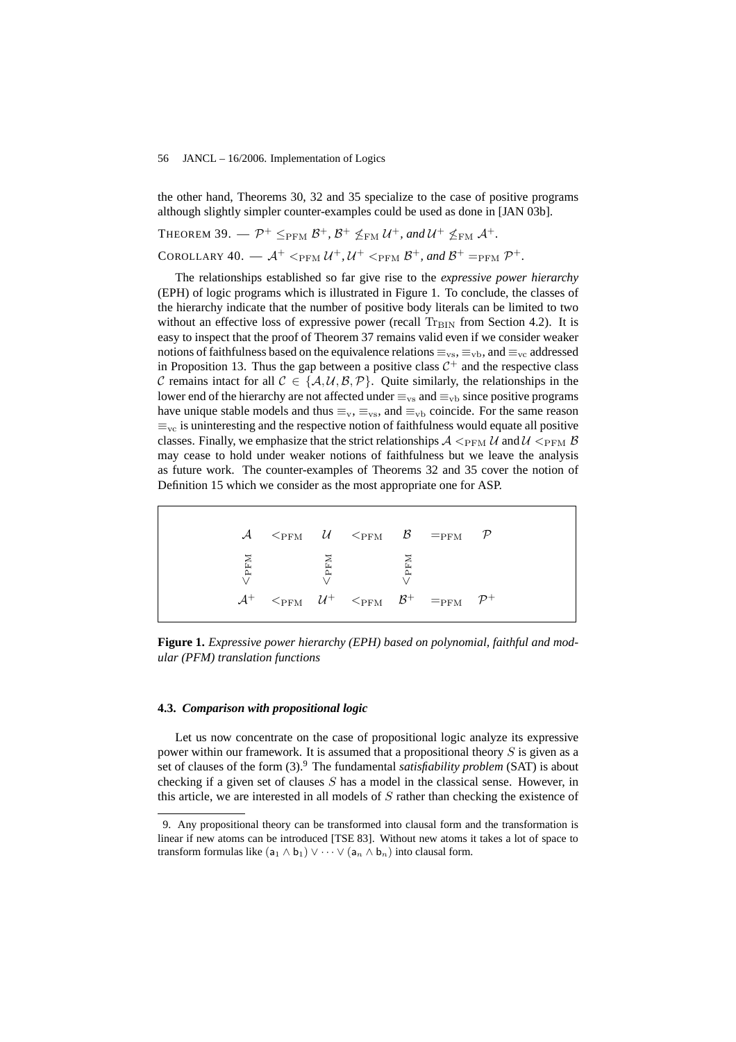the other hand, Theorems 30, 32 and 35 specialize to the case of positive programs although slightly simpler counter-examples could be used as done in [JAN 03b].

THEOREM 39.  $-\mathcal{P}^+ \leq_{\text{PFM}} \mathcal{B}^+, \mathcal{B}^+ \not\leq_{\text{FM}} \mathcal{U}^+,$  and  $\mathcal{U}^+ \not\leq_{\text{FM}} \mathcal{A}^+.$ COROLLARY  $40. - A^+ <_{\text{PFM}} U^+$ ,  $U^+ <_{\text{PFM}} B^+$ , and  $B^+ =_{\text{PFM}} P^+.$ 

The relationships established so far give rise to the *expressive power hierarchy* (EPH) of logic programs which is illustrated in Figure 1. To conclude, the classes of the hierarchy indicate that the number of positive body literals can be limited to two without an effective loss of expressive power (recall  $T_{\rm BIN}$  from Section 4.2). It is easy to inspect that the proof of Theorem 37 remains valid even if we consider weaker notions of faithfulness based on the equivalence relations  $\equiv_{vs}$ ,  $\equiv_{vb}$ , and  $\equiv_{vc}$  addressed in Proposition 13. Thus the gap between a positive class  $C^+$  and the respective class C remains intact for all  $C \in \{A, \mathcal{U}, \mathcal{B}, \mathcal{P}\}\$ . Quite similarly, the relationships in the lower end of the hierarchy are not affected under  $\equiv_{vs}$  and  $\equiv_{vb}$  since positive programs have unique stable models and thus  $\equiv_v, \equiv_{vs}$ , and  $\equiv_{vb}$  coincide. For the same reason  $\equiv_{\text{vc}}$  is uninteresting and the respective notion of faithfulness would equate all positive classes. Finally, we emphasize that the strict relationships  $A \leq_{\text{PFM}} U$  and  $U \leq_{\text{PFM}} B$ may cease to hold under weaker notions of faithfulness but we leave the analysis as future work. The counter-examples of Theorems 32 and 35 cover the notion of Definition 15 which we consider as the most appropriate one for ASP.

|  |                          |  | $\mathcal{A}$ $\leq_{\text{PFM}}$ $\mathcal{U}$ $\leq_{\text{PFM}}$ $\mathcal{B}$ $\equiv_{\text{PFM}}$ $\mathcal{P}$         |  |
|--|--------------------------|--|-------------------------------------------------------------------------------------------------------------------------------|--|
|  | WER<br>WERE<br>WERE WERE |  |                                                                                                                               |  |
|  |                          |  | $\mathcal{A}^+$ $\leq_{\text{PFM}}$ $\mathcal{U}^+$ $\leq_{\text{PFM}}$ $\mathcal{B}^+$ $\equiv_{\text{PFM}}$ $\mathcal{P}^+$ |  |

**Figure 1.** *Expressive power hierarchy (EPH) based on polynomial, faithful and modular (PFM) translation functions*

# **4.3.** *Comparison with propositional logic*

Let us now concentrate on the case of propositional logic analyze its expressive power within our framework. It is assumed that a propositional theory S is given as a set of clauses of the form (3).<sup>9</sup> The fundamental *satisfiability problem* (SAT) is about checking if a given set of clauses S has a model in the classical sense. However, in this article, we are interested in all models of  $S$  rather than checking the existence of

<sup>9.</sup> Any propositional theory can be transformed into clausal form and the transformation is linear if new atoms can be introduced [TSE 83]. Without new atoms it takes a lot of space to transform formulas like  $(a_1 \wedge b_1) \vee \cdots \vee (a_n \wedge b_n)$  into clausal form.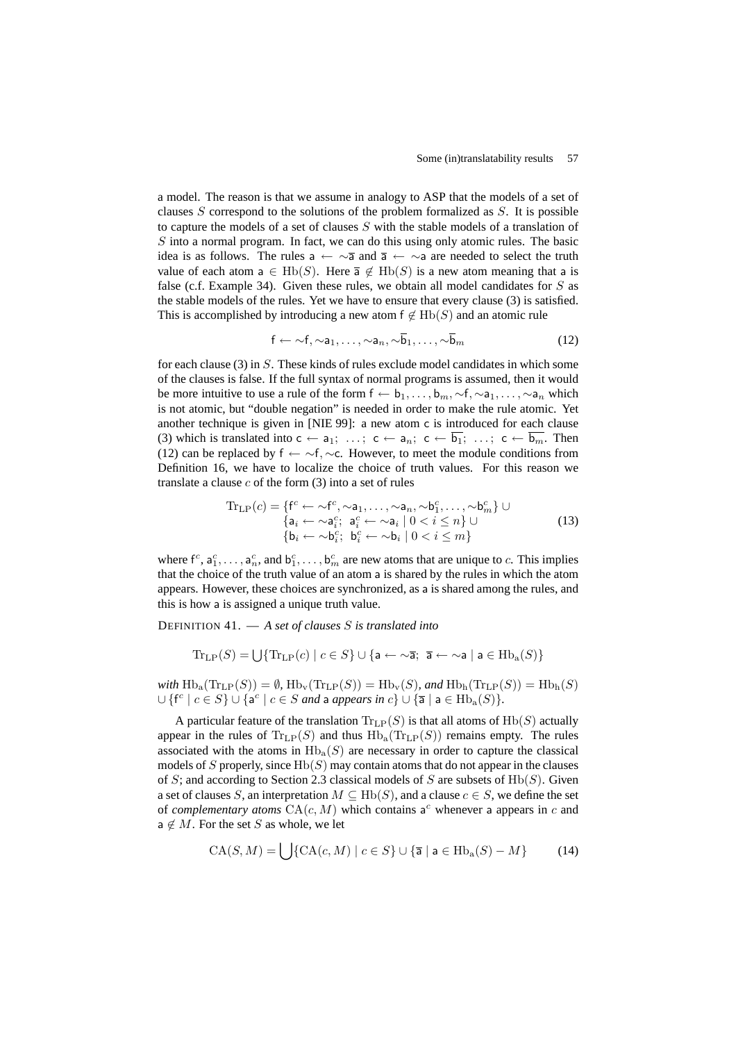a model. The reason is that we assume in analogy to ASP that the models of a set of clauses  $S$  correspond to the solutions of the problem formalized as  $S$ . It is possible to capture the models of a set of clauses S with the stable models of a translation of  $S$  into a normal program. In fact, we can do this using only atomic rules. The basic idea is as follows. The rules a ←  $\sim$ a and a ←  $\sim$ a are needed to select the truth value of each atom  $a \in \text{Hb}(S)$ . Here  $\overline{a} \notin \text{Hb}(S)$  is a new atom meaning that a is false (c.f. Example 34). Given these rules, we obtain all model candidates for  $S$  as the stable models of the rules. Yet we have to ensure that every clause (3) is satisfied. This is accomplished by introducing a new atom  $f \notin Hb(S)$  and an atomic rule

$$
\mathsf{f} \leftarrow \sim \mathsf{f}, \sim \mathsf{a}_1, \ldots, \sim \mathsf{a}_n, \sim \overline{\mathsf{b}}_1, \ldots, \sim \overline{\mathsf{b}}_m \tag{12}
$$

for each clause (3) in S. These kinds of rules exclude model candidates in which some of the clauses is false. If the full syntax of normal programs is assumed, then it would be more intuitive to use a rule of the form  $f \leftarrow b_1, \ldots, b_m, \sim f, \sim a_1, \ldots, \sim a_n$  which is not atomic, but "double negation" is needed in order to make the rule atomic. Yet another technique is given in [NIE 99]: a new atom c is introduced for each clause (3) which is translated into  $c \leftarrow a_1; \ldots; c \leftarrow a_n; c \leftarrow \overline{b_1}; \ldots; c \leftarrow \overline{b_m}$ . Then (12) can be replaced by  $f \leftarrow \neg f, \neg c$ . However, to meet the module conditions from Definition 16, we have to localize the choice of truth values. For this reason we translate a clause  $c$  of the form  $(3)$  into a set of rules

$$
\operatorname{Tr}_{\text{LP}}(c) = \left\{ \begin{matrix} f^c \leftarrow \sim f^c, \sim a_1, \dots, \sim a_n, \sim b_1^c, \dots, \sim b_m^c \right\} \cup \\ \left\{ a_i \leftarrow \sim a_i^c; \ a_i^c \leftarrow \sim a_i \mid 0 < i \leq n \right\} \cup \\ \left\{ b_i \leftarrow \sim b_i^c; \ b_i^c \leftarrow \sim b_i \mid 0 < i \leq m \right\} \end{matrix} \right\} \tag{13}
$$

where  $f^c, a_1^c, \ldots, a_n^c$ , and  $b_1^c, \ldots, b_m^c$  are new atoms that are unique to c. This implies that the choice of the truth value of an atom a is shared by the rules in which the atom appears. However, these choices are synchronized, as a is shared among the rules, and this is how a is assigned a unique truth value.

DEFINITION 41. — *A set of clauses* S *is translated into*

$$
\operatorname{Tr}_{\text{LP}}(S) = \bigcup \{ \operatorname{Tr}_{\text{LP}}(c) \mid c \in S \} \cup \{ \mathsf{a} \leftarrow \sim \overline{\mathsf{a}}; \ \overline{\mathsf{a}} \leftarrow \sim \mathsf{a} \mid \mathsf{a} \in \text{Hb}_{\text{a}}(S) \}
$$

 $with \operatorname{Hb}_a(\operatorname{Tr}_{\operatorname{LP}}(S)) = \emptyset$ ,  $\operatorname{Hb}_v(\operatorname{Tr}_{\operatorname{LP}}(S)) = \operatorname{Hb}_v(S)$ *, and*  $\operatorname{Hb}_h(\operatorname{Tr}_{\operatorname{LP}}(S)) = \operatorname{Hb}_h(S)$  $\cup$  {f<sup>c</sup> |  $c \in S$ }  $\cup$  {a<sup>c</sup> |  $c \in S$  *and* a *appears in*  $c$ }  $\cup$  {**a** | **a** ∈ Hb<sub>a</sub> $(S)$ }.

A particular feature of the translation  $\text{Tr}_{\text{LP}}(S)$  is that all atoms of  $\text{Hb}(S)$  actually appear in the rules of  $\text{Tr}_{\text{LP}}(S)$  and thus  $\text{Hb}_a(\text{Tr}_{\text{LP}}(S))$  remains empty. The rules associated with the atoms in  $\text{Hb}_a(S)$  are necessary in order to capture the classical models of S properly, since  $Hb(S)$  may contain atoms that do not appear in the clauses of S; and according to Section 2.3 classical models of S are subsets of  $Hb(S)$ . Given a set of clauses S, an interpretation  $M \subseteq \text{Hb}(S)$ , and a clause  $c \in S$ , we define the set of *complementary atoms*  $CA(c, M)$  which contains  $a^c$  whenever a appears in c and  $a \notin M$ . For the set S as whole, we let

$$
CA(S, M) = \bigcup \{ CA(c, M) \mid c \in S \} \cup \{ \overline{a} \mid a \in Hb_a(S) - M \}
$$
 (14)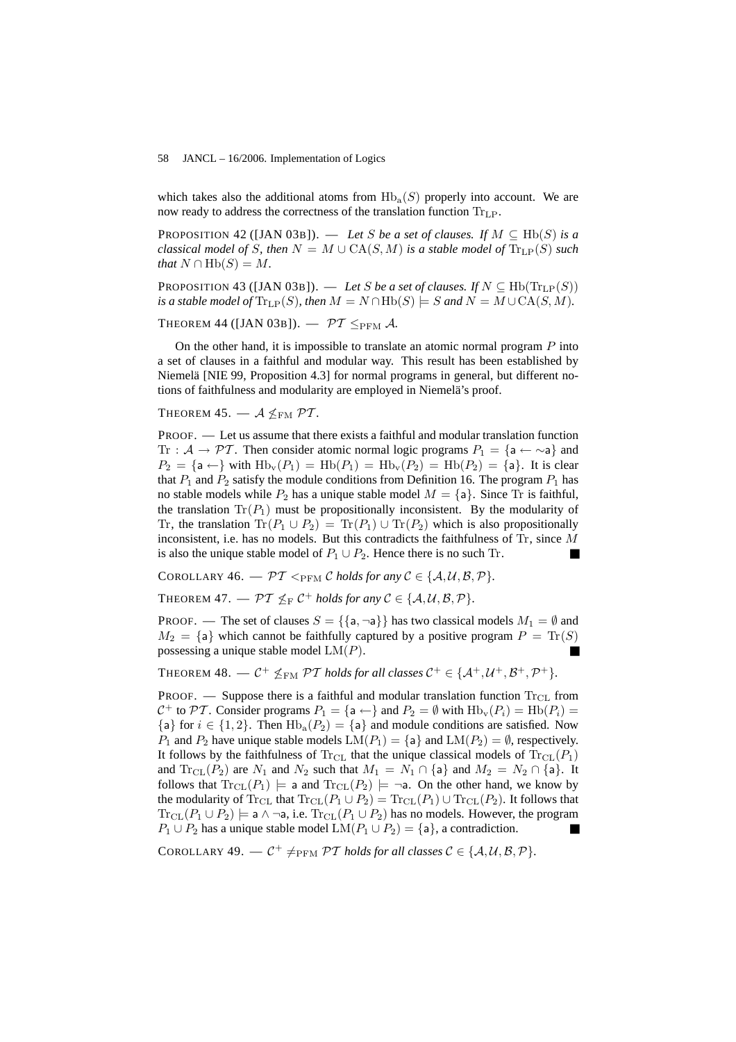which takes also the additional atoms from  $Hb<sub>a</sub>(S)$  properly into account. We are now ready to address the correctness of the translation function  $Tr_{LP}$ .

PROPOSITION 42 ([JAN 03B]). — Let S be a set of clauses. If  $M \subseteq \text{Hb}(S)$  is a *classical model of S, then*  $N = M \cup CA(S, M)$  *is a stable model of*  $Tr_{LP}(S)$  *such that*  $N \cap \text{Hb}(S) = M$ .

PROPOSITION 43 ([JAN 03B]). — Let S be a set of clauses. If  $N \subseteq \text{Hb}(\text{Tr}_{\text{LP}}(S))$ *is a stable model of*  $\text{Tr}_{\text{LP}}(S)$ *, then*  $M = N \cap \text{Hb}(S) \models S$  *and*  $N = M \cup \text{CA}(S, M)$ *.* 

THEOREM 44 ([JAN 03B]).  $\mathcal{PT}$   $\leq_{\text{PFM}}$  A.

On the other hand, it is impossible to translate an atomic normal program  $P$  into a set of clauses in a faithful and modular way. This result has been established by Niemelä [NIE 99, Proposition 4.3] for normal programs in general, but different notions of faithfulness and modularity are employed in Niemelä's proof.

THEOREM 45.  $-$  A  $\leq$ <sub>FM</sub>  $\mathcal{PT}$ *.* 

PROOF. — Let us assume that there exists a faithful and modular translation function Tr :  $A \rightarrow \mathcal{PT}$ . Then consider atomic normal logic programs  $P_1 = \{a \leftarrow \sim a\}$  and  $P_2 = \{a \leftarrow\}$  with  $\text{Hb}_v(P_1) = \text{Hb}(P_1) = \text{Hb}_v(P_2) = \text{Hb}(P_2) = \{a\}$ . It is clear that  $P_1$  and  $P_2$  satisfy the module conditions from Definition 16. The program  $P_1$  has no stable models while  $P_2$  has a unique stable model  $M = \{a\}$ . Since Tr is faithful, the translation  $Tr(P_1)$  must be propositionally inconsistent. By the modularity of Tr, the translation  $\text{Tr}(P_1 \cup P_2) = \text{Tr}(P_1) \cup \text{Tr}(P_2)$  which is also propositionally inconsistent, i.e. has no models. But this contradicts the faithfulness of  $\text{Tr}$ , since M is also the unique stable model of  $P_1 \cup P_2$ . Hence there is no such Tr.

COROLLARY 46. —  $\mathcal{PT}$  <  $_{\text{PFM}}$  C *holds for any*  $\mathcal{C} \in \{A, \mathcal{U}, \mathcal{B}, \mathcal{P}\}.$ 

THEOREM 47.  $-\mathcal{PT} \nleq_F C^+$  *holds for any*  $C \in \{\mathcal{A}, \mathcal{U}, \mathcal{B}, \mathcal{P}\}.$ 

PROOF. — The set of clauses  $S = \{\{a, \neg a\}\}\$  has two classical models  $M_1 = \emptyset$  and  $M_2 = \{a\}$  which cannot be faithfully captured by a positive program  $P = \text{Tr}(S)$ possessing a unique stable model  $LM(P)$ .

THEOREM 48.  $\mathcal{L} \subset \mathcal{C}^+ \nleq_{\text{FM}} \mathcal{PT}$  *holds for all classes*  $\mathcal{C}^+ \in \{ \mathcal{A}^+, \mathcal{U}^+, \mathcal{B}^+, \mathcal{P}^+ \}.$ 

PROOF. — Suppose there is a faithful and modular translation function  $Tr_{CL}$  from  $C^+$  to  $\mathcal{PT}$ . Consider programs  $P_1 = \{a \leftarrow\}$  and  $P_2 = \emptyset$  with  $\text{Hb}_v(P_i) = \text{Hb}(P_i)$  ${a}$  for  $i \in \{1,2\}$ . Then  $Hb_a(P_2) = {a}$  and module conditions are satisfied. Now  $P_1$  and  $P_2$  have unique stable models  $LM(P_1) = \{a\}$  and  $LM(P_2) = \emptyset$ , respectively. It follows by the faithfulness of  $\text{Tr}_{\text{CL}}$  that the unique classical models of  $\text{Tr}_{\text{CL}}(P_1)$ and  $\text{Tr}_{\text{CL}}(P_2)$  are  $N_1$  and  $N_2$  such that  $M_1 = N_1 \cap \{a\}$  and  $M_2 = N_2 \cap \{a\}$ . It follows that  $\text{Tr}_{\text{CL}}(P_1)$   $\models$  a and  $\text{Tr}_{\text{CL}}(P_2)$   $\models \neg$ a. On the other hand, we know by the modularity of Tr<sub>CL</sub> that  $Tr_{CL}(P_1 \cup P_2) = Tr_{CL}(P_1) \cup Tr_{CL}(P_2)$ . It follows that  $\text{Tr}_{\text{CL}}(P_1 \cup P_2) \models$  a  $\wedge \neg a$ , i.e.  $\text{Tr}_{\text{CL}}(P_1 \cup P_2)$  has no models. However, the program  $P_1 \cup P_2$  has a unique stable model  $LM(P_1 \cup P_2) = \{a\}$ , a contradiction.

COROLLARY 49.  $\mathcal{C}^+ \neq_{\text{PFM}} \mathcal{PT}$  *holds for all classes*  $\mathcal{C} \in \{A, \mathcal{U}, \mathcal{B}, \mathcal{P}\}.$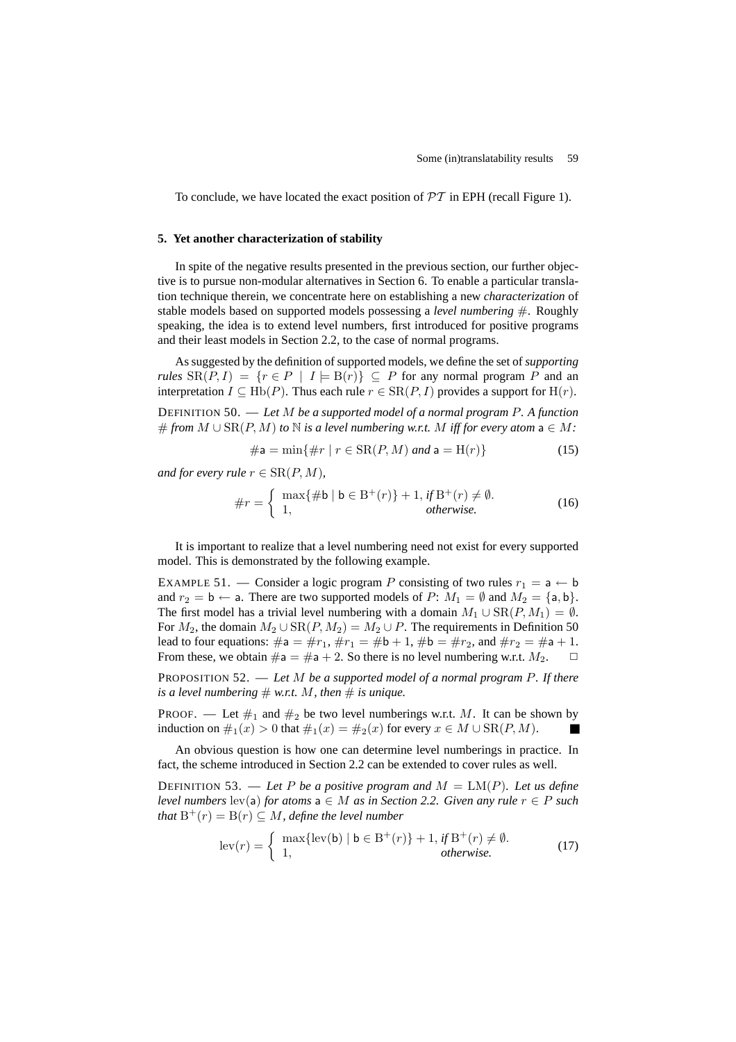To conclude, we have located the exact position of  $\mathcal{PT}$  in EPH (recall Figure 1).

# **5. Yet another characterization of stability**

In spite of the negative results presented in the previous section, our further objective is to pursue non-modular alternatives in Section 6. To enable a particular translation technique therein, we concentrate here on establishing a new *characterization* of stable models based on supported models possessing a *level numbering* #. Roughly speaking, the idea is to extend level numbers, first introduced for positive programs and their least models in Section 2.2, to the case of normal programs.

As suggested by the definition of supported models, we define the set of *supporting rules*  $SR(P, I) = \{r \in P \mid I \models B(r)\} \subseteq P$  for any normal program P and an interpretation  $I \subseteq \text{Hb}(P)$ . Thus each rule  $r \in \text{SR}(P, I)$  provides a support for  $\text{H}(r)$ .

DEFINITION 50. — *Let* M *be a supported model of a normal program* P*. A function* # from  $M \cup \text{SR}(P, M)$  to  $N$  *is a level numbering w.r.t.* M *iff for every atom*  $a \in M$ *:* 

$$
\# \mathsf{a} = \min\{\#r \mid r \in \text{SR}(P, M) \text{ and } \mathsf{a} = \text{H}(r)\}\tag{15}
$$

*and for every rule*  $r \in \text{SR}(P, M)$ *,* 

$$
\#r = \begin{cases} \max\{\# \mathsf{b} \mid \mathsf{b} \in \mathsf{B}^+(r)\} + 1, & \text{if } \mathsf{B}^+(r) \neq \emptyset. \\ 1, & \text{otherwise.} \end{cases} \tag{16}
$$

It is important to realize that a level numbering need not exist for every supported model. This is demonstrated by the following example.

EXAMPLE 51. — Consider a logic program P consisting of two rules  $r_1 = a \leftarrow b$ and  $r_2 = \mathsf{b} \leftarrow \mathsf{a}$ . There are two supported models of  $P: M_1 = \emptyset$  and  $M_2 = \{\mathsf{a}, \mathsf{b}\}.$ The first model has a trivial level numbering with a domain  $M_1 \cup \text{SR}(P, M_1) = \emptyset$ . For  $M_2$ , the domain  $M_2 \cup \text{SR}(P, M_2) = M_2 \cup P$ . The requirements in Definition 50 lead to four equations:  $\#a = \#r_1$ ,  $\#r_1 = \#b + 1$ ,  $\#b = \#r_2$ , and  $\#r_2 = \#a + 1$ . From these, we obtain  $\#a = \#a + 2$ . So there is no level numbering w.r.t.  $M_2$ .  $\Box$ 

PROPOSITION 52. — *Let* M *be a supported model of a normal program* P*. If there is a level numbering*  $# w.r.t. M, then \# is unique.$ 

PROOF. — Let  $\#_1$  and  $\#_2$  be two level numberings w.r.t. M. It can be shown by induction on  $\#_1(x) > 0$  that  $\#_1(x) = \#_2(x)$  for every  $x \in M \cup \text{SR}(P, M)$ .

An obvious question is how one can determine level numberings in practice. In fact, the scheme introduced in Section 2.2 can be extended to cover rules as well.

DEFINITION 53. — Let P be a positive program and  $M = LM(P)$ . Let us define *level numbers* lev(a) *for atoms*  $a \in M$  *as in Section 2.2. Given any rule*  $r \in P$  *such that*  $B^+(r) = B(r) \subseteq M$ *, define the level number* 

$$
\operatorname{lev}(r) = \begin{cases} \max\{\operatorname{lev}(\mathsf{b}) \mid \mathsf{b} \in \mathbf{B}^+(r)\} + 1, \text{ if } \mathbf{B}^+(r) \neq \emptyset. \\ 1, \text{ otherwise.} \end{cases} \tag{17}
$$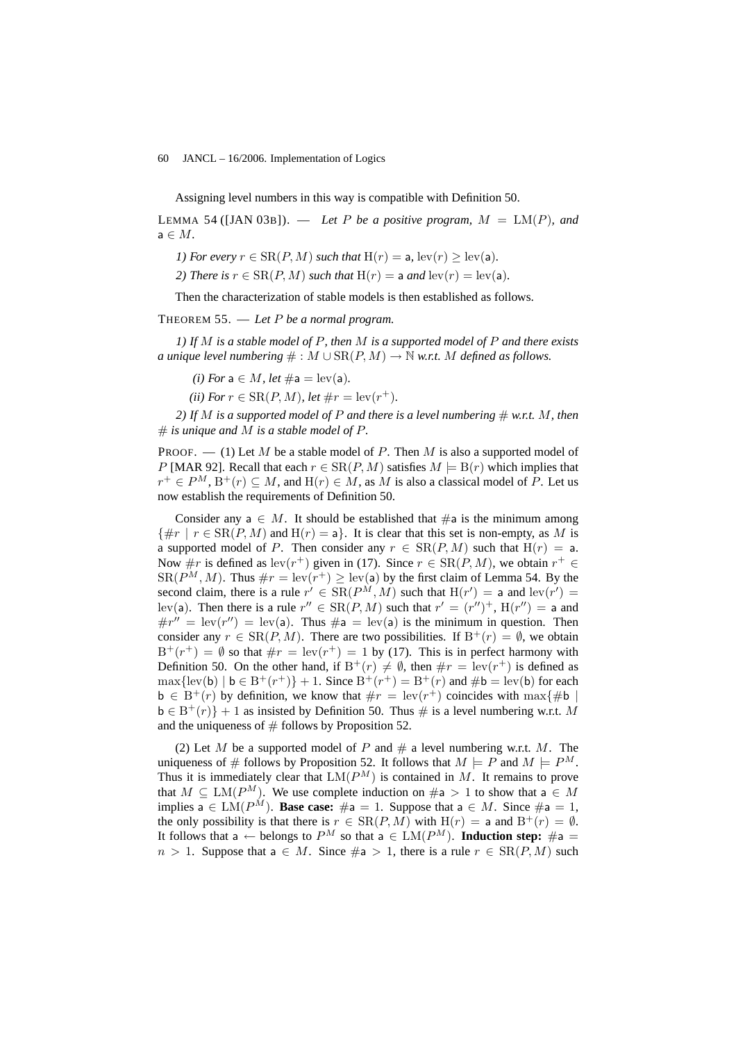Assigning level numbers in this way is compatible with Definition 50.

LEMMA 54 ([JAN 03B]).  $-$  *Let* P *be a positive program,*  $M = LM(P)$ *, and* a ∈ M*.*

*1) For every*  $r \in \text{SR}(P, M)$  *such that*  $H(r) = a$ ,  $lev(r) > lev(a)$ *.* 

*2)* There is  $r \in \text{SR}(P, M)$  such that  $H(r) = a$  and  $lev(r) = lev(a)$ .

Then the characterization of stable models is then established as follows.

THEOREM 55. — *Let* P *be a normal program.*

*1) If* M *is a stable model of* P*, then* M *is a supported model of* P *and there exists a unique level numbering*  $\# : M \cup SR(P, M) \rightarrow \mathbb{N}$  *w.r.t.* M *defined as follows.* 

*(i)* For  $a \in M$ , let  $\#a = \text{lev}(a)$ .

*(ii) For*  $r \in \text{SR}(P, M)$ *, let*  $\#r = \text{lev}(r^+)$ *.* 

*2)* If M is a supported model of P and there is a level numbering  $\#$  w.r.t. M, then  $#$  *is unique and* M *is a stable model of* P.

PROOF.  $-$  (1) Let M be a stable model of P. Then M is also a supported model of P [MAR 92]. Recall that each  $r \in \text{SR}(P, M)$  satisfies  $M \models B(r)$  which implies that  $r^+ \in P^M$ ,  $B^+(r) \subseteq M$ , and  $H(r) \in M$ , as M is also a classical model of P. Let us now establish the requirements of Definition 50.

Consider any  $a \in M$ . It should be established that  $\#a$  is the minimum among  $\{\#r \mid r \in \text{SR}(P, M) \text{ and } H(r) = a\}.$  It is clear that this set is non-empty, as M is a supported model of P. Then consider any  $r \in SR(P, M)$  such that  $H(r) = a$ . Now  $\#r$  is defined as  $lev(r^+)$  given in (17). Since  $r \in SR(P, M)$ , we obtain  $r^+ \in$  $SR(P^M, M)$ . Thus  $\#r = \text{lev}(r^+) \geq \text{lev}(\mathsf{a})$  by the first claim of Lemma 54. By the second claim, there is a rule  $r' \in SR(P^M, M)$  such that  $H(r') = a$  and  $lev(r') =$ lev(a). Then there is a rule  $r'' \in SR(P, M)$  such that  $r' = (r'')^+$ ,  $H(r'') = a$  and  $\#r'' = \text{lev}(r'') = \text{lev}(a)$ . Thus  $\#a = \text{lev}(a)$  is the minimum in question. Then consider any  $r \in SR(P, M)$ . There are two possibilities. If  $B^+(r) = \emptyset$ , we obtain  $B^+(r^+) = \emptyset$  so that  $\#r = \text{lev}(r^+) = 1$  by (17). This is in perfect harmony with Definition 50. On the other hand, if  $B^+(r) \neq \emptyset$ , then  $\#r = \text{lev}(r^+)$  is defined as  $\max{\{\text{lev}(\mathsf{b}) \mid \mathsf{b} \in \mathbb{B}^+(r^+)\} + 1}$ . Since  $\mathbb{B}^+(r^+) = \mathbb{B}^+(r)$  and  $\# \mathsf{b} = \text{lev}(\mathsf{b})$  for each  $\mathbf{b} \in \mathbf{B}^+(r)$  by definition, we know that  $\#r = \text{lev}(r^+)$  coincides with  $\max\{\# \mathbf{b} \mid \mathbf{b}\}$  $\mathbf{b} \in \mathbf{B}^+(r)$  + 1 as insisted by Definition 50. Thus # is a level numbering w.r.t. M and the uniqueness of  $#$  follows by Proposition 52.

(2) Let M be a supported model of P and  $#$  a level numbering w.r.t. M. The uniqueness of # follows by Proposition 52. It follows that  $M \models P$  and  $M \models P^M$ . Thus it is immediately clear that  $LM(P^M)$  is contained in M. It remains to prove that  $M \subseteq LM(P^M)$ . We use complete induction on  $\#a > 1$  to show that  $a \in M$ implies a  $\in LM(P^M)$ . **Base case:**  $\#a = 1$ . Suppose that  $a \in M$ . Since  $\#a = 1$ , the only possibility is that there is  $r \in SR(P, M)$  with  $H(r) = a$  and  $B^{+}(r) = \emptyset$ . It follows that a  $\leftarrow$  belongs to  $P^M$  so that a  $\in$  LM( $P^M$ ). **Induction step:** #a =  $n > 1$ . Suppose that  $a \in M$ . Since  $\#a > 1$ , there is a rule  $r \in SR(P, M)$  such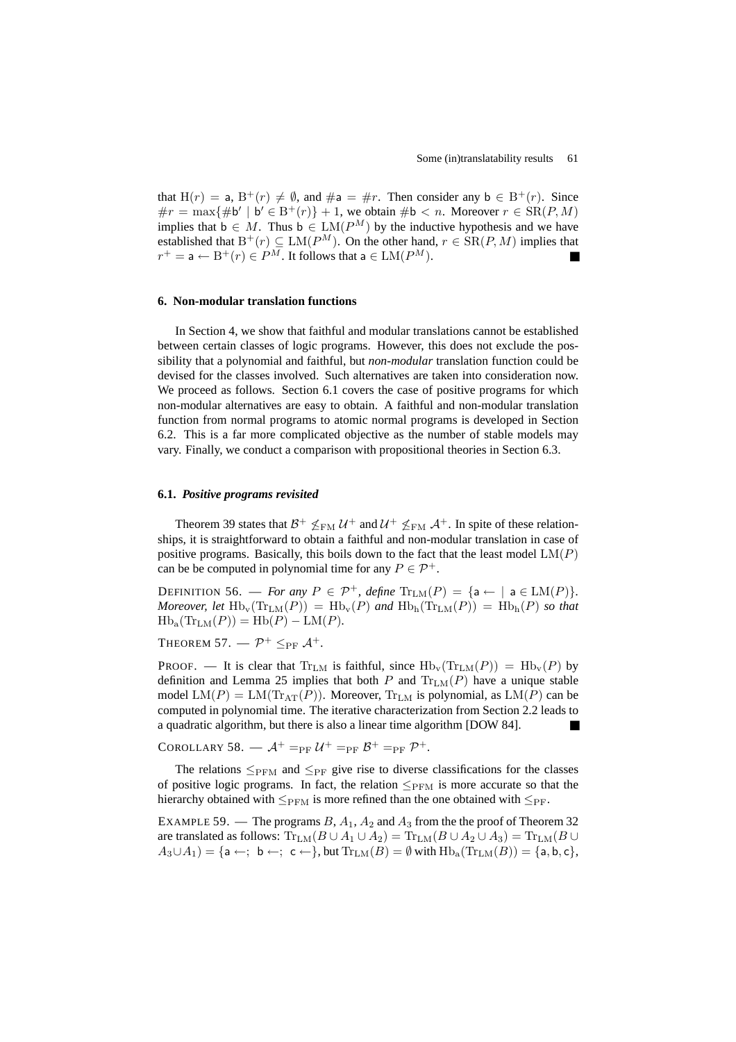that  $H(r) = a$ ,  $B^{+}(r) \neq \emptyset$ , and  $\#a = \#r$ . Then consider any  $b \in B^{+}(r)$ . Since  $\#r = \max{\{\#b' \mid b' \in B^+(r)\} + 1}$ , we obtain  $\#b < n$ . Moreover  $r \in \text{SR}(P, M)$ implies that  $b \in M$ . Thus  $b \in LM(P^M)$  by the inductive hypothesis and we have established that  $B^+(r) \subseteq LM(P^M)$ . On the other hand,  $r \in SR(P, M)$  implies that  $r^+ = a \leftarrow B^+(r) \in P^M$ . It follows that  $a \in LM(P^M)$ .

### **6. Non-modular translation functions**

In Section 4, we show that faithful and modular translations cannot be established between certain classes of logic programs. However, this does not exclude the possibility that a polynomial and faithful, but *non-modular* translation function could be devised for the classes involved. Such alternatives are taken into consideration now. We proceed as follows. Section 6.1 covers the case of positive programs for which non-modular alternatives are easy to obtain. A faithful and non-modular translation function from normal programs to atomic normal programs is developed in Section 6.2. This is a far more complicated objective as the number of stable models may vary. Finally, we conduct a comparison with propositional theories in Section 6.3.

# **6.1.** *Positive programs revisited*

Theorem 39 states that  $B^+ \nleq_{\text{FM}} U^+$  and  $U^+ \nleq_{\text{FM}} A^+$ . In spite of these relationships, it is straightforward to obtain a faithful and non-modular translation in case of positive programs. Basically, this boils down to the fact that the least model  $LM(P)$ can be be computed in polynomial time for any  $P \in \mathcal{P}^+$ .

DEFINITION 56. — *For any*  $P \in \mathcal{P}^+$ *, define*  $\text{Tr}_{LM}(P) = \{a \leftarrow | a \in LM(P)\}.$ *Moreover, let*  $Hb_v(Tr_{LM}(P)) = Hb_v(P)$  *and*  $Hb_h(Tr_{LM}(P)) = Hb_h(P)$  *so that*  $Hb_a(Tr_{LM}(P)) = Hb(P) - LM(P).$ 

Theorem 57.  $\mathcal{P}^+$   $\leq_{\text{PF}} \mathcal{A}^+$ .

PROOF. — It is clear that  $Tr_{LM}$  is faithful, since  $Hb_v(Tr_{LM}(P)) = Hb_v(P)$  by definition and Lemma 25 implies that both P and  $\text{Tr}_{\text{LM}}(P)$  have a unique stable model  $LM(P) = LM(Tr_{AT}(P))$ . Moreover,  $Tr_{LM}$  is polynomial, as  $LM(P)$  can be computed in polynomial time. The iterative characterization from Section 2.2 leads to a quadratic algorithm, but there is also a linear time algorithm [DOW 84].

COROLLARY 58.  $\mathcal{A}^+$  =<sub>PF</sub>  $\mathcal{U}^+$  =<sub>PF</sub>  $\mathcal{B}^+$  =<sub>PF</sub>  $\mathcal{P}^+$ .

The relations  $\leq_{PFM}$  and  $\leq_{PF}$  give rise to diverse classifications for the classes of positive logic programs. In fact, the relation  $\leq_{PFM}$  is more accurate so that the hierarchy obtained with  $\leq_{PFM}$  is more refined than the one obtained with  $\leq_{PF}$ .

EXAMPLE 59. — The programs  $B$ ,  $A_1$ ,  $A_2$  and  $A_3$  from the the proof of Theorem 32 are translated as follows:  $\text{Tr}_{LM}(B \cup A_1 \cup A_2) = \text{Tr}_{LM}(B \cup A_2 \cup A_3) = \text{Tr}_{LM}(B \cup A_3)$  $A_3 \cup A_1$  = {a ←; b ←; c ←}, but  $\text{Tr}_{LM}(B) = \emptyset$  with  $\text{Hb}_a(\text{Tr}_{LM}(B)) = \{a, b, c\},$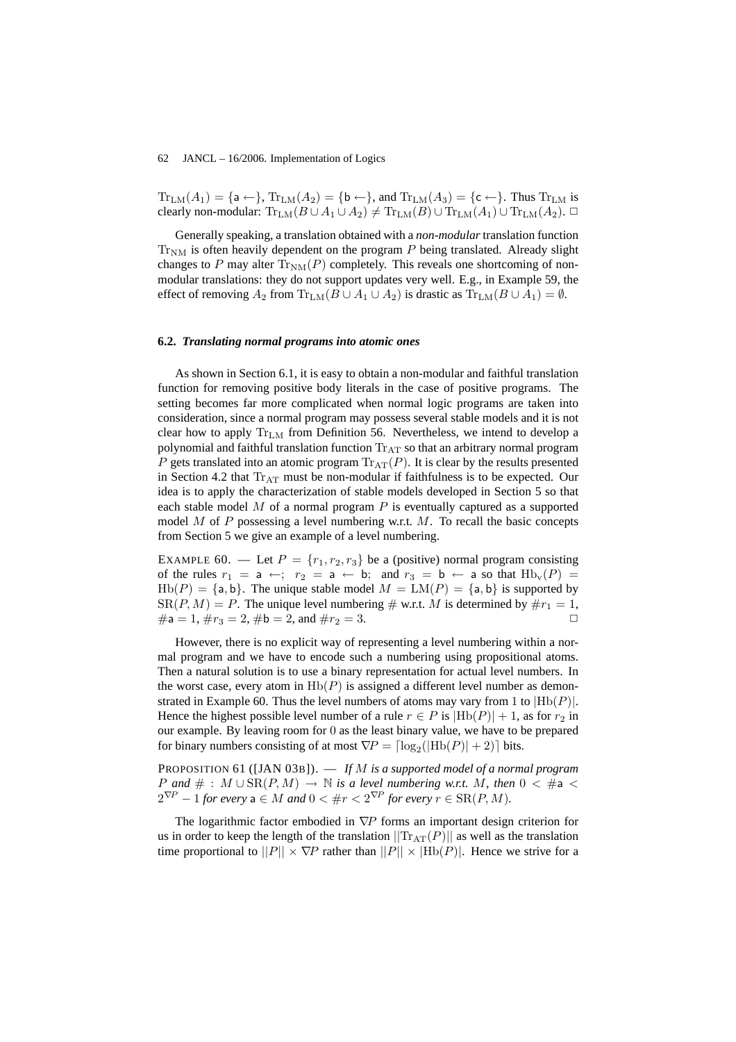$Tr_{LM}(A_1) = \{a \leftarrow\}$ ,  $Tr_{LM}(A_2) = \{b \leftarrow\}$ , and  $Tr_{LM}(A_3) = \{c \leftarrow\}$ . Thus  $Tr_{LM}$  is clearly non-modular:  $\text{Tr}_{LM}(B \cup A_1 \cup A_2) \neq \text{Tr}_{LM}(B) \cup \text{Tr}_{LM}(A_1) \cup \text{Tr}_{LM}(A_2)$ .  $\Box$ 

Generally speaking, a translation obtained with a *non-modular* translation function  $Tr_{NM}$  is often heavily dependent on the program  $P$  being translated. Already slight changes to P may alter  $Tr_{NM}(P)$  completely. This reveals one shortcoming of nonmodular translations: they do not support updates very well. E.g., in Example 59, the effect of removing  $A_2$  from  $\text{Tr}_{LM}(B \cup A_1 \cup A_2)$  is drastic as  $\text{Tr}_{LM}(B \cup A_1) = \emptyset$ .

### **6.2.** *Translating normal programs into atomic ones*

As shown in Section 6.1, it is easy to obtain a non-modular and faithful translation function for removing positive body literals in the case of positive programs. The setting becomes far more complicated when normal logic programs are taken into consideration, since a normal program may possess several stable models and it is not clear how to apply  $Tr_{LM}$  from Definition 56. Nevertheless, we intend to develop a polynomial and faithful translation function  $Tr_{AT}$  so that an arbitrary normal program P gets translated into an atomic program  $\text{Tr}_{AT}(P)$ . It is clear by the results presented in Section 4.2 that  $Tr_{AT}$  must be non-modular if faithfulness is to be expected. Our idea is to apply the characterization of stable models developed in Section 5 so that each stable model  $M$  of a normal program  $P$  is eventually captured as a supported model  $M$  of  $P$  possessing a level numbering w.r.t.  $M$ . To recall the basic concepts from Section 5 we give an example of a level numbering.

EXAMPLE 60. — Let  $P = \{r_1, r_2, r_3\}$  be a (positive) normal program consisting of the rules  $r_1 = a \leftarrow; r_2 = a \leftarrow b;$  and  $r_3 = b \leftarrow a$  so that  $Hb_v(P) =$  $Hb(P) = {a, b}$ . The unique stable model  $M = LM(P) = {a, b}$  is supported by  $SR(P, M) = P$ . The unique level numbering # w.r.t. M is determined by  $\#r_1 = 1$ ,  $\#a = 1, \#r_3 = 2, \#b = 2, \text{ and } \#r_2 = 3.$ 

However, there is no explicit way of representing a level numbering within a normal program and we have to encode such a numbering using propositional atoms. Then a natural solution is to use a binary representation for actual level numbers. In the worst case, every atom in  $Hb(P)$  is assigned a different level number as demonstrated in Example 60. Thus the level numbers of atoms may vary from 1 to  $|Hb(P)|$ . Hence the highest possible level number of a rule  $r \in P$  is  $|Hb(P)| + 1$ , as for  $r_2$  in our example. By leaving room for 0 as the least binary value, we have to be prepared for binary numbers consisting of at most  $\nabla P = \lceil \log_2(|\text{Hb}(P)| + 2) \rceil$  bits.

PROPOSITION 61 ([JAN 03B]). — *If* M *is a supported model of a normal program P* and  $#$  :  $M \cup SR(P, M)$  →  $N$  *is a level numbering w.r.t.*  $M$ *, then*  $0 < #a$  <  $2^{\nabla P} - 1$  *for every*  $a \in M$  *and*  $0 < \#r < 2^{\nabla P}$  *for every*  $r \in \text{SR}(P, M)$ *.* 

The logarithmic factor embodied in  $∇P$  forms an important design criterion for us in order to keep the length of the translation  $||\text{Tr}_{AT}(P)||$  as well as the translation time proportional to  $||P|| \times \nabla P$  rather than  $||P|| \times |Hb(P)|$ . Hence we strive for a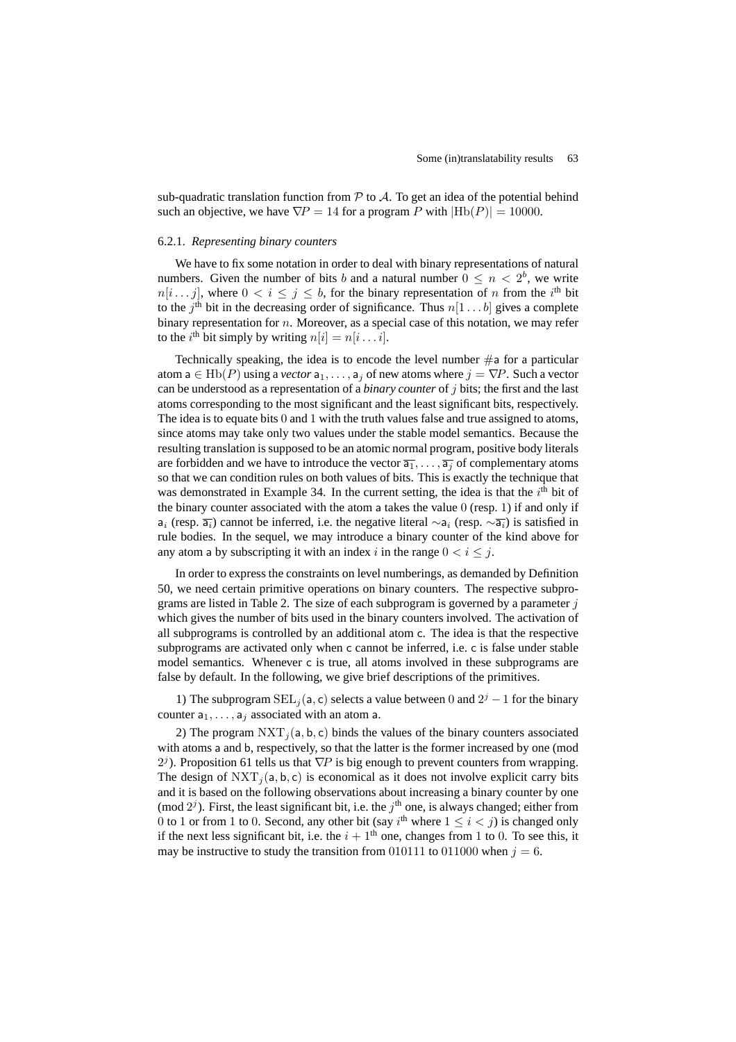sub-quadratic translation function from  $P$  to  $A$ . To get an idea of the potential behind such an objective, we have  $\nabla P = 14$  for a program P with  $|Hb(P)| = 10000$ .

# 6.2.1. *Representing binary counters*

We have to fix some notation in order to deal with binary representations of natural numbers. Given the number of bits b and a natural number  $0 \leq n < 2^b$ , we write  $n[i \dots j]$ , where  $0 \lt i \le j \le b$ , for the binary representation of n from the i<sup>th</sup> bit to the  $j<sup>th</sup>$  bit in the decreasing order of significance. Thus  $n[1 \dots b]$  gives a complete binary representation for  $n$ . Moreover, as a special case of this notation, we may refer to the *i*<sup>th</sup> bit simply by writing  $n[i] = n[i \dots i]$ .

Technically speaking, the idea is to encode the level number  $\#a$  for a particular atom  $a \in \text{Hb}(P)$  using a *vector*  $a_1, \ldots, a_j$  of new atoms where  $j = \nabla P$ . Such a vector can be understood as a representation of a *binary counter* of j bits; the first and the last atoms corresponding to the most significant and the least significant bits, respectively. The idea is to equate bits 0 and 1 with the truth values false and true assigned to atoms, since atoms may take only two values under the stable model semantics. Because the resulting translation is supposed to be an atomic normal program, positive body literals are forbidden and we have to introduce the vector  $\overline{a_1}, \ldots, \overline{a_j}$  of complementary atoms so that we can condition rules on both values of bits. This is exactly the technique that was demonstrated in Example 34. In the current setting, the idea is that the  $i<sup>th</sup>$  bit of the binary counter associated with the atom a takes the value  $0$  (resp. 1) if and only if  $a_i$  (resp.  $\overline{a_i}$ ) cannot be inferred, i.e. the negative literal  $\sim a_i$  (resp.  $\sim \overline{a_i}$ ) is satisfied in rule bodies. In the sequel, we may introduce a binary counter of the kind above for any atom a by subscripting it with an index i in the range  $0 < i \le j$ .

In order to express the constraints on level numberings, as demanded by Definition 50, we need certain primitive operations on binary counters. The respective subprograms are listed in Table 2. The size of each subprogram is governed by a parameter  $\dot{\gamma}$ which gives the number of bits used in the binary counters involved. The activation of all subprograms is controlled by an additional atom c. The idea is that the respective subprograms are activated only when c cannot be inferred, i.e. c is false under stable model semantics. Whenever c is true, all atoms involved in these subprograms are false by default. In the following, we give brief descriptions of the primitives.

1) The subprogram  $\text{SEL}_j(a, c)$  selects a value between 0 and  $2^j - 1$  for the binary counter  $a_1, \ldots, a_j$  associated with an atom a.

2) The program  $NXT_j(a, b, c)$  binds the values of the binary counters associated with atoms a and b, respectively, so that the latter is the former increased by one (mod  $2^{j}$ ). Proposition 61 tells us that  $\nabla P$  is big enough to prevent counters from wrapping. The design of  $NXT_i(a, b, c)$  is economical as it does not involve explicit carry bits and it is based on the following observations about increasing a binary counter by one (mod  $2<sup>j</sup>$ ). First, the least significant bit, i.e. the j<sup>th</sup> one, is always changed; either from 0 to 1 or from 1 to 0. Second, any other bit (say i<sup>th</sup> where  $1 \le i \le j$ ) is changed only if the next less significant bit, i.e. the  $i + 1<sup>th</sup>$  one, changes from 1 to 0. To see this, it may be instructive to study the transition from 010111 to 011000 when  $j = 6$ .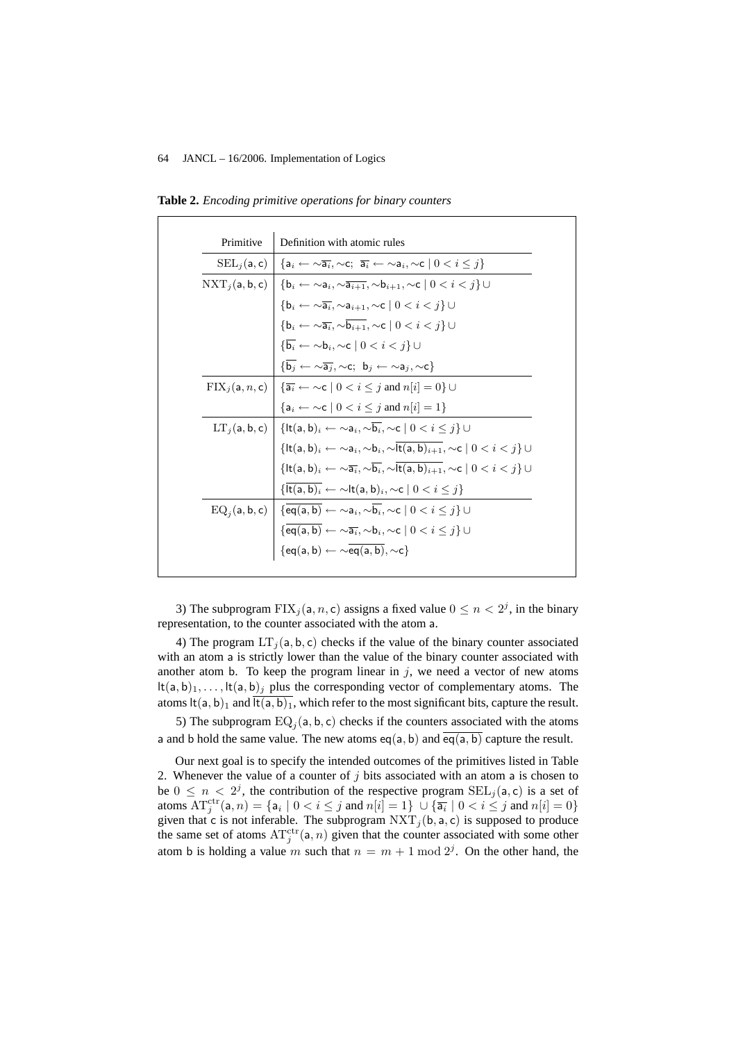| Primitive                                                                                                                                                                                                        | Definition with atomic rules                                                                                                                                                                      |  |  |  |  |
|------------------------------------------------------------------------------------------------------------------------------------------------------------------------------------------------------------------|---------------------------------------------------------------------------------------------------------------------------------------------------------------------------------------------------|--|--|--|--|
| $\text{SEL}_i(\mathsf{a}, \mathsf{c}) \mid \{\mathsf{a}_i \leftarrow \sim \overline{\mathsf{a}_i}, \sim \mathsf{c}; \ \overline{\mathsf{a}_i} \leftarrow \sim \mathsf{a}_i, \sim \mathsf{c} \mid 0 < i \leq j\}$ |                                                                                                                                                                                                   |  |  |  |  |
|                                                                                                                                                                                                                  | $\text{NXT}_j(\mathsf{a},\mathsf{b},\mathsf{c}) \mid \{\mathsf{b}_i \leftarrow \sim \mathsf{a}_i, \sim \overline{\mathsf{a}_{i+1}}, \sim \mathsf{b}_{i+1}, \sim \mathsf{c} \mid 0 < i < j\} \cup$ |  |  |  |  |
|                                                                                                                                                                                                                  | ${b_i \leftarrow \sim} \overline{a_i}, \sim a_{i+1}, \sim c \mid 0 < i < j$                                                                                                                       |  |  |  |  |
|                                                                                                                                                                                                                  | $\{{\mathsf{b}}_i \leftarrow \sim \overline{{\mathsf{a}}_i}, \sim \overline{{\mathsf{b}}_{i+1}}, \sim \mathsf{c} \mid 0 < i < j\} \cup$                                                           |  |  |  |  |
|                                                                                                                                                                                                                  | $\{\overline{\mathbf{b}_i} \leftarrow \sim \mathbf{b}_i, \sim \mathbf{c} \mid 0 < i < j\} \cup$                                                                                                   |  |  |  |  |
|                                                                                                                                                                                                                  | $\{\overline{b_i} \leftarrow \sim \overline{a_i}, \sim c; b_i \leftarrow \sim a_i, \sim c\}$                                                                                                      |  |  |  |  |
|                                                                                                                                                                                                                  | $\text{FIX}_i(\mathsf{a}, n, \mathsf{c}) \mid \{\overline{\mathsf{a}_i} \leftarrow \neg \mathsf{c} \mid 0 \leq i \leq j \text{ and } n[i] = 0\} \cup$                                             |  |  |  |  |
|                                                                                                                                                                                                                  | ${a_i \leftarrow \neg c \mid 0 < i \leq j \text{ and } n[i] = 1}$                                                                                                                                 |  |  |  |  |
|                                                                                                                                                                                                                  | $LT_i(a, b, c)$   $\{lt(a, b)_i \leftarrow \sim a_i, \sim b_i, \sim c \mid 0 < i \leq j\}$                                                                                                        |  |  |  |  |
|                                                                                                                                                                                                                  | $\{$ lt $(a, b)_i \leftarrow \sim a_i, \sim b_i, \sim \overline{\text{lt}(a, b)_{i+1}}, \sim c \mid 0 < i < j \}$                                                                                 |  |  |  |  |
|                                                                                                                                                                                                                  | $\{ \mathsf{lt}(a, b)_i \leftarrow \sim \overline{a_i}, \sim \overline{b_i}, \sim \overline{\mathsf{lt}(a, b)_{i+1}}, \sim c \mid 0 < i < j \}$                                                   |  |  |  |  |
|                                                                                                                                                                                                                  | $\{\overline{\text{lt}(a,b)_i} \leftarrow \sim \text{lt}(a,b)_i, \sim c \mid 0 < i \leq j\}$                                                                                                      |  |  |  |  |
|                                                                                                                                                                                                                  | $EQ_i(a, b, c)   {eq(a, b) \leftarrow \sim a_i, \sim b_i, \sim c   0 < i \leq j} \cup$                                                                                                            |  |  |  |  |
|                                                                                                                                                                                                                  | $\{\operatorname{\sf eq}(\overline{\mathsf{a},\mathsf{b}}) \leftarrow \sim \overline{\mathsf{a}_i}, \sim \mathsf{b}_i, \sim \mathsf{c} \mid 0 < i \leq j\} \cup$                                  |  |  |  |  |
|                                                                                                                                                                                                                  | ${eq(a, b) \leftarrow \sim} \overline{eq(a, b)}, \sim c}$                                                                                                                                         |  |  |  |  |

**Table 2.** *Encoding primitive operations for binary counters*

3) The subprogram  $\text{FIN}_j(\mathsf{a}, n, \mathsf{c})$  assigns a fixed value  $0 \leq n < 2^j$ , in the binary representation, to the counter associated with the atom a.

4) The program  $LT_i(a, b, c)$  checks if the value of the binary counter associated with an atom a is strictly lower than the value of the binary counter associated with another atom b. To keep the program linear in  $j$ , we need a vector of new atoms  $lt(a, b)_1, \ldots, \text{lt}(a, b)_j$  plus the corresponding vector of complementary atoms. The atoms lt(a, b)<sub>1</sub> and  $\overline{lt(a, b)_1}$ , which refer to the most significant bits, capture the result.

5) The subprogram  $EQ_j(a, b, c)$  checks if the counters associated with the atoms a and b hold the same value. The new atoms eq(a, b) and  $\overline{eq(a, b)}$  capture the result.

Our next goal is to specify the intended outcomes of the primitives listed in Table 2. Whenever the value of a counter of  $j$  bits associated with an atom a is chosen to be  $0 \leq n < 2^j$ , the contribution of the respective program  $\text{SEL}_j(\mathsf{a}, \mathsf{c})$  is a set of atoms  $AT_j^{\text{ctr}}(\mathsf{a}, n) = \{ \mathsf{a}_i \mid 0 < i \leq j \text{ and } n[i] = 1 \} \cup \{ \overline{\mathsf{a}_i} \mid 0 < i \leq j \text{ and } n[i] = 0 \}$ given that c is not inferable. The subprogram  $NXT_j(b, a, c)$  is supposed to produce the same set of atoms  $AT_j^{\text{ctr}}(a, n)$  given that the counter associated with some other atom b is holding a value m such that  $n = m + 1 \mod 2^{j}$ . On the other hand, the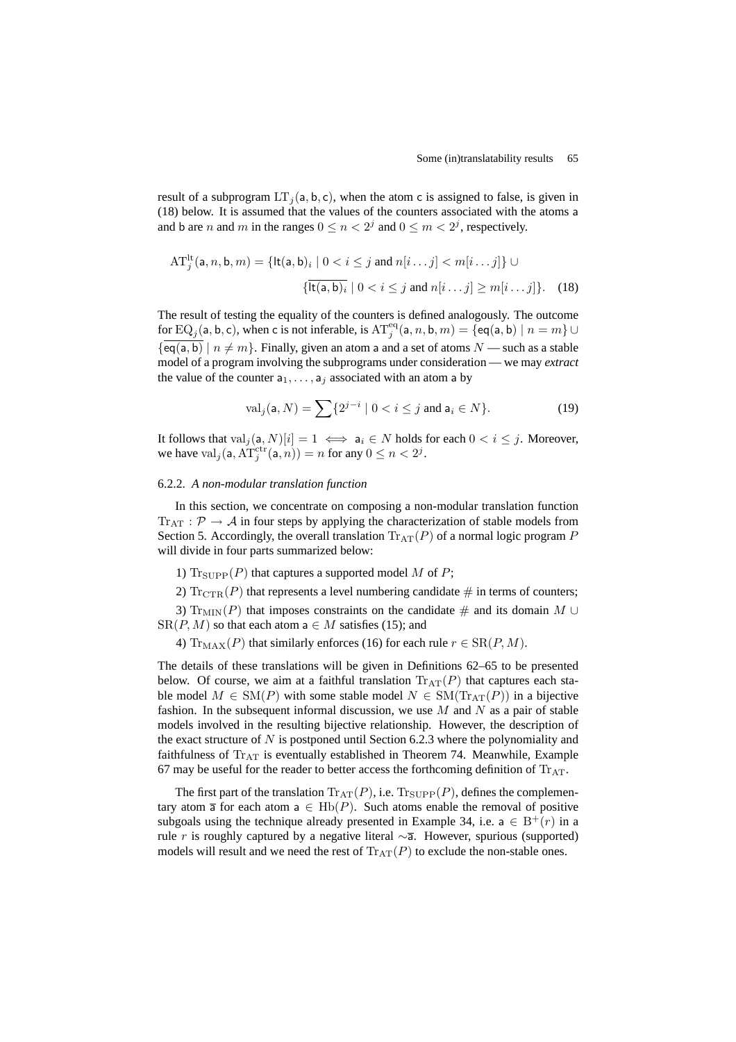result of a subprogram LT<sub>j</sub>(a, b, c), when the atom c is assigned to false, is given in (18) below. It is assumed that the values of the counters associated with the atoms a and b are *n* and *m* in the ranges  $0 \le n < 2<sup>j</sup>$  and  $0 \le m < 2<sup>j</sup>$ , respectively.

$$
AT_j^{lt}(a, n, b, m) = \{lt(a, b)_i \mid 0 < i \leq j \text{ and } n[i \dots j] < m[i \dots j] \} \cup \{ltddot{lt}(a, b)_i \mid 0 < i \leq j \text{ and } n[i \dots j] \geq m[i \dots j] \}. \tag{18}
$$

The result of testing the equality of the counters is defined analogously. The outcome for EQ<sub>j</sub>(a, b, c), when c is not inferable, is  $AT_j^{eq}(a, n, b, m) = \{eq(a, b) \mid n = m\} \cup$  $\{\overline{eq(a, b)} \mid n \neq m\}$ . Finally, given an atom a and a set of atoms  $N$  — such as a stable model of a program involving the subprograms under consideration — we may *extract* the value of the counter  $a_1, \ldots, a_j$  associated with an atom a by

$$
\text{val}_j(\mathsf{a}, N) = \sum \{ 2^{j-i} \mid 0 < i \le j \text{ and } \mathsf{a}_i \in N \}. \tag{19}
$$

It follows that  $val_j(a, N)[i] = 1 \iff a_i \in N$  holds for each  $0 < i \leq j$ . Moreover, we have val<sub>j</sub> $(a, AT_j^{ctr}(a, n)) = n$  for any  $0 \le n < 2<sup>j</sup>$ .

# 6.2.2. *A non-modular translation function*

In this section, we concentrate on composing a non-modular translation function  $Tr_{AT}$ :  $\mathcal{P} \rightarrow \mathcal{A}$  in four steps by applying the characterization of stable models from Section 5. Accordingly, the overall translation  $\text{Tr}_{AT}(P)$  of a normal logic program P will divide in four parts summarized below:

1)  $\text{Tr}_{\text{SUPP}}(P)$  that captures a supported model M of P;

2)  $\mathrm{Tr}_{\mathrm{CTR}}(P)$  that represents a level numbering candidate  $\#$  in terms of counters;

3)  $\text{Tr}_{\text{MIN}}(P)$  that imposes constraints on the candidate # and its domain M ∪  $SR(P, M)$  so that each atom  $a \in M$  satisfies (15); and

4) Tr<sub>MAX</sub>(P) that similarly enforces (16) for each rule  $r \in SR(P, M)$ .

The details of these translations will be given in Definitions 62–65 to be presented below. Of course, we aim at a faithful translation  $\text{Tr}_{AT}(P)$  that captures each stable model  $M \in SM(P)$  with some stable model  $N \in SM(Tr_{AT}(P))$  in a bijective fashion. In the subsequent informal discussion, we use  $M$  and  $N$  as a pair of stable models involved in the resulting bijective relationship. However, the description of the exact structure of  $N$  is postponed until Section 6.2.3 where the polynomiality and faithfulness of  $Tr_{AT}$  is eventually established in Theorem 74. Meanwhile, Example 67 may be useful for the reader to better access the forthcoming definition of  $Tr_{AT}$ .

The first part of the translation  $\text{Tr}_{AT}(P)$ , i.e.  $\text{Tr}_{\text{SUPP}}(P)$ , defines the complementary atom  $\overline{a}$  for each atom  $a \in Hb(P)$ . Such atoms enable the removal of positive subgoals using the technique already presented in Example 34, i.e.  $a \in B^+(r)$  in a rule r is roughly captured by a negative literal  $\sim$ ā. However, spurious (supported) models will result and we need the rest of  $\text{Tr}_{AT}(P)$  to exclude the non-stable ones.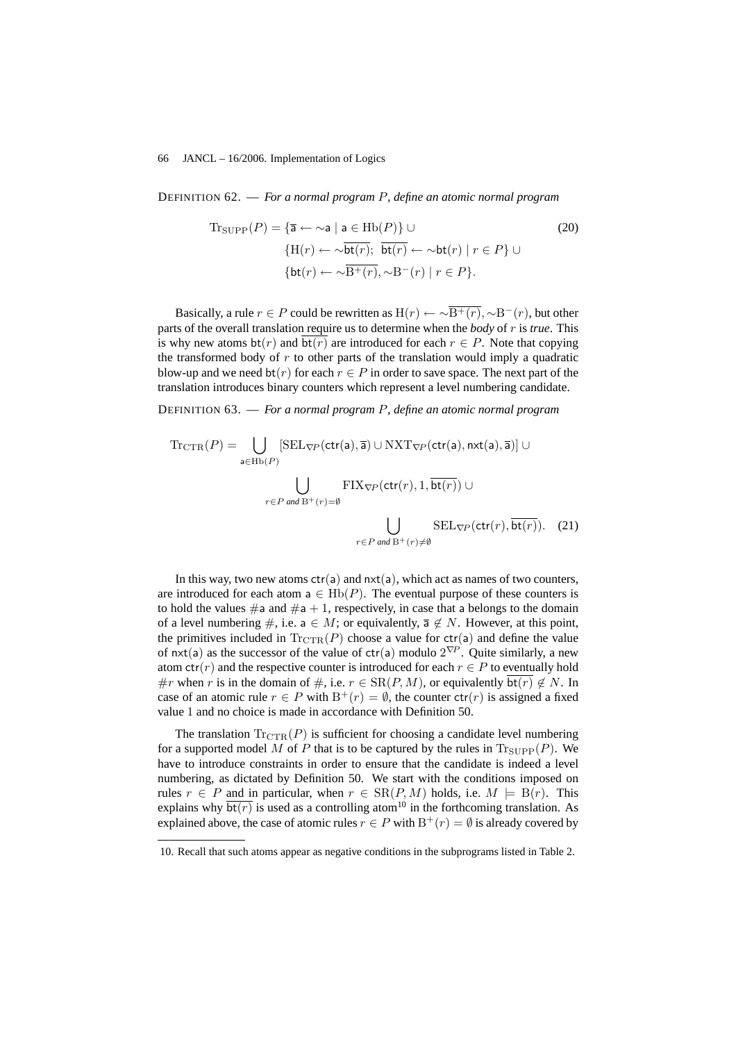DEFINITION 62. — *For a normal program* P*, define an atomic normal program*

$$
\begin{aligned} \text{Tr}_{\text{SUPP}}(P) &= \{ \overline{\mathbf{a}} \leftarrow \sim \mathbf{a} \mid \mathbf{a} \in \text{Hb}(P) \} \cup \\ &\{ \text{H}(r) \leftarrow \sim \overline{\text{bt}(r)}; \ \overline{\text{bt}(r)} \leftarrow \sim \text{bt}(r) \mid r \in P \} \cup \\ &\{ \text{bt}(r) \leftarrow \sim \overline{\text{B}^+(r)}, \sim \text{B}^-(r) \mid r \in P \}. \end{aligned} \tag{20}
$$

Basically, a rule  $r \in P$  could be rewritten as  $H(r) \leftarrow \sim \sqrt{B^+(r)}$ ,  $\sim B^-(r)$ , but other parts of the overall translation require us to determine when the *body* of r is *true*. This is why new atoms  $bt(r)$  and  $bt(r)$  are introduced for each  $r \in P$ . Note that copying the transformed body of  $r$  to other parts of the translation would imply a quadratic blow-up and we need  $bt(r)$  for each  $r \in P$  in order to save space. The next part of the translation introduces binary counters which represent a level numbering candidate.

DEFINITION 63. — *For a normal program* P*, define an atomic normal program*

$$
\operatorname{Tr}_{\operatorname{CTR}}(P) = \bigcup_{\mathbf{a} \in \operatorname{Hb}(P)} [\operatorname{SEL}_{\nabla P}(\operatorname{ctr}(\mathbf{a}), \overline{\mathbf{a}}) \cup \operatorname{NXT}_{\nabla P}(\operatorname{ctr}(\mathbf{a}), \operatorname{rxt}(\mathbf{a}), \overline{\mathbf{a}})] \cup
$$
  

$$
\bigcup_{r \in P \text{ and } B^+(r) = \emptyset} \operatorname{FIX}_{\nabla P}(\operatorname{ctr}(r), 1, \overline{\operatorname{bt}(r)}) \cup
$$
  

$$
\bigcup_{r \in P \text{ and } B^+(r) \neq \emptyset} \operatorname{SEL}_{\nabla P}(\operatorname{ctr}(r), \overline{\operatorname{bt}(r)}) . \quad (21)
$$

In this way, two new atoms  $ctr(a)$  and  $nxt(a)$ , which act as names of two counters, are introduced for each atom  $a \in \text{Hb}(P)$ . The eventual purpose of these counters is to hold the values  $\#$ a and  $\#$ a + 1, respectively, in case that a belongs to the domain of a level numbering #, i.e.  $a \in M$ ; or equivalently,  $\overline{a} \notin N$ . However, at this point, the primitives included in  $\text{Tr}_{\text{CTR}}(P)$  choose a value for  $\text{ctr}(\mathsf{a})$  and define the value of nxt(a) as the successor of the value of ctr(a) modulo  $2^{\nabla P}$ . Quite similarly, a new atom  $ctr(r)$  and the respective counter is introduced for each  $r \in P$  to eventually hold #r when r is in the domain of  $\#$ , i.e.  $r \in SR(P, M)$ , or equivalently  $bt(r) \notin N$ . In case of an atomic rule  $r \in P$  with  $B^+(r) = \emptyset$ , the counter  $ctr(r)$  is assigned a fixed value 1 and no choice is made in accordance with Definition 50.

The translation  $\text{Tr}_{\text{CTR}}(P)$  is sufficient for choosing a candidate level numbering for a supported model M of P that is to be captured by the rules in  $\text{Tr}_{\text{SUPP}}(P)$ . We have to introduce constraints in order to ensure that the candidate is indeed a level numbering, as dictated by Definition 50. We start with the conditions imposed on rules  $r \in P$  and in particular, when  $r \in SR(P, M)$  holds, i.e.  $M \models B(r)$ . This explains why  $\overline{bt(r)}$  is used as a controlling atom<sup>10</sup> in the forthcoming translation. As explained above, the case of atomic rules  $r \in P$  with  $B^+(r) = \emptyset$  is already covered by

<sup>10.</sup> Recall that such atoms appear as negative conditions in the subprograms listed in Table 2.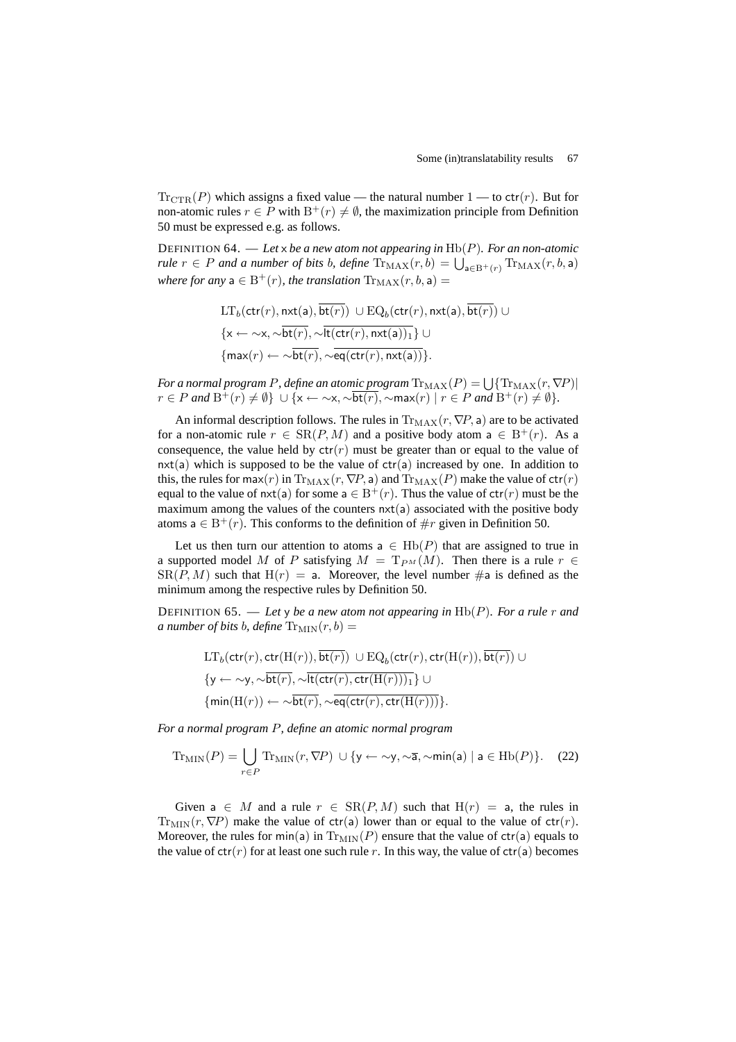$\operatorname{Tr}_{\mathrm{CTR}}(P)$  which assigns a fixed value — the natural number 1 — to ctr(r). But for non-atomic rules  $r \in P$  with  $B^+(r) \neq \emptyset$ , the maximization principle from Definition 50 must be expressed e.g. as follows.

DEFINITION 64. — *Let* x *be a new atom not appearing in* Hb(P)*. For an non-atomic rule*  $r \in P$  *and a number of bits b, define*  $\text{Tr}_{\text{MAX}}(r, b) = \bigcup_{\mathbf{a} \in \text{B}^+(r)} \text{Tr}_{\text{MAX}}(r, b, \mathbf{a})$ *where for any*  $a \in B^+(r)$ *, the translation*  $\text{Tr}_{MAX}(r, b, a) =$ 

$$
LT_b(\text{ctr}(r), \text{nxt}(a), \overline{\text{bt}(r)}) \cup EQ_b(\text{ctr}(r), \text{nxt}(a), \overline{\text{bt}(r)}) \cup \{x \leftarrow \sim x, \sim b\text{tt}(r), \sim \overline{\text{bt}(\text{ctr}(r), \text{nxt}(a))_1}\} \cup \{\text{max}(r) \leftarrow \sim b\text{tt}(r), \sim \overline{\text{eq}(\text{ctr}(r), \text{nxt}(a))}\}.
$$

 $\emph{For a normal program $P$, define an atomic program $\operatorname{Tr}_{\text{MAX}}(P)=\bigcup \{\operatorname{Tr}_{\text{MAX}}(r,\nabla P)|\}$  $r \in P$  and  $B^+(r) \neq \emptyset$   $\} \cup \{x \leftarrow \infty, \sim \overline{bt(r)}, \sim \max(r) \mid r \in P$  and  $B^+(r) \neq \emptyset\}.$ 

An informal description follows. The rules in  $\text{Tr}_{\text{MAX}}(r, \nabla P, a)$  are to be activated for a non-atomic rule  $r \in SR(P, M)$  and a positive body atom  $a \in B^+(r)$ . As a consequence, the value held by  $ctr(r)$  must be greater than or equal to the value of  $nxt(a)$  which is supposed to be the value of  $ctr(a)$  increased by one. In addition to this, the rules for  $max(r)$  in  $Tr_{MAX}(r, \nabla P, a)$  and  $Tr_{MAX}(P)$  make the value of  $ctr(r)$ equal to the value of  $nxt(a)$  for some  $a \in B^+(r)$ . Thus the value of  $ctr(r)$  must be the maximum among the values of the counters  $nxt(a)$  associated with the positive body atoms  $a \in B^+(r)$ . This conforms to the definition of  $\#r$  given in Definition 50.

Let us then turn our attention to atoms  $a \in Hb(P)$  that are assigned to true in a supported model M of P satisfying  $M = T_{PM}(M)$ . Then there is a rule  $r \in$  $SR(P, M)$  such that  $H(r) = a$ . Moreover, the level number  $\#a$  is defined as the minimum among the respective rules by Definition 50.

DEFINITION 65. — Let y be a new atom not appearing in  $\text{Hb}(P)$ *. For a rule r and a number of bits b, define*  $\text{Tr}_{\text{MIN}}(r, b) =$ 

$$
LT_b(\text{ctr}(r), \text{ctr}(H(r)), \overline{\text{bt}(r)}) \cup EQ_b(\text{ctr}(r), \text{ctr}(H(r)), \overline{\text{bt}(r)}) \cup \{y \leftarrow \sim y, \sim \overline{\text{bt}(r)}, \sim \overline{\text{lt}(\text{ctr}(r), \text{ctr}(H(r)))_1} \} \cup \{\min(H(r)) \leftarrow \sim \overline{\text{bt}(r)}, \sim \overline{\text{eq}(\text{ctr}(r), \text{ctr}(H(r)))} \}.
$$

*For a normal program* P*, define an atomic normal program*

$$
\operatorname{Tr}_{\text{MIN}}(P) = \bigcup_{r \in P} \operatorname{Tr}_{\text{MIN}}(r, \nabla P) \cup \{y \leftarrow \sim y, \sim \overline{a}, \sim \min(a) \mid a \in \text{Hb}(P)\}. \tag{22}
$$

Given a  $\in$  M and a rule  $r \in SR(P, M)$  such that  $H(r) = a$ , the rules in  $Tr_{MIN}(r, \nabla P)$  make the value of ctr(a) lower than or equal to the value of ctr(r). Moreover, the rules for min(a) in  $\text{Tr}_{\text{MIN}}(P)$  ensure that the value of ctr(a) equals to the value of  $ctr(r)$  for at least one such rule r. In this way, the value of  $ctr(a)$  becomes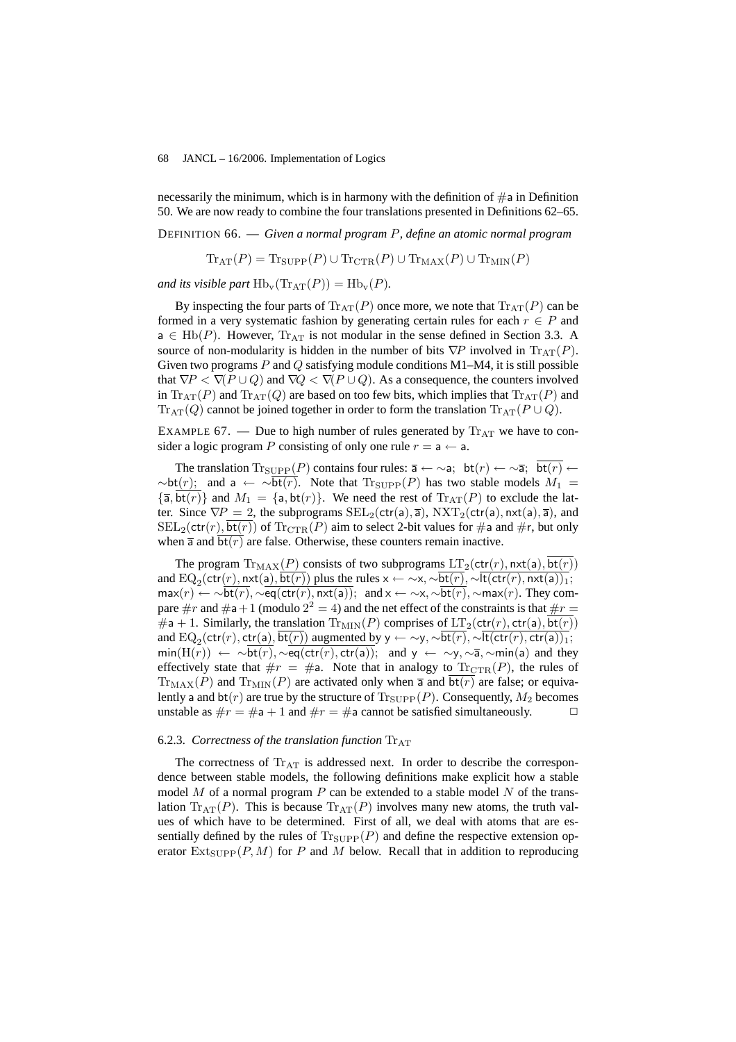necessarily the minimum, which is in harmony with the definition of  $\#a$  in Definition 50. We are now ready to combine the four translations presented in Definitions 62–65.

DEFINITION 66. — *Given a normal program* P*, define an atomic normal program*

 $\text{Tr}_{\text{AT}}(P) = \text{Tr}_{\text{SUPP}}(P) \cup \text{Tr}_{\text{CTR}}(P) \cup \text{Tr}_{\text{MAX}}(P) \cup \text{Tr}_{\text{MIN}}(P)$ 

*and its visible part*  $\text{Hb}_{\text{v}}(\text{Tr}_{\text{AT}}(P)) = \text{Hb}_{\text{v}}(P)$ *.* 

By inspecting the four parts of  $\text{Tr}_{AT}(P)$  once more, we note that  $\text{Tr}_{AT}(P)$  can be formed in a very systematic fashion by generating certain rules for each  $r \in P$  and  $a \in Hb(P)$ . However,  $Tr_{AT}$  is not modular in the sense defined in Section 3.3. A source of non-modularity is hidden in the number of bits  $\nabla P$  involved in  $\text{Tr}_{AT}(P)$ . Given two programs  $P$  and  $Q$  satisfying module conditions M1–M4, it is still possible that  $\nabla P < \nabla (P \cup Q)$  and  $\nabla Q < \nabla (P \cup Q)$ . As a consequence, the counters involved in  $\text{Tr}_{\text{AT}}(P)$  and  $\text{Tr}_{\text{AT}}(Q)$  are based on too few bits, which implies that  $\text{Tr}_{\text{AT}}(P)$  and  $\text{Tr}_{\text{AT}}(Q)$  cannot be joined together in order to form the translation  $\text{Tr}_{\text{AT}}(P \cup Q)$ .

EXAMPLE 67. — Due to high number of rules generated by  $T_{\text{A}}$  we have to consider a logic program P consisting of only one rule  $r = a \leftarrow a$ .

The translation  $\text{Tr}_{\text{SUPP}}(P)$  contains four rules:  $\overline{a} \leftarrow \sim a$ ; bt $(r) \leftarrow \sim \overline{a}$ ; bt $(r) \leftarrow$  $\sim{\rm bt}(r)$ ; and a ←  $\sim{\rm bt}(r)$ . Note that  ${\rm Tr}_{\text{SUPP}}(P)$  has two stable models  $M_1 =$  ${\overline{\mathfrak{a}}, \overline{\mathsf{bt}(r)}}$  and  $M_1 = {\mathfrak{a}, \mathsf{bt}(r)}$ . We need the rest of  $\text{Tr}_{\text{AT}}(P)$  to exclude the latter. Since  $\nabla P = 2$ , the subprograms  $\text{SEL}_2(\text{ctr}(a), \overline{a})$ ,  $\text{NXT}_2(\text{ctr}(a), \text{nxt}(a), \overline{a})$ , and  $\text{SEL}_2(\text{ctr}(r), \text{bt}(r))$  of  $\text{Tr}_{\text{CTR}}(P)$  aim to select 2-bit values for #a and #r, but only when  $\overline{a}$  and  $\overline{bt(r)}$  are false. Otherwise, these counters remain inactive.

The program  $Tr_{MAX}(P)$  consists of two subprograms  $LT_2(\text{ctr}(r), \text{nxt}(\text{a}), \text{bt}(r))$ and  $\mathrm{EQ}_2(\textsf{ctr}(r),\textsf{nxt}(\textsf{a}),\textsf{bt}(r))$  plus the rules  $\times \leftarrow \sim \times, \sim \textsf{bt}(r), \sim \textsf{lt}(\textsf{ctr}(r),\textsf{nxt}(\textsf{a}))_1;$  $\max(r) \leftarrow \sim bt(r), \sim eq(ctr(r), nxt(a)); \text{ and } x \leftarrow \sim x, \sim bt(r), \sim max(r).$  They compare  $\#r$  and  $\#a+1$  (modulo  $2^2 = 4$ ) and the net effect of the constraints is that  $\#r =$ #a + 1. Similarly, the translation  $\text{Tr}_{\text{MIN}}(P)$  comprises of  $LT_2(\text{ctr}(r), \text{ctr}(a), \text{bt}(r))$ and  $\text{EQ}_2(\text{ctr}(r),\text{ctr}(\texttt{a}),\text{bt}(r))$  augmented by y  $\leftarrow \sim$ y,  $\sim$ bt $(r),\sim$ lt $(\text{ctr}(r),\text{ctr}(\texttt{a}))_1;$  $min(H(r)) \leftarrow \sim bt(r), \sim eq(\text{ctr}(r), \text{ctr}(a)); \text{ and } y \leftarrow \sim y, \sim \overline{a}, \sim min(a) \text{ and they}$ effectively state that  $\#r = \#a$ . Note that in analogy to  $\text{Tr}_{\text{CTR}}(P)$ , the rules of  $\text{Tr}_{\text{MAX}}(P)$  and  $\text{Tr}_{\text{MIN}}(P)$  are activated only when  $\overline{a}$  and  $\overline{bt(r)}$  are false; or equivalently a and  $bt(r)$  are true by the structure of  $Tr_{\text{SUPP}}(P)$ . Consequently,  $M_2$  becomes unstable as  $\#r = \#a + 1$  and  $\#r = \#a$  cannot be satisfied simultaneously.

# 6.2.3. *Correctness of the translation function*  $Tr_{AT}$

The correctness of  $Tr_{AT}$  is addressed next. In order to describe the correspondence between stable models, the following definitions make explicit how a stable model  $M$  of a normal program  $P$  can be extended to a stable model  $N$  of the translation  $\text{Tr}_{AT}(P)$ . This is because  $\text{Tr}_{AT}(P)$  involves many new atoms, the truth values of which have to be determined. First of all, we deal with atoms that are essentially defined by the rules of  $T_{\text{SUPP}}(P)$  and define the respective extension operator  $Ext_{\text{SUPP}}(P, M)$  for P and M below. Recall that in addition to reproducing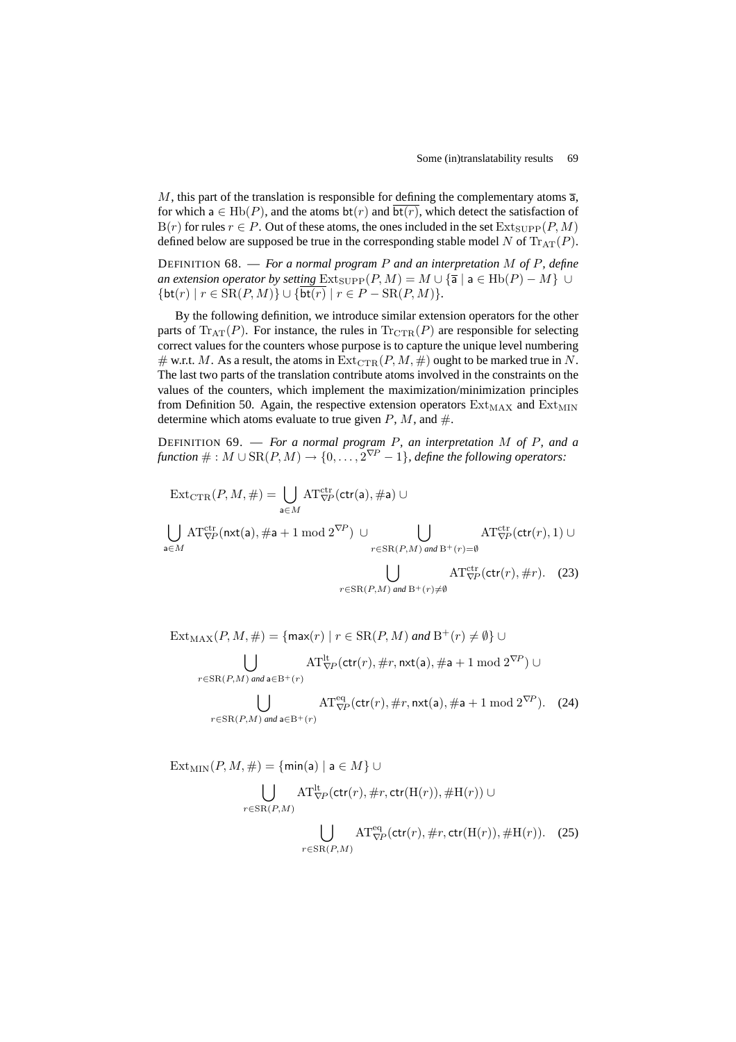M, this part of the translation is responsible for defining the complementary atoms  $\overline{a}$ , for which  $a \in Hb(P)$ , and the atoms  $bt(r)$  and  $bt(r)$ , which detect the satisfaction of  $B(r)$  for rules  $r \in P$ . Out of these atoms, the ones included in the set  $Ext_{\text{SUPP}}(P, M)$ defined below are supposed be true in the corresponding stable model N of  $\text{Tr}_{AT}(P)$ .

DEFINITION 68. — *For a normal program* P *and an interpretation* M *of* P*, define an extension operator by setting*  $Ext_{\text{SUPP}}(P, M) = M \cup {\overline{a} \mid a \in \text{Hb}(P) - M} \cup$  ${\rm \{bt(r) \mid r \in SR(P, M)\} \cup {\rm \{bt(r) \mid r \in P - SR(P, M)\}.}$ 

By the following definition, we introduce similar extension operators for the other parts of  $\text{Tr}_{AT}(P)$ . For instance, the rules in  $\text{Tr}_{CTR}(P)$  are responsible for selecting correct values for the counters whose purpose is to capture the unique level numbering # w.r.t. M. As a result, the atoms in  $\text{Ext}_{\text{CTR}}(P, M, \#)$  ought to be marked true in N. The last two parts of the translation contribute atoms involved in the constraints on the values of the counters, which implement the maximization/minimization principles from Definition 50. Again, the respective extension operators  $Ext_{MAX}$  and  $Ext_{MIN}$ determine which atoms evaluate to true given  $P$ ,  $M$ , and  $\#$ .

DEFINITION 69. — *For a normal program* P*, an interpretation* M *of* P*, and a*  $function # : M \cup SR(P, M) \rightarrow \{0, \ldots, 2^{\nabla P} - 1\}$ , define the following operators:

$$
\text{Ext}_{\text{CTR}}(P, M, \#) = \bigcup_{\mathbf{a} \in M} \text{AT}_{\nabla P}^{\text{ctr}}(\text{ctr}(\mathbf{a}), \# \mathbf{a}) \cup
$$
\n
$$
\bigcup_{\mathbf{a} \in M} \text{AT}_{\nabla P}^{\text{ctr}}(\text{nxt}(\mathbf{a}), \# \mathbf{a} + 1 \mod 2^{\nabla P}) \cup \bigcup_{r \in \text{SR}(P, M) \text{ and } B^+(r) = \emptyset} \text{AT}_{\nabla P}^{\text{ctr}}(\text{ctr}(r), 1) \cup
$$
\n
$$
\bigcup_{r \in \text{SR}(P, M) \text{ and } B^+(r) \neq \emptyset} \text{AT}_{\nabla P}^{\text{ctr}}(\text{ctr}(r), \# r). \quad (23)
$$

 $\text{Ext}_{\text{MAX}}(P, M, \#) = \{ \text{max}(r) \mid r \in \text{SR}(P, M) \text{ and } \text{B}^+(r) \neq \emptyset \}$  $\overline{a}$  $r \in \text{SR}(P,M)$  *and*  $a \in B^+(r)$  $\mathrm{AT}_{\nabla\!P}^{\rm lt}(\mathsf{ctr}(r),\#r,\mathsf{nxt}(\mathsf{a}),\# \mathsf{a}+1\;\mathrm{mod}\;2^{\nabla\!P})\cup$  $\overline{a}$  $r \in \text{SR}(P,M)$  *and*  $a \in B^+(r)$  $\mathrm{AT}^{\text{eq}}_{\nabla P}(\textsf{ctr}(r),\#r,\textsf{nxt}(\mathsf{a}),\# \mathsf{a}+1 \bmod 2^{\nabla P})$ . (24)

 $\text{Ext}_{\text{MIN}}(P, M, \#) = \{\text{min}(a) \mid a \in M\} \cup$  $\overline{\phantom{a}}$  $r \in \text{SR}(P,M)$  $\mathrm{AT}_{\nabla P}^{\rm lt}(\mathsf{ctr}(r),\#r,\mathsf{ctr}({\rm H}(r)),\# {\rm H}(r))\; \cup$  $\mathbf{r}$  $r \in \text{SR}(P,M)$  $AT_{\nabla P}^{\text{eq}}(\text{ctr}(r), \#r, \text{ctr}(\text{H}(r)), \# \text{H}(r)).$  (25)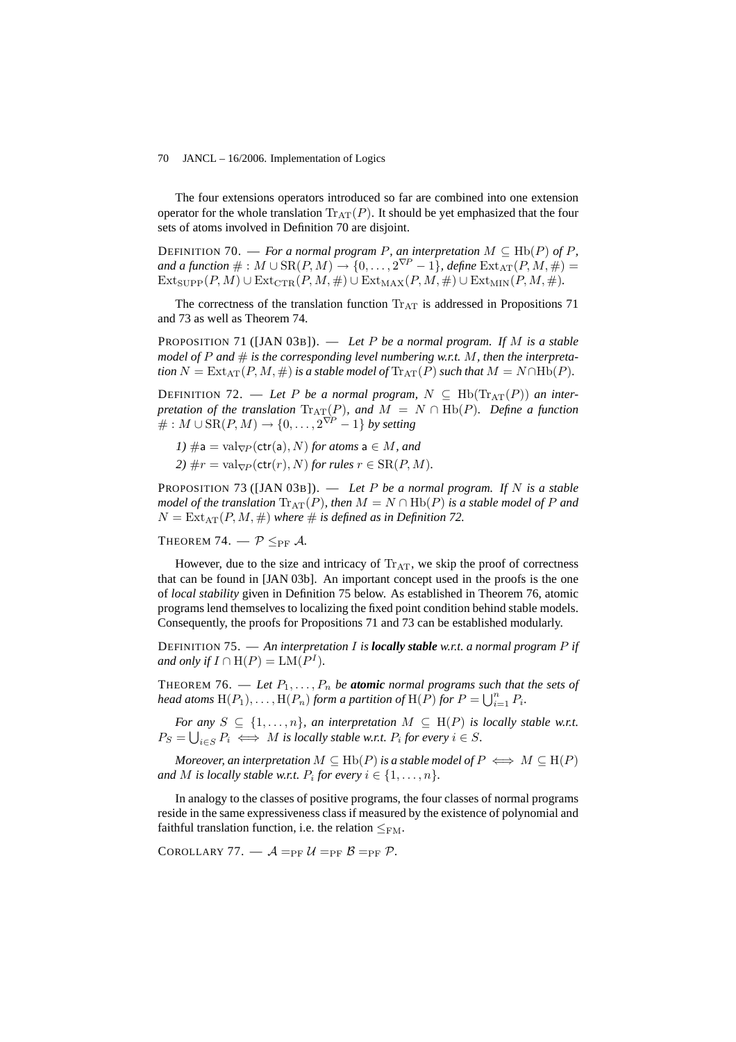The four extensions operators introduced so far are combined into one extension operator for the whole translation  $\text{Tr}_{AT}(P)$ . It should be yet emphasized that the four sets of atoms involved in Definition 70 are disjoint.

DEFINITION 70. — *For a normal program P, an interpretation*  $M \subseteq \text{Hb}(P)$  *of* P, and a function  $\# : M \cup \text{SR}(P, M) \rightarrow \{0, \ldots, 2^{\nabla P} - 1\}$ , define  $\text{Ext}_{\text{AT}}(P, M, \#) = 0$  $\text{Ext}_{\text{SUPP}}(P, M) \cup \text{Ext}_{\text{CTR}}(P, M, \#) \cup \text{Ext}_{\text{MAX}}(P, M, \#) \cup \text{Ext}_{\text{MIN}}(P, M, \#).$ 

The correctness of the translation function  $\text{Tr}_{\text{AT}}$  is addressed in Propositions 71 and 73 as well as Theorem 74.

PROPOSITION 71 ([JAN 03B]). — *Let* P *be a normal program. If* M *is a stable model of*  $P$  *and*  $\#$  *is the corresponding level numbering w.r.t.*  $M$ *, then the interpretation*  $N = \text{Ext}_{AT}(P, M, \#)$  *is a stable model of*  $\text{Tr}_{AT}(P)$  *such that*  $M = N \cap \text{Hb}(P)$ *.* 

DEFINITION 72. — Let P be a normal program,  $N \subseteq \text{Hb}(\text{Tr}_{AT}(P))$  an inter*pretation of the translation*  $\text{Tr}_{\text{AT}}(P)$ *, and*  $M = N \cap \text{Hb}(P)$ *. Define a function*  $# : M ∪ SR(P, M) → {0, ..., 2<sup>∇P</sup> − 1} by setting$ 

*1)*  $\#a = val_{\nabla P}(\text{ctr}(a), N)$  *for atoms*  $a \in M$ *, and 2)*  $\#r = \text{val}_{\nabla P}(\text{ctr}(r), N)$  *for rules*  $r \in \text{SR}(P, M)$ *.* 

PROPOSITION 73 ([JAN 03B]). — *Let* P *be a normal program. If* N *is a stable model of the translation*  $\text{Tr}_{\text{AT}}(P)$ *, then*  $M = N \cap \text{Hb}(P)$  *is a stable model of* P *and*  $N = \text{Ext}_{\text{AT}}(P, M, \#)$  *where*  $\#$  *is defined as in Definition 72.* 

THEOREM 74.  $-\mathcal{P} \leq_{\text{PF}} \mathcal{A}$ .

However, due to the size and intricacy of  $Tr_{AT}$ , we skip the proof of correctness that can be found in [JAN 03b]. An important concept used in the proofs is the one of *local stability* given in Definition 75 below. As established in Theorem 76, atomic programs lend themselves to localizing the fixed point condition behind stable models. Consequently, the proofs for Propositions 71 and 73 can be established modularly.

DEFINITION 75. — *An interpretation* I *is locally stable w.r.t. a normal program* P *if and only if*  $I \cap H(P) = LM(P^I)$ *.* 

THEOREM 76. — Let  $P_1, \ldots, P_n$  be **atomic** normal programs such that the sets of *head atoms*  $H(P_1), \ldots, H(P_n)$  *form a partition of*  $H(P)$  *for*  $P = \bigcup_{i=1}^n P_i$ .

*For any*  $S \subseteq \{1, \ldots, n\}$ , an interpretation  $M \subseteq H(P)$  is locally stable w.r.t.  $P_S = \bigcup_{i \in S} P_i \iff M$  is locally stable w.r.t.  $P_i$  for every  $i \in S$ .

*Moreover, an interpretation*  $M \subseteq \text{Hb}(P)$  *is a stable model of*  $P \iff M \subseteq \text{H}(P)$ *and* M is locally stable w.r.t.  $P_i$  for every  $i \in \{1, \ldots, n\}$ .

In analogy to the classes of positive programs, the four classes of normal programs reside in the same expressiveness class if measured by the existence of polynomial and faithful translation function, i.e. the relation  $\leq_{\text{FM}}$ .

COROLLARY 77.  $\mathcal{A} =_{PF} \mathcal{U} =_{PF} \mathcal{B} =_{PF} \mathcal{P}$ .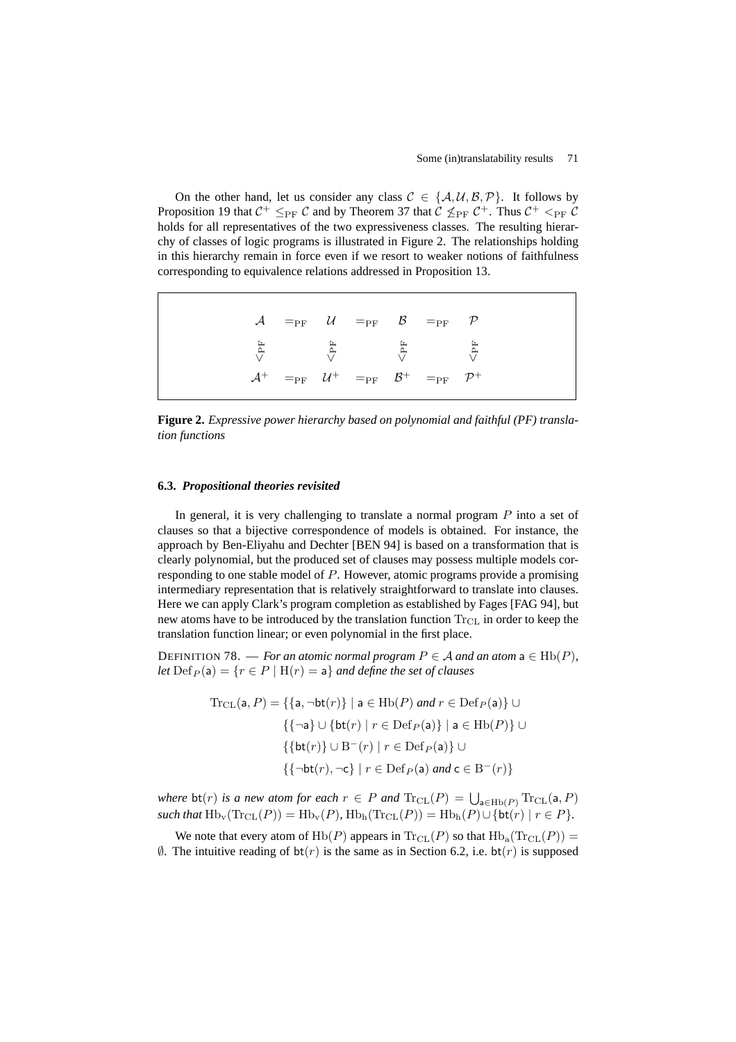On the other hand, let us consider any class  $C \in \{A, U, B, P\}$ . It follows by Proposition 19 that  $C^+ \leq_{PF} C$  and by Theorem 37 that  $\mathcal{C} \not\leq_{PF} C^+$ . Thus  $C^+ <_{PF} C$ holds for all representatives of the two expressiveness classes. The resulting hierarchy of classes of logic programs is illustrated in Figure 2. The relationships holding in this hierarchy remain in force even if we resort to weaker notions of faithfulness corresponding to equivalence relations addressed in Proposition 13.

 $\mathcal{A}$   $=_{\mathrm{PF}}$   $\mathcal{U}$   $=_{\mathrm{PF}}$   $\mathcal{B}$   $=_{\mathrm{PF}}$   $\mathcal{P}$  $\leq_{\mathrm{PF}}$  $\leq_{\rm PF}$  $\leq_{\mathrm{PF}}$  $_{\rm{V}}$  $\mathcal{A}^+$  =<sub>PF</sub>  $\mathcal{U}$  $B^+$  $^+$  =<sub>PF</sub>  $\mathcal{P}^+$ 

**Figure 2.** *Expressive power hierarchy based on polynomial and faithful (PF) translation functions*

# **6.3.** *Propositional theories revisited*

In general, it is very challenging to translate a normal program  $P$  into a set of clauses so that a bijective correspondence of models is obtained. For instance, the approach by Ben-Eliyahu and Dechter [BEN 94] is based on a transformation that is clearly polynomial, but the produced set of clauses may possess multiple models corresponding to one stable model of P. However, atomic programs provide a promising intermediary representation that is relatively straightforward to translate into clauses. Here we can apply Clark's program completion as established by Fages [FAG 94], but new atoms have to be introduced by the translation function  $Tr_{CL}$  in order to keep the translation function linear; or even polynomial in the first place.

DEFINITION 78. — *For an atomic normal program*  $P \in \mathcal{A}$  *and an atom*  $a \in \text{Hb}(P)$ *, let*  $\text{Def}_P(\mathsf{a}) = \{r \in P \mid \mathcal{H}(r) = \mathsf{a}\}\$  *and define the set of clauses* 

$$
\begin{aligned} \text{Tr}_{\text{CL}}(\mathsf{a}, P) &= \{ \{ \mathsf{a}, \neg \mathsf{bt}(r) \} \mid \mathsf{a} \in \text{Hb}(P) \text{ and } r \in \text{Def}_P(\mathsf{a}) \} \cup \\ & \{ \{ \neg \mathsf{a} \} \cup \{ \mathsf{bt}(r) \mid r \in \text{Def}_P(\mathsf{a}) \} \mid \mathsf{a} \in \text{Hb}(P) \} \cup \\ & \{ \{ \mathsf{bt}(r) \} \cup \mathsf{B}^-(r) \mid r \in \text{Def}_P(\mathsf{a}) \} \cup \\ & \{ \{ \neg \mathsf{bt}(r), \neg \mathsf{c} \} \mid r \in \text{Def}_P(\mathsf{a}) \text{ and } \mathsf{c} \in \mathsf{B}^-(r) \} \end{aligned}
$$

*where*  $\text{bt}(r)$  *is a new atom for each*  $r \in P$  *and*  $\text{Tr}_{\text{CL}}(P) = \bigcup_{\mathsf{a} \in \text{Hb}(P)} \text{Tr}_{\text{CL}}(\mathsf{a}, P)$  $such that \operatorname{Hb}_v(\operatorname{Tr}_{CL}(P)) = \operatorname{Hb}_v(P)$ ,  $\operatorname{Hb}_h(\operatorname{Tr}_{CL}(P)) = \operatorname{Hb}_h(P) \cup \{\operatorname{bt}(r) \mid r \in P\}.$ 

We note that every atom of  $Hb(P)$  appears in  $Tr_{CL}(P)$  so that  $Hb_a(Tr_{CL}(P)) =$  $\emptyset$ . The intuitive reading of  $bt(r)$  is the same as in Section 6.2, i.e.  $bt(r)$  is supposed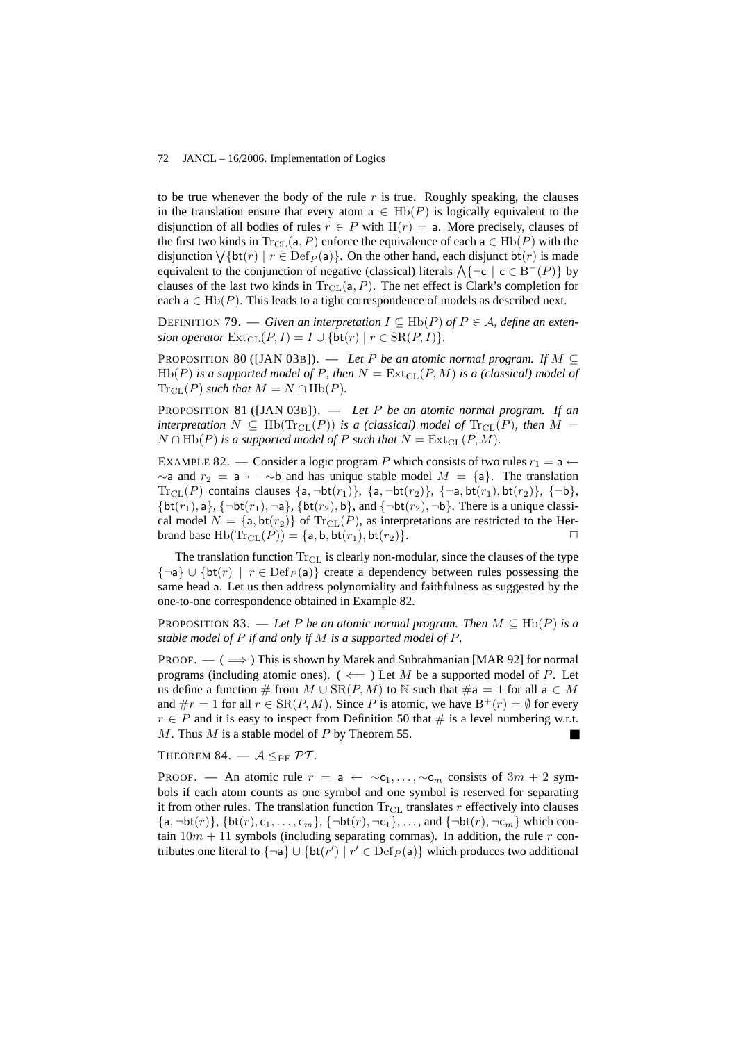to be true whenever the body of the rule  $r$  is true. Roughly speaking, the clauses in the translation ensure that every atom a  $\in$  Hb(P) is logically equivalent to the disjunction of all bodies of rules  $r \in P$  with  $H(r) = a$ . More precisely, clauses of the first two kinds in  $\text{Tr}_{\text{CL}}(a, P)$  enforce the equivalence of each  $a \in \text{Hb}(P)$  with the disjunction  $\bigvee {\rm bt}(r) \mid r \in {\rm Def}_P({\sf a})$ . On the other hand, each disjunct bt $(r)$  is made  $\alpha$  equivalent to the conjunction of negative (classical) literals  $\Lambda$ { $\neg c$  |  $c \in B^{-}(P)$ } by clauses of the last two kinds in  $Tr_{CL}(a, P)$ . The net effect is Clark's completion for each  $a \in Hb(P)$ . This leads to a tight correspondence of models as described next.

DEFINITION 79. — *Given an interpretation*  $I \subseteq Hb(P)$  *of*  $P \in A$ *, define an extension operator*  $\text{Ext}_{\text{CL}}(P, I) = I \cup \{\text{bt}(r) \mid r \in \text{SR}(P, I)\}.$ 

PROPOSITION 80 ([JAN 03B]). — *Let* P *be an atomic normal program.* If  $M \subseteq$  $Hb(P)$  *is a supported model of* P, then  $N = \text{Ext}_{CL}(P, M)$  *is a (classical) model of*  $Tr_{CL}(P)$  *such that*  $M = N \cap Hb(P)$ *.* 

PROPOSITION 81 ([JAN 03B]). — *Let* P *be an atomic normal program. If an interpretation*  $N \subseteq \text{Hb}(\text{Tr}_{CL}(P))$  *is a (classical) model of*  $\text{Tr}_{CL}(P)$ *, then*  $M =$  $N \cap \text{Hb}(P)$  *is a supported model of* P *such that*  $N = \text{Ext}_{\text{CL}}(P, M)$ *.* 

EXAMPLE 82. — Consider a logic program P which consists of two rules  $r_1 = a \leftarrow$  $\sim$ a and  $r_2 = a \leftarrow \sim b$  and has unique stable model  $M = \{a\}$ . The translation  $\text{Tr}_{\text{CL}}(P)$  contains clauses  $\{a, \neg \text{bt}(r_1)\}, \{a, \neg \text{bt}(r_2)\}, \{\neg a, \text{bt}(r_1), \text{bt}(r_2)\}, \{\neg b\},\$  ${\text{bt}(r_1), \mathsf{a}}, {\text{bit}(r_1), \neg \mathsf{a}}, {\text{bt}(r_2), \mathsf{b}}, \text{and } {\text{-bt}(r_2), \neg \mathsf{b}}.$  There is a unique classical model  $N = \{a, bt(r_2)\}\$  of  $Tr_{CL}(P)$ , as interpretations are restricted to the Herbrand base  $Hb(Tr_{CL}(P)) = \{a, b, bt(r_1), bt(r_2)\}.$ 

The translation function  $Tr_{CL}$  is clearly non-modular, since the clauses of the type  $\{\neg a\} \cup \{\text{bt}(r) \mid r \in \text{Def}_P(a)\}\$  create a dependency between rules possessing the same head a. Let us then address polynomiality and faithfulness as suggested by the one-to-one correspondence obtained in Example 82.

PROPOSITION 83. — Let P be an atomic normal program. Then  $M \subseteq \text{Hb}(P)$  is a *stable model of* P *if and only if* M *is a supported model of* P*.*

PROOF. —  $(\implies)$  This is shown by Marek and Subrahmanian [MAR 92] for normal programs (including atomic ones). ( $\Leftarrow$ ) Let M be a supported model of P. Let us define a function # from  $M \cup SR(P, M)$  to N such that  $\#a = 1$  for all  $a \in M$ and  $\#r = 1$  for all  $r \in \text{SR}(P, M)$ . Since P is atomic, we have  $B^+(r) = \emptyset$  for every  $r \in P$  and it is easy to inspect from Definition 50 that # is a level numbering w.r.t.  $M$ . Thus  $M$  is a stable model of  $P$  by Theorem 55.

THEOREM 84.  $A \leq_{PF} PT$ .

PROOF. — An atomic rule  $r = a \leftarrow \sim c_1, \ldots, \sim c_m$  consists of  $3m + 2$  symbols if each atom counts as one symbol and one symbol is reserved for separating it from other rules. The translation function  $Tr_{CL}$  translates r effectively into clauses  $\{a, \neg bt(r)\}, \{bt(r), c_1, \ldots, c_m\}, \{\neg bt(r), \neg c_1\}, \ldots, \text{ and } \{\neg bt(r), \neg c_m\} \text{ which con$ tain  $10m + 11$  symbols (including separating commas). In addition, the rule r contributes one literal to  $\{\neg a\} \cup \{\text{bt}(r') \mid r' \in \text{Def}_P(a)\}\$  which produces two additional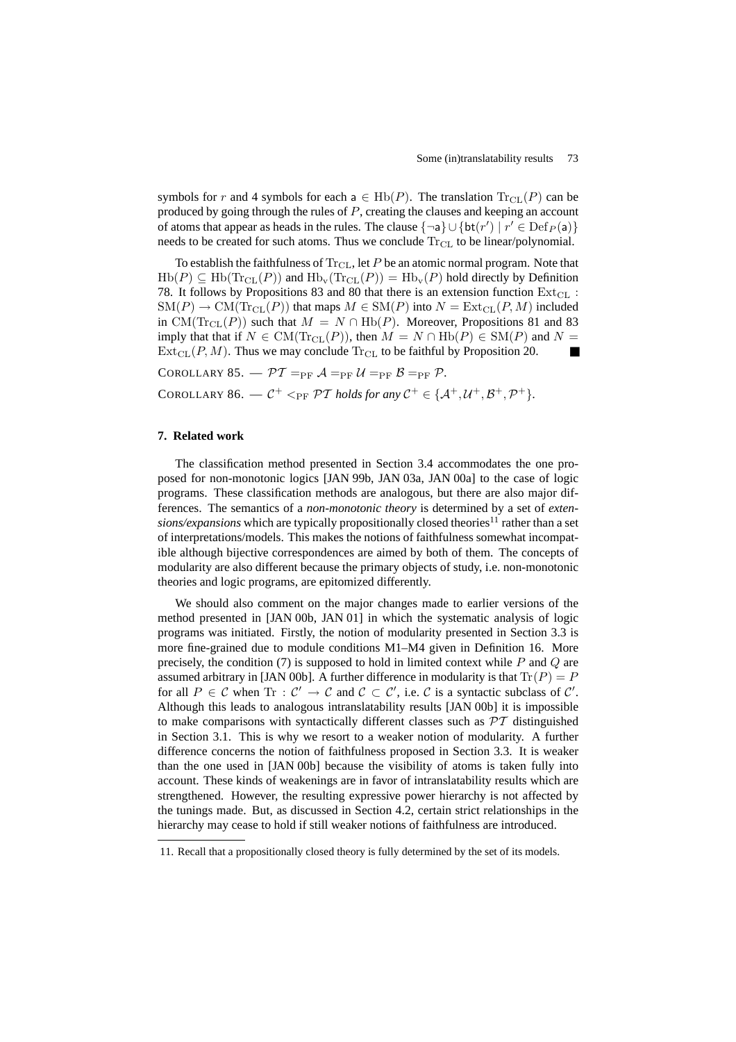symbols for r and 4 symbols for each a  $\in$  Hb(P). The translation  $\text{Tr}_{CL}(P)$  can be produced by going through the rules of P, creating the clauses and keeping an account of atoms that appear as heads in the rules. The clause  $\{\neg a\} \cup \{bt(r') \mid r' \in Def_P(a)\}\$ needs to be created for such atoms. Thus we conclude  $Tr_{CL}$  to be linear/polynomial.

To establish the faithfulness of  $Tr_{CL}$ , let P be an atomic normal program. Note that  $Hb(P) \subseteq Hb(Tr_{CL}(P))$  and  $Hb_v(Tr_{CL}(P)) = Hb_v(P)$  hold directly by Definition 78. It follows by Propositions 83 and 80 that there is an extension function  $Ext_{CL}$ :  $SM(P) \to CM(Tr_{CL}(P))$  that maps  $M \in SM(P)$  into  $N = Ext_{CL}(P, M)$  included in CM(T<sub>CL</sub>(P)) such that  $M = N \cap \text{Hb}(P)$ . Moreover, Propositions 81 and 83 imply that that if  $N \in CM(\text{Tr}_{CL}(P))$ , then  $M = N \cap \text{Hb}(P) \in SM(P)$  and  $N =$  $Ext_{CL}(P, M)$ . Thus we may conclude  $Tr_{CL}$  to be faithful by Proposition 20.

COROLLARY 85.  $-\mathcal{PT} =_{PF} \mathcal{A} =_{PF} \mathcal{U} =_{PF} \mathcal{B} =_{PF} \mathcal{P}$ .

COROLLARY 86.  $-\mathcal{C}^+ <_{PF} \mathcal{PT}$  *holds for any*  $\mathcal{C}^+ \in \{A^+, \mathcal{U}^+, \mathcal{B}^+, \mathcal{P}^+\}.$ 

# **7. Related work**

The classification method presented in Section 3.4 accommodates the one proposed for non-monotonic logics [JAN 99b, JAN 03a, JAN 00a] to the case of logic programs. These classification methods are analogous, but there are also major differences. The semantics of a *non-monotonic theory* is determined by a set of *extensions/expansions* which are typically propositionally closed theories<sup>11</sup> rather than a set of interpretations/models. This makes the notions of faithfulness somewhat incompatible although bijective correspondences are aimed by both of them. The concepts of modularity are also different because the primary objects of study, i.e. non-monotonic theories and logic programs, are epitomized differently.

We should also comment on the major changes made to earlier versions of the method presented in [JAN 00b, JAN 01] in which the systematic analysis of logic programs was initiated. Firstly, the notion of modularity presented in Section 3.3 is more fine-grained due to module conditions M1–M4 given in Definition 16. More precisely, the condition (7) is supposed to hold in limited context while  $P$  and  $Q$  are assumed arbitrary in [JAN 00b]. A further difference in modularity is that  $\text{Tr}(P) = P$ for all  $P \in \mathcal{C}$  when  $\text{Tr} : \mathcal{C}' \to \mathcal{C}$  and  $\mathcal{C} \subset \mathcal{C}'$ , i.e.  $\mathcal{C}$  is a syntactic subclass of  $\mathcal{C}'$ . Although this leads to analogous intranslatability results [JAN 00b] it is impossible to make comparisons with syntactically different classes such as  $\mathcal{PT}$  distinguished in Section 3.1. This is why we resort to a weaker notion of modularity. A further difference concerns the notion of faithfulness proposed in Section 3.3. It is weaker than the one used in [JAN 00b] because the visibility of atoms is taken fully into account. These kinds of weakenings are in favor of intranslatability results which are strengthened. However, the resulting expressive power hierarchy is not affected by the tunings made. But, as discussed in Section 4.2, certain strict relationships in the hierarchy may cease to hold if still weaker notions of faithfulness are introduced.

<sup>11.</sup> Recall that a propositionally closed theory is fully determined by the set of its models.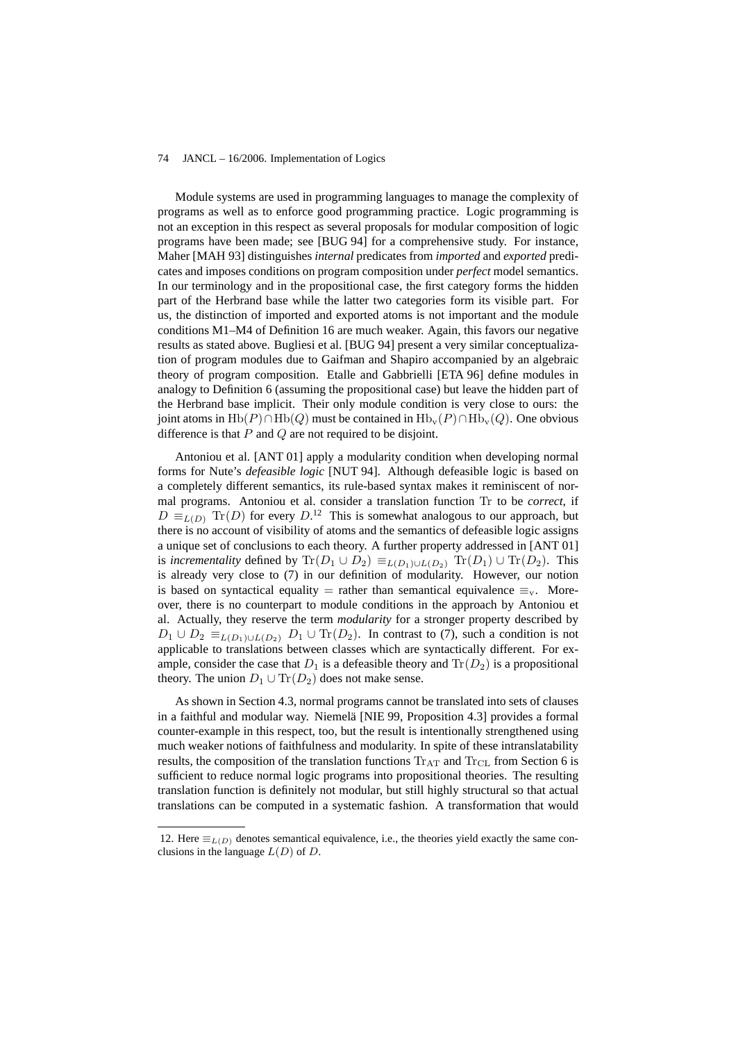Module systems are used in programming languages to manage the complexity of programs as well as to enforce good programming practice. Logic programming is not an exception in this respect as several proposals for modular composition of logic programs have been made; see [BUG 94] for a comprehensive study. For instance, Maher [MAH 93] distinguishes *internal* predicates from *imported* and *exported* predicates and imposes conditions on program composition under *perfect* model semantics. In our terminology and in the propositional case, the first category forms the hidden part of the Herbrand base while the latter two categories form its visible part. For us, the distinction of imported and exported atoms is not important and the module conditions M1–M4 of Definition 16 are much weaker. Again, this favors our negative results as stated above. Bugliesi et al. [BUG 94] present a very similar conceptualization of program modules due to Gaifman and Shapiro accompanied by an algebraic theory of program composition. Etalle and Gabbrielli [ETA 96] define modules in analogy to Definition 6 (assuming the propositional case) but leave the hidden part of the Herbrand base implicit. Their only module condition is very close to ours: the joint atoms in  $\text{Hb}(P) \cap \text{Hb}(Q)$  must be contained in  $\text{Hb}_v(P) \cap \text{Hb}_v(Q)$ . One obvious difference is that  $P$  and  $Q$  are not required to be disjoint.

Antoniou et al. [ANT 01] apply a modularity condition when developing normal forms for Nute's *defeasible logic* [NUT 94]. Although defeasible logic is based on a completely different semantics, its rule-based syntax makes it reminiscent of normal programs. Antoniou et al. consider a translation function Tr to be *correct*, if  $D \equiv_{L(D)} \text{Tr}(D)$  for every  $D^{12}$ . This is somewhat analogous to our approach, but there is no account of visibility of atoms and the semantics of defeasible logic assigns a unique set of conclusions to each theory. A further property addressed in [ANT 01] is *incrementality* defined by  $\text{Tr}(D_1 \cup D_2) \equiv_{L(D_1) \cup L(D_2)} \text{Tr}(D_1) \cup \text{Tr}(D_2)$ . This is already very close to (7) in our definition of modularity. However, our notion is based on syntactical equality = rather than semantical equivalence  $\equiv_v$ . Moreover, there is no counterpart to module conditions in the approach by Antoniou et al. Actually, they reserve the term *modularity* for a stronger property described by  $D_1 \cup D_2 \equiv_{L(D_1) \cup L(D_2)} D_1 \cup \text{Tr}(D_2)$ . In contrast to (7), such a condition is not applicable to translations between classes which are syntactically different. For example, consider the case that  $D_1$  is a defeasible theory and  $\text{Tr}(D_2)$  is a propositional theory. The union  $D_1 \cup Tr(D_2)$  does not make sense.

As shown in Section 4.3, normal programs cannot be translated into sets of clauses in a faithful and modular way. Niemelä [NIE 99, Proposition 4.3] provides a formal counter-example in this respect, too, but the result is intentionally strengthened using much weaker notions of faithfulness and modularity. In spite of these intranslatability results, the composition of the translation functions  $T_{\rm AT}$  and  $T_{\rm CL}$  from Section 6 is sufficient to reduce normal logic programs into propositional theories. The resulting translation function is definitely not modular, but still highly structural so that actual translations can be computed in a systematic fashion. A transformation that would

<sup>12.</sup> Here  $\equiv_{L(D)}$  denotes semantical equivalence, i.e., the theories yield exactly the same conclusions in the language  $L(D)$  of D.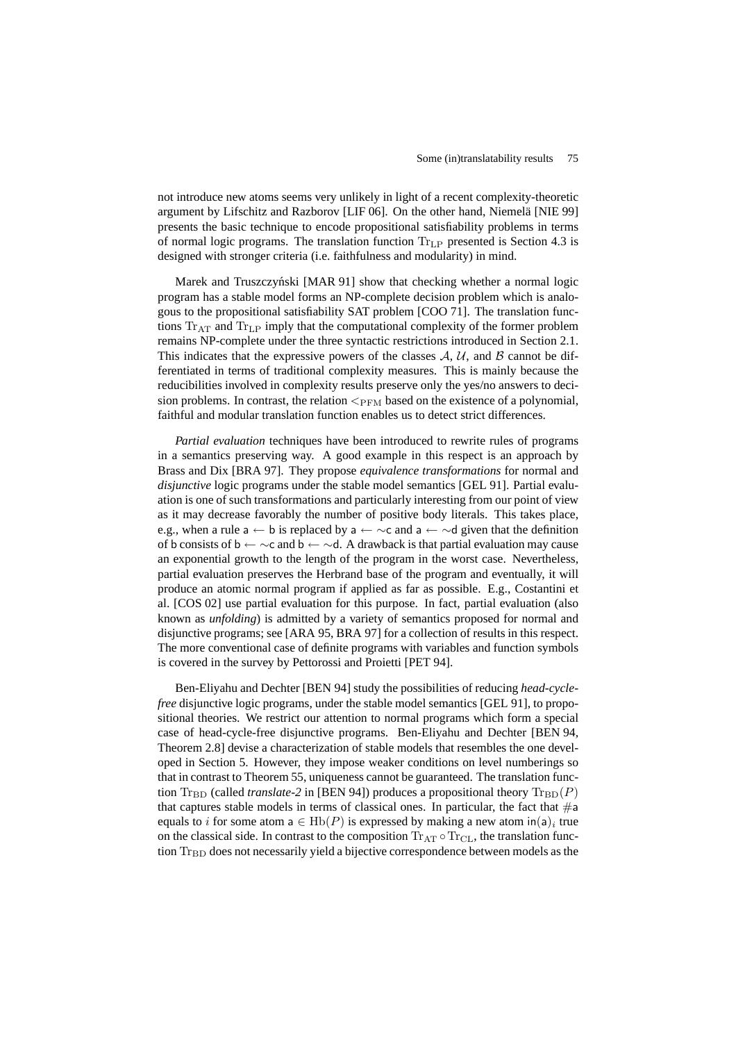not introduce new atoms seems very unlikely in light of a recent complexity-theoretic argument by Lifschitz and Razborov [LIF 06]. On the other hand, Niemelä [NIE 99] presents the basic technique to encode propositional satisfiability problems in terms of normal logic programs. The translation function  $Tr_{LP}$  presented is Section 4.3 is designed with stronger criteria (i.e. faithfulness and modularity) in mind.

Marek and Truszczyński [MAR 91] show that checking whether a normal logic program has a stable model forms an NP-complete decision problem which is analogous to the propositional satisfiability SAT problem [COO 71]. The translation functions  $Tr_{AT}$  and  $Tr_{LP}$  imply that the computational complexity of the former problem remains NP-complete under the three syntactic restrictions introduced in Section 2.1. This indicates that the expressive powers of the classes  $A, U$ , and  $B$  cannot be differentiated in terms of traditional complexity measures. This is mainly because the reducibilities involved in complexity results preserve only the yes/no answers to decision problems. In contrast, the relation  $\leq_{\text{FIM}}$  based on the existence of a polynomial, faithful and modular translation function enables us to detect strict differences.

*Partial evaluation* techniques have been introduced to rewrite rules of programs in a semantics preserving way. A good example in this respect is an approach by Brass and Dix [BRA 97]. They propose *equivalence transformations* for normal and *disjunctive* logic programs under the stable model semantics [GEL 91]. Partial evaluation is one of such transformations and particularly interesting from our point of view as it may decrease favorably the number of positive body literals. This takes place, e.g., when a rule a  $\leftarrow$  b is replaced by a  $\leftarrow \sim$  c and a  $\leftarrow \sim$  d given that the definition of b consists of b ←  $\sim$ c and b ←  $\sim$ d. A drawback is that partial evaluation may cause an exponential growth to the length of the program in the worst case. Nevertheless, partial evaluation preserves the Herbrand base of the program and eventually, it will produce an atomic normal program if applied as far as possible. E.g., Costantini et al. [COS 02] use partial evaluation for this purpose. In fact, partial evaluation (also known as *unfolding*) is admitted by a variety of semantics proposed for normal and disjunctive programs; see [ARA 95, BRA 97] for a collection of results in this respect. The more conventional case of definite programs with variables and function symbols is covered in the survey by Pettorossi and Proietti [PET 94].

Ben-Eliyahu and Dechter [BEN 94] study the possibilities of reducing *head-cyclefree* disjunctive logic programs, under the stable model semantics [GEL 91], to propositional theories. We restrict our attention to normal programs which form a special case of head-cycle-free disjunctive programs. Ben-Eliyahu and Dechter [BEN 94, Theorem 2.8] devise a characterization of stable models that resembles the one developed in Section 5. However, they impose weaker conditions on level numberings so that in contrast to Theorem 55, uniqueness cannot be guaranteed. The translation function  $\text{Tr}_{BD}$  (called *translate-2* in [BEN 94]) produces a propositional theory  $\text{Tr}_{BD}(P)$ that captures stable models in terms of classical ones. In particular, the fact that  $\#a$ equals to i for some atom  $a \in \text{Hb}(P)$  is expressed by making a new atom  $\text{in}(a)_i$  true on the classical side. In contrast to the composition  $\text{Tr}_{AT} \circ \text{Tr}_{CL}$ , the translation function  $Tr_{BD}$  does not necessarily yield a bijective correspondence between models as the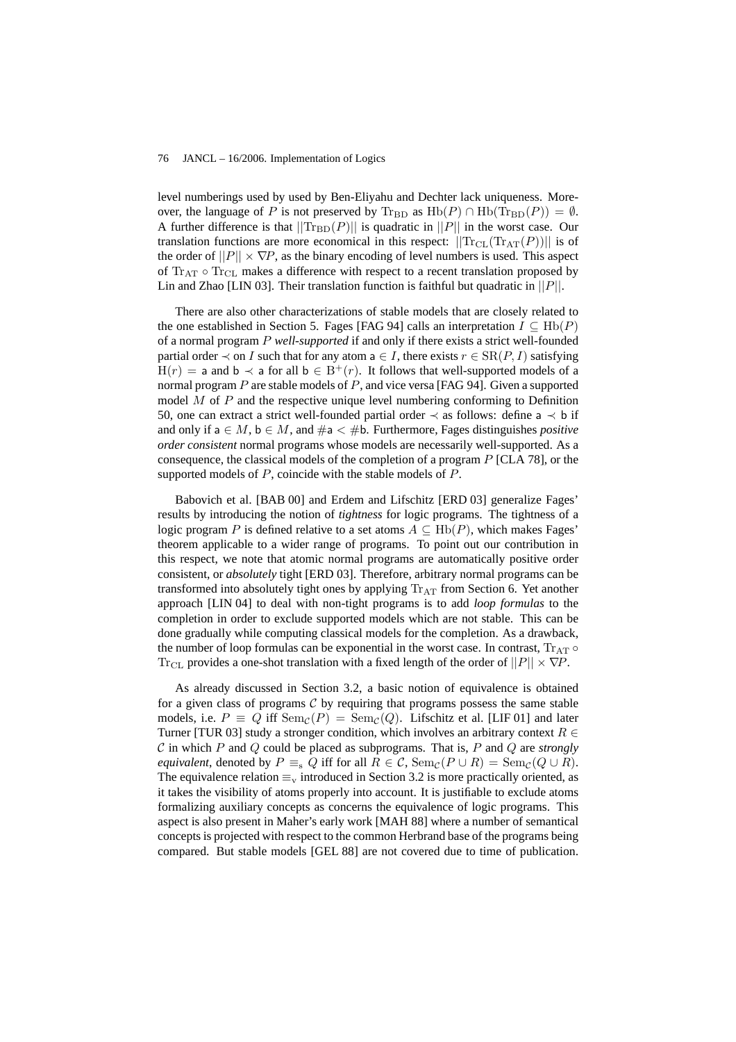level numberings used by used by Ben-Eliyahu and Dechter lack uniqueness. Moreover, the language of P is not preserved by  $\text{Tr}_{BD}$  as  $\text{Hb}(P) \cap \text{Hb}(\text{Tr}_{BD}(P)) = \emptyset$ . A further difference is that  $||{\rm Tr}_{\rm BD}(P)||$  is quadratic in  $||P||$  in the worst case. Our translation functions are more economical in this respect:  $||\text{Tr}_{CL}(\text{Tr}_{AT}(P))||$  is of the order of  $||P|| \times \nabla P$ , as the binary encoding of level numbers is used. This aspect of  $Tr_{AT} \circ Tr_{CL}$  makes a difference with respect to a recent translation proposed by Lin and Zhao [LIN 03]. Their translation function is faithful but quadratic in  $||P||$ .

There are also other characterizations of stable models that are closely related to the one established in Section 5. Fages [FAG 94] calls an interpretation  $I \subseteq \text{Hb}(P)$ of a normal program P *well-supported* if and only if there exists a strict well-founded partial order  $\prec$  on I such that for any atom a  $\in I$ , there exists  $r \in \text{SR}(P, I)$  satisfying  $H(r) = a$  and  $b \prec a$  for all  $b \in B^{+}(r)$ . It follows that well-supported models of a normal program  $P$  are stable models of  $P$ , and vice versa [FAG 94]. Given a supported model  $M$  of  $P$  and the respective unique level numbering conforming to Definition 50, one can extract a strict well-founded partial order  $\prec$  as follows: define a  $\prec$  b if and only if  $a \in M$ ,  $b \in M$ , and  $\#a < \#b$ . Furthermore, Fages distinguishes *positive order consistent* normal programs whose models are necessarily well-supported. As a consequence, the classical models of the completion of a program  $P$  [CLA 78], or the supported models of  $P$ , coincide with the stable models of  $P$ .

Babovich et al. [BAB 00] and Erdem and Lifschitz [ERD 03] generalize Fages' results by introducing the notion of *tightness* for logic programs. The tightness of a logic program P is defined relative to a set atoms  $A \subseteq \text{Hb}(P)$ , which makes Fages' theorem applicable to a wider range of programs. To point out our contribution in this respect, we note that atomic normal programs are automatically positive order consistent, or *absolutely* tight [ERD 03]. Therefore, arbitrary normal programs can be transformed into absolutely tight ones by applying  $Tr_{AT}$  from Section 6. Yet another approach [LIN 04] to deal with non-tight programs is to add *loop formulas* to the completion in order to exclude supported models which are not stable. This can be done gradually while computing classical models for the completion. As a drawback, the number of loop formulas can be exponential in the worst case. In contrast,  $Tr_{AT} \circ$ Tr<sub>CL</sub> provides a one-shot translation with a fixed length of the order of  $||P|| \times \nabla P$ .

As already discussed in Section 3.2, a basic notion of equivalence is obtained for a given class of programs  $\mathcal C$  by requiring that programs possess the same stable models, i.e.  $P \equiv Q$  iff  $\text{Sem}_C(P) = \text{Sem}_C(Q)$ . Lifschitz et al. [LIF 01] and later Turner [TUR 03] study a stronger condition, which involves an arbitrary context  $R \in$ C in which P and Q could be placed as subprograms. That is, P and Q are *strongly equivalent*, denoted by  $P \equiv_{\rm s} Q$  iff for all  $R \in \mathcal{C}$ , Sem<sub>C</sub>( $P \cup R$ ) = Sem<sub>C</sub>( $Q \cup R$ ). The equivalence relation  $\equiv_{\rm v}$  introduced in Section 3.2 is more practically oriented, as it takes the visibility of atoms properly into account. It is justifiable to exclude atoms formalizing auxiliary concepts as concerns the equivalence of logic programs. This aspect is also present in Maher's early work [MAH 88] where a number of semantical concepts is projected with respect to the common Herbrand base of the programs being compared. But stable models [GEL 88] are not covered due to time of publication.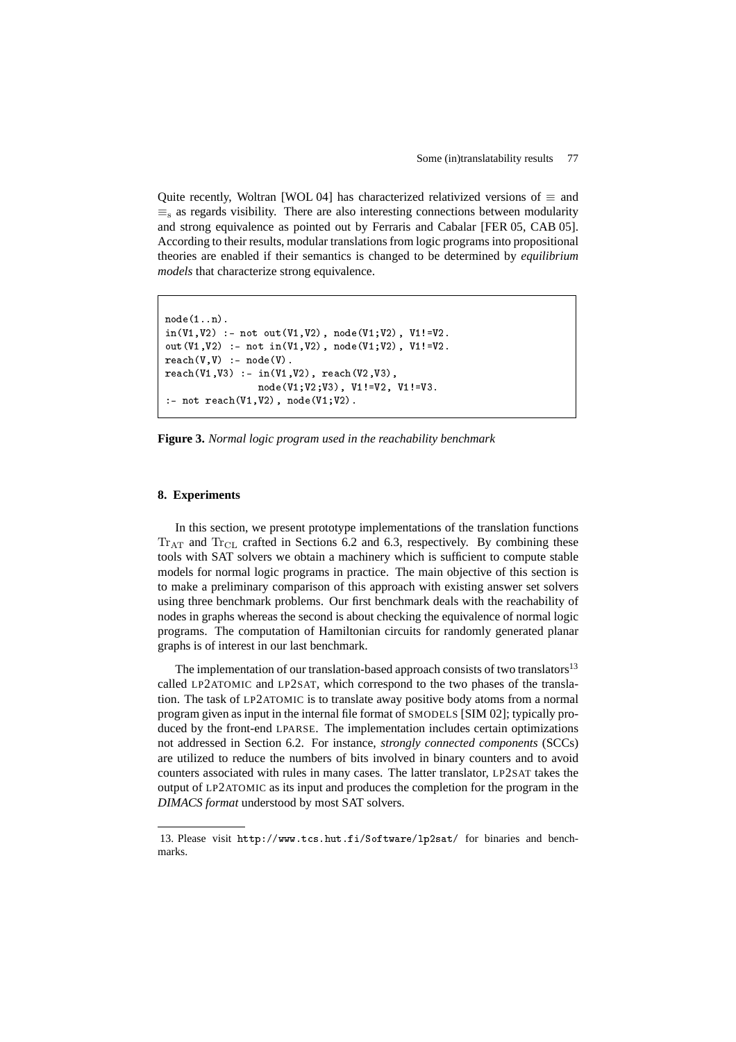Quite recently, Woltran [WOL 04] has characterized relativized versions of  $\equiv$  and  $\equiv$ <sub>s</sub> as regards visibility. There are also interesting connections between modularity and strong equivalence as pointed out by Ferraris and Cabalar [FER 05, CAB 05]. According to their results, modular translations from logic programs into propositional theories are enabled if their semantics is changed to be determined by *equilibrium models* that characterize strong equivalence.

```
node(1..n).
in(V1,V2) :- not out(V1,V2), node(V1;V2), V1!=V2.
out(V1,V2) :- not in(V1,V2), node(V1;V2), V1!=V2.
reach(V, V) :- node(V).
reach(V1,V3) :- in(V1,V2), reach(V2,V3),node(V1;V2;V3), V1!=V2, V1!=V3.
:- not reach(V1,V2), node(V1;V2).
```
**Figure 3.** *Normal logic program used in the reachability benchmark*

# **8. Experiments**

In this section, we present prototype implementations of the translation functions  $Tr_{AT}$  and  $Tr_{CL}$  crafted in Sections 6.2 and 6.3, respectively. By combining these tools with SAT solvers we obtain a machinery which is sufficient to compute stable models for normal logic programs in practice. The main objective of this section is to make a preliminary comparison of this approach with existing answer set solvers using three benchmark problems. Our first benchmark deals with the reachability of nodes in graphs whereas the second is about checking the equivalence of normal logic programs. The computation of Hamiltonian circuits for randomly generated planar graphs is of interest in our last benchmark.

The implementation of our translation-based approach consists of two translators $13$ called LP2ATOMIC and LP2SAT, which correspond to the two phases of the translation. The task of LP2ATOMIC is to translate away positive body atoms from a normal program given as input in the internal file format of SMODELS [SIM 02]; typically produced by the front-end LPARSE. The implementation includes certain optimizations not addressed in Section 6.2. For instance, *strongly connected components* (SCCs) are utilized to reduce the numbers of bits involved in binary counters and to avoid counters associated with rules in many cases. The latter translator, LP2SAT takes the output of LP2ATOMIC as its input and produces the completion for the program in the *DIMACS format* understood by most SAT solvers.

<sup>13.</sup> Please visit http://www.tcs.hut.fi/Software/lp2sat/ for binaries and benchmarks.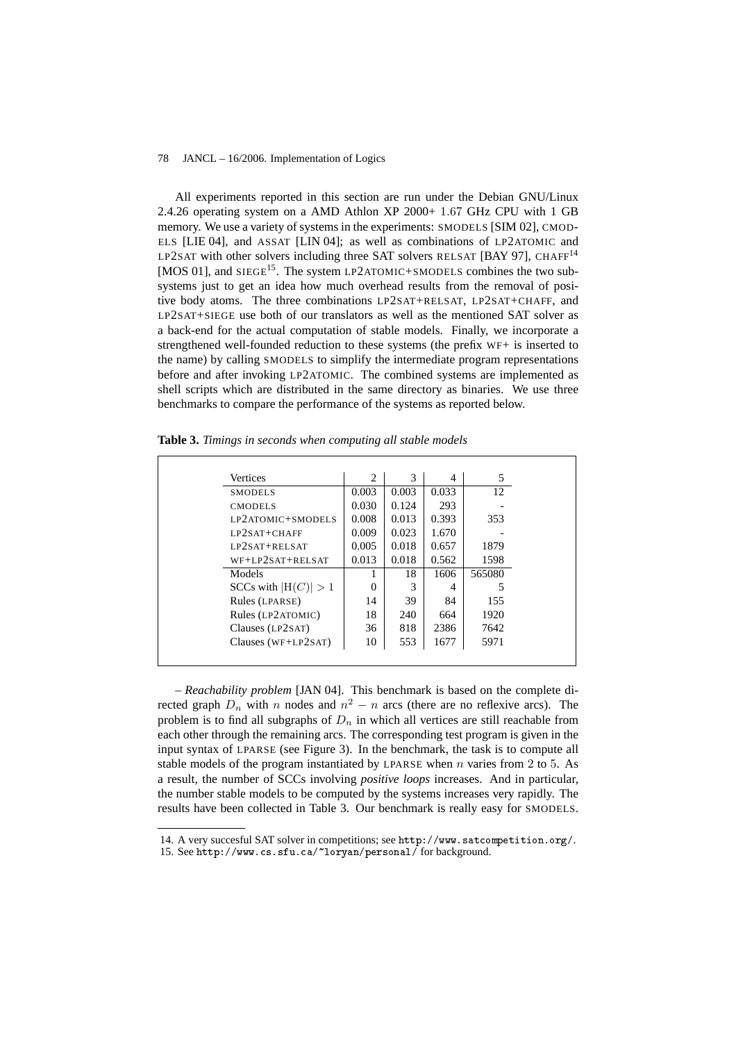All experiments reported in this section are run under the Debian GNU/Linux 2.4.26 operating system on a AMD Athlon XP 2000+ 1.67 GHz CPU with 1 GB memory. We use a variety of systems in the experiments: SMODELS [SIM 02], CMOD-ELS [LIE 04], and ASSAT [LIN 04]; as well as combinations of LP2ATOMIC and LP2SAT with other solvers including three SAT solvers RELSAT [BAY 97], CHAFF<sup>14</sup> [MOS 01], and  $SIEGE<sup>15</sup>$ . The system LP2ATOMIC+SMODELS combines the two subsystems just to get an idea how much overhead results from the removal of positive body atoms. The three combinations LP2SAT+RELSAT, LP2SAT+CHAFF, and LP2SAT+SIEGE use both of our translators as well as the mentioned SAT solver as a back-end for the actual computation of stable models. Finally, we incorporate a strengthened well-founded reduction to these systems (the prefix WF+ is inserted to the name) by calling SMODELS to simplify the intermediate program representations before and after invoking LP2ATOMIC. The combined systems are implemented as shell scripts which are distributed in the same directory as binaries. We use three benchmarks to compare the performance of the systems as reported below.

| Vertices                | 2     | 3     | 4     | 5      |
|-------------------------|-------|-------|-------|--------|
| <b>SMODELS</b>          | 0.003 | 0.003 | 0.033 | 12.    |
| <b>CMODELS</b>          | 0.030 | 0.124 | 293   |        |
| LP2ATOMIC+SMODELS       | 0.008 | 0.013 | 0.393 | 353    |
| $LP2SAT + CHAFF$        | 0.009 | 0.023 | 1.670 |        |
| $LP2SAT+RELSAT$         | 0.005 | 0.018 | 0.657 | 1879   |
| $WF+LP2SAT+RELSAT$      | 0.013 | 0.018 | 0.562 | 1598   |
| Models                  |       | 18    | 1606  | 565080 |
| SCCs with $ H(C)  > 1$  | 0     | 3     | 4     | 5      |
| Rules (LPARSE)          | 14    | 39    | 84    | 155    |
| Rules (LP2ATOMIC)       | 18    | 240   | 664   | 1920   |
| Clauses (LP2SAT)        | 36    | 818   | 2386  | 7642   |
| Clauses ( $WF+LP2SAT$ ) | 10    | 553   | 1677  | 5971   |

**Table 3.** *Timings in seconds when computing all stable models*

– *Reachability problem* [JAN 04]. This benchmark is based on the complete directed graph  $D_n$  with n nodes and  $n^2 - n$  arcs (there are no reflexive arcs). The problem is to find all subgraphs of  $D_n$  in which all vertices are still reachable from each other through the remaining arcs. The corresponding test program is given in the input syntax of LPARSE (see Figure 3). In the benchmark, the task is to compute all stable models of the program instantiated by LPARSE when  $n$  varies from 2 to 5. As a result, the number of SCCs involving *positive loops* increases. And in particular, the number stable models to be computed by the systems increases very rapidly. The results have been collected in Table 3. Our benchmark is really easy for SMODELS.

<sup>14.</sup> A very succesful SAT solver in competitions; see http://www.satcompetition.org/.

<sup>15.</sup> See http://www.cs.sfu.ca/~loryan/personal/ for background.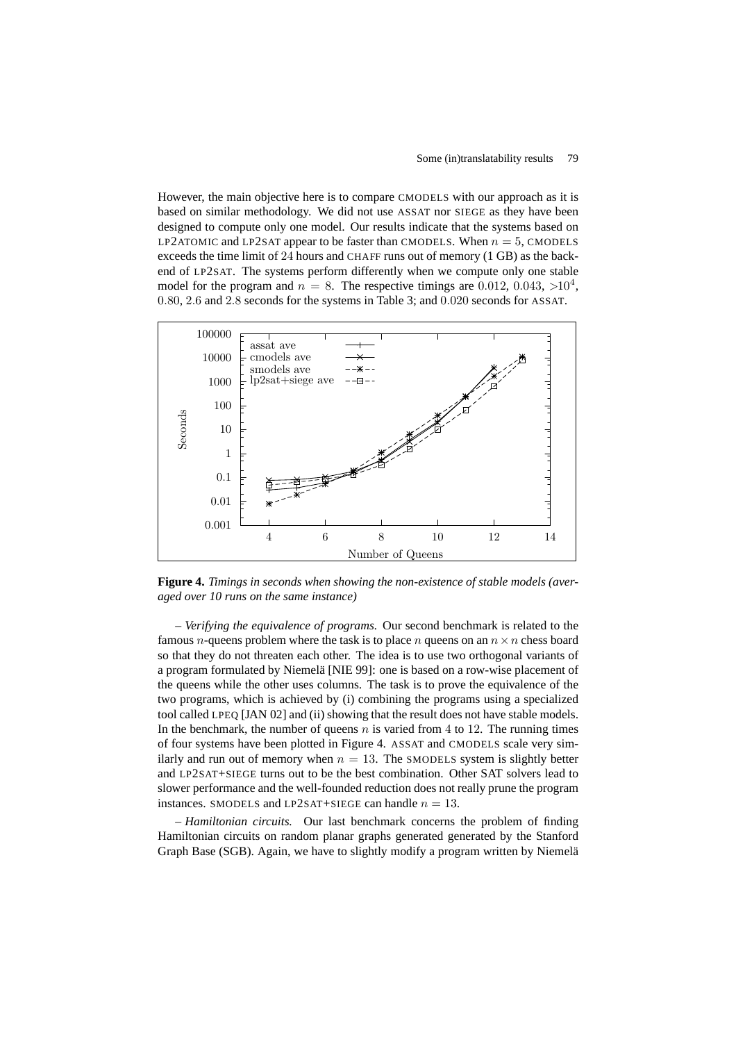However, the main objective here is to compare CMODELS with our approach as it is based on similar methodology. We did not use ASSAT nor SIEGE as they have been designed to compute only one model. Our results indicate that the systems based on LP2ATOMIC and LP2SAT appear to be faster than CMODELS. When  $n = 5$ , CMODELS exceeds the time limit of 24 hours and CHAFF runs out of memory (1 GB) as the backend of LP2SAT. The systems perform differently when we compute only one stable model for the program and  $n = 8$ . The respective timings are 0.012, 0.043,  $>10^4$ , 0.80, 2.6 and 2.8 seconds for the systems in Table 3; and 0.020 seconds for ASSAT.



**Figure 4.** *Timings in seconds when showing the non-existence of stable models (averaged over 10 runs on the same instance)*

– *Verifying the equivalence of programs.* Our second benchmark is related to the famous *n*-queens problem where the task is to place *n* queens on an  $n \times n$  chess board so that they do not threaten each other. The idea is to use two orthogonal variants of a program formulated by Niemelä [NIE 99]: one is based on a row-wise placement of the queens while the other uses columns. The task is to prove the equivalence of the two programs, which is achieved by (i) combining the programs using a specialized tool called LPEQ [JAN 02] and (ii) showing that the result does not have stable models. In the benchmark, the number of queens  $n$  is varied from 4 to 12. The running times of four systems have been plotted in Figure 4. ASSAT and CMODELS scale very similarly and run out of memory when  $n = 13$ . The SMODELS system is slightly better and LP2SAT+SIEGE turns out to be the best combination. Other SAT solvers lead to slower performance and the well-founded reduction does not really prune the program instances. SMODELS and LP2SAT+SIEGE can handle  $n = 13$ .

– *Hamiltonian circuits.* Our last benchmark concerns the problem of finding Hamiltonian circuits on random planar graphs generated generated by the Stanford Graph Base (SGB). Again, we have to slightly modify a program written by Niemelä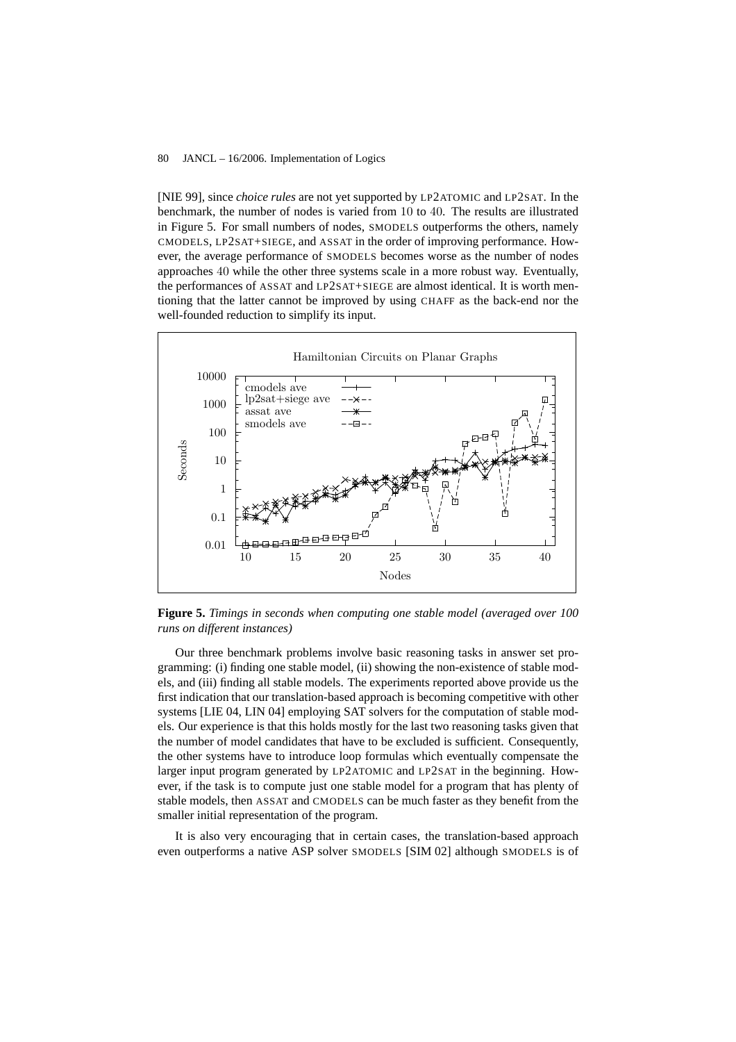[NIE 99], since *choice rules* are not yet supported by LP2ATOMIC and LP2SAT. In the benchmark, the number of nodes is varied from 10 to 40. The results are illustrated in Figure 5. For small numbers of nodes, SMODELS outperforms the others, namely CMODELS, LP2SAT+SIEGE, and ASSAT in the order of improving performance. However, the average performance of SMODELS becomes worse as the number of nodes approaches 40 while the other three systems scale in a more robust way. Eventually, the performances of ASSAT and LP2SAT+SIEGE are almost identical. It is worth mentioning that the latter cannot be improved by using CHAFF as the back-end nor the well-founded reduction to simplify its input.



**Figure 5.** *Timings in seconds when computing one stable model (averaged over 100 runs on different instances)*

Our three benchmark problems involve basic reasoning tasks in answer set programming: (i) finding one stable model, (ii) showing the non-existence of stable models, and (iii) finding all stable models. The experiments reported above provide us the first indication that our translation-based approach is becoming competitive with other systems [LIE 04, LIN 04] employing SAT solvers for the computation of stable models. Our experience is that this holds mostly for the last two reasoning tasks given that the number of model candidates that have to be excluded is sufficient. Consequently, the other systems have to introduce loop formulas which eventually compensate the larger input program generated by LP2ATOMIC and LP2SAT in the beginning. However, if the task is to compute just one stable model for a program that has plenty of stable models, then ASSAT and CMODELS can be much faster as they benefit from the smaller initial representation of the program.

It is also very encouraging that in certain cases, the translation-based approach even outperforms a native ASP solver SMODELS [SIM 02] although SMODELS is of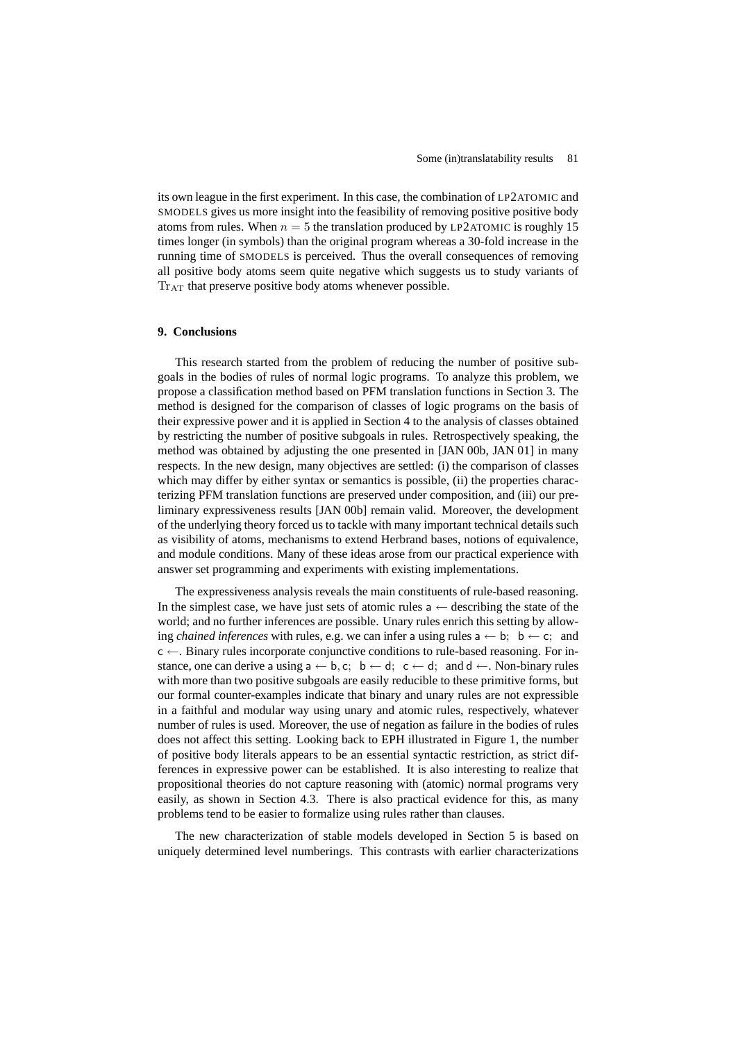its own league in the first experiment. In this case, the combination of LP2ATOMIC and SMODELS gives us more insight into the feasibility of removing positive positive body atoms from rules. When  $n = 5$  the translation produced by LP2ATOMIC is roughly 15 times longer (in symbols) than the original program whereas a 30-fold increase in the running time of SMODELS is perceived. Thus the overall consequences of removing all positive body atoms seem quite negative which suggests us to study variants of Tr<sub>AT</sub> that preserve positive body atoms whenever possible.

# **9. Conclusions**

This research started from the problem of reducing the number of positive subgoals in the bodies of rules of normal logic programs. To analyze this problem, we propose a classification method based on PFM translation functions in Section 3. The method is designed for the comparison of classes of logic programs on the basis of their expressive power and it is applied in Section 4 to the analysis of classes obtained by restricting the number of positive subgoals in rules. Retrospectively speaking, the method was obtained by adjusting the one presented in [JAN 00b, JAN 01] in many respects. In the new design, many objectives are settled: (i) the comparison of classes which may differ by either syntax or semantics is possible, (ii) the properties characterizing PFM translation functions are preserved under composition, and (iii) our preliminary expressiveness results [JAN 00b] remain valid. Moreover, the development of the underlying theory forced us to tackle with many important technical details such as visibility of atoms, mechanisms to extend Herbrand bases, notions of equivalence, and module conditions. Many of these ideas arose from our practical experience with answer set programming and experiments with existing implementations.

The expressiveness analysis reveals the main constituents of rule-based reasoning. In the simplest case, we have just sets of atomic rules  $a \leftarrow$  describing the state of the world; and no further inferences are possible. Unary rules enrich this setting by allowing *chained inferences* with rules, e.g. we can infer a using rules  $a \leftarrow b$ ;  $b \leftarrow c$ ; and  $c \leftarrow$ . Binary rules incorporate conjunctive conditions to rule-based reasoning. For instance, one can derive a using  $a \leftarrow b, c; b \leftarrow d; c \leftarrow d;$  and  $d \leftarrow$ . Non-binary rules with more than two positive subgoals are easily reducible to these primitive forms, but our formal counter-examples indicate that binary and unary rules are not expressible in a faithful and modular way using unary and atomic rules, respectively, whatever number of rules is used. Moreover, the use of negation as failure in the bodies of rules does not affect this setting. Looking back to EPH illustrated in Figure 1, the number of positive body literals appears to be an essential syntactic restriction, as strict differences in expressive power can be established. It is also interesting to realize that propositional theories do not capture reasoning with (atomic) normal programs very easily, as shown in Section 4.3. There is also practical evidence for this, as many problems tend to be easier to formalize using rules rather than clauses.

The new characterization of stable models developed in Section 5 is based on uniquely determined level numberings. This contrasts with earlier characterizations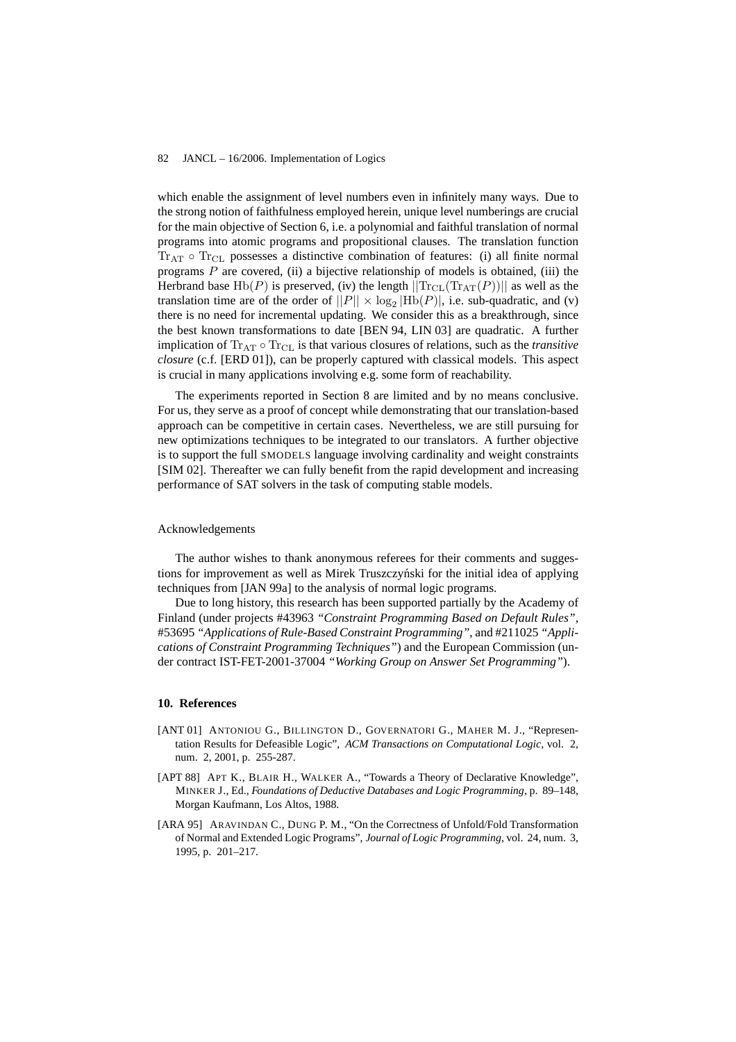which enable the assignment of level numbers even in infinitely many ways. Due to the strong notion of faithfulness employed herein, unique level numberings are crucial for the main objective of Section 6, i.e. a polynomial and faithful translation of normal programs into atomic programs and propositional clauses. The translation function  $Tr_{AT}$   $\circ$   $Tr_{CL}$  possesses a distinctive combination of features: (i) all finite normal programs  $P$  are covered, (ii) a bijective relationship of models is obtained, (iii) the Herbrand base Hb(P) is preserved, (iv) the length  $||\text{Tr}_{CL}(\text{Tr}_{AT}(P))||$  as well as the translation time are of the order of  $||P|| \times \log_2 |Hb(P)|$ , i.e. sub-quadratic, and (v) there is no need for incremental updating. We consider this as a breakthrough, since the best known transformations to date [BEN 94, LIN 03] are quadratic. A further implication of Tr<sub>AT</sub> ◦ Tr<sub>CL</sub> is that various closures of relations, such as the *transitive closure* (c.f. [ERD 01]), can be properly captured with classical models. This aspect is crucial in many applications involving e.g. some form of reachability.

The experiments reported in Section 8 are limited and by no means conclusive. For us, they serve as a proof of concept while demonstrating that our translation-based approach can be competitive in certain cases. Nevertheless, we are still pursuing for new optimizations techniques to be integrated to our translators. A further objective is to support the full SMODELS language involving cardinality and weight constraints [SIM 02]. Thereafter we can fully benefit from the rapid development and increasing performance of SAT solvers in the task of computing stable models.

# Acknowledgements

The author wishes to thank anonymous referees for their comments and suggestions for improvement as well as Mirek Truszczyński for the initial idea of applying techniques from [JAN 99a] to the analysis of normal logic programs.

Due to long history, this research has been supported partially by the Academy of Finland (under projects #43963 *"Constraint Programming Based on Default Rules"*, #53695 *"Applications of Rule-Based Constraint Programming"*, and #211025 *"Applications of Constraint Programming Techniques"*) and the European Commission (under contract IST-FET-2001-37004 *"Working Group on Answer Set Programming"*).

### **10. References**

- [ANT 01] ANTONIOU G., BILLINGTON D., GOVERNATORI G., MAHER M. J., "Representation Results for Defeasible Logic", *ACM Transactions on Computational Logic*, vol. 2, num. 2, 2001, p. 255-287.
- [APT 88] APT K., BLAIR H., WALKER A., "Towards a Theory of Declarative Knowledge", MINKER J., Ed., *Foundations of Deductive Databases and Logic Programming*, p. 89–148, Morgan Kaufmann, Los Altos, 1988.
- [ARA 95] ARAVINDAN C., DUNG P. M., "On the Correctness of Unfold/Fold Transformation of Normal and Extended Logic Programs", *Journal of Logic Programming*, vol. 24, num. 3, 1995, p. 201–217.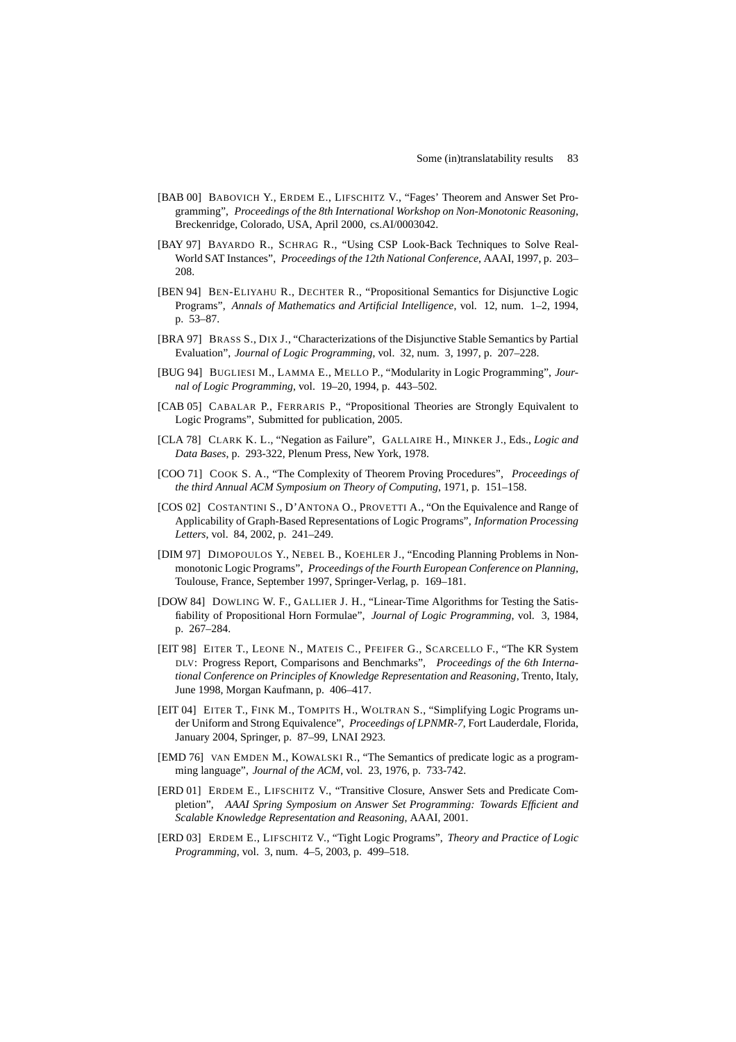- [BAB 00] BABOVICH Y., ERDEM E., LIFSCHITZ V., "Fages' Theorem and Answer Set Programming", *Proceedings of the 8th International Workshop on Non-Monotonic Reasoning*, Breckenridge, Colorado, USA, April 2000, cs.AI/0003042.
- [BAY 97] BAYARDO R., SCHRAG R., "Using CSP Look-Back Techniques to Solve Real-World SAT Instances", *Proceedings of the 12th National Conference*, AAAI, 1997, p. 203– 208.
- [BEN 94] BEN-ELIYAHU R., DECHTER R., "Propositional Semantics for Disjunctive Logic Programs", *Annals of Mathematics and Artificial Intelligence*, vol. 12, num. 1–2, 1994, p. 53–87.
- [BRA 97] BRASS S., DIX J., "Characterizations of the Disjunctive Stable Semantics by Partial Evaluation", *Journal of Logic Programming*, vol. 32, num. 3, 1997, p. 207–228.
- [BUG 94] BUGLIESI M., LAMMA E., MELLO P., "Modularity in Logic Programming", *Journal of Logic Programming*, vol. 19–20, 1994, p. 443–502.
- [CAB 05] CABALAR P., FERRARIS P., "Propositional Theories are Strongly Equivalent to Logic Programs", Submitted for publication, 2005.
- [CLA 78] CLARK K. L., "Negation as Failure", GALLAIRE H., MINKER J., Eds., *Logic and Data Bases*, p. 293-322, Plenum Press, New York, 1978.
- [COO 71] COOK S. A., "The Complexity of Theorem Proving Procedures", *Proceedings of the third Annual ACM Symposium on Theory of Computing*, 1971, p. 151–158.
- [COS 02] COSTANTINI S., D'ANTONA O., PROVETTI A., "On the Equivalence and Range of Applicability of Graph-Based Representations of Logic Programs", *Information Processing Letters*, vol. 84, 2002, p. 241–249.
- [DIM 97] DIMOPOULOS Y., NEBEL B., KOEHLER J., "Encoding Planning Problems in Nonmonotonic Logic Programs", *Proceedings of the Fourth European Conference on Planning*, Toulouse, France, September 1997, Springer-Verlag, p. 169–181.
- [DOW 84] DOWLING W. F., GALLIER J. H., "Linear-Time Algorithms for Testing the Satisfiability of Propositional Horn Formulae", *Journal of Logic Programming*, vol. 3, 1984, p. 267–284.
- [EIT 98] EITER T., LEONE N., MATEIS C., PFEIFER G., SCARCELLO F., "The KR System DLV: Progress Report, Comparisons and Benchmarks", *Proceedings of the 6th International Conference on Principles of Knowledge Representation and Reasoning*, Trento, Italy, June 1998, Morgan Kaufmann, p. 406–417.
- [EIT 04] EITER T., FINK M., TOMPITS H., WOLTRAN S., "Simplifying Logic Programs under Uniform and Strong Equivalence", *Proceedings of LPNMR-7*, Fort Lauderdale, Florida, January 2004, Springer, p. 87–99, LNAI 2923.
- [EMD 76] VAN EMDEN M., KOWALSKI R., "The Semantics of predicate logic as a programming language", *Journal of the ACM*, vol. 23, 1976, p. 733-742.
- [ERD 01] ERDEM E., LIFSCHITZ V., "Transitive Closure, Answer Sets and Predicate Completion", *AAAI Spring Symposium on Answer Set Programming: Towards Efficient and Scalable Knowledge Representation and Reasoning*, AAAI, 2001.
- [ERD 03] ERDEM E., LIFSCHITZ V., "Tight Logic Programs", *Theory and Practice of Logic Programming*, vol. 3, num. 4–5, 2003, p. 499–518.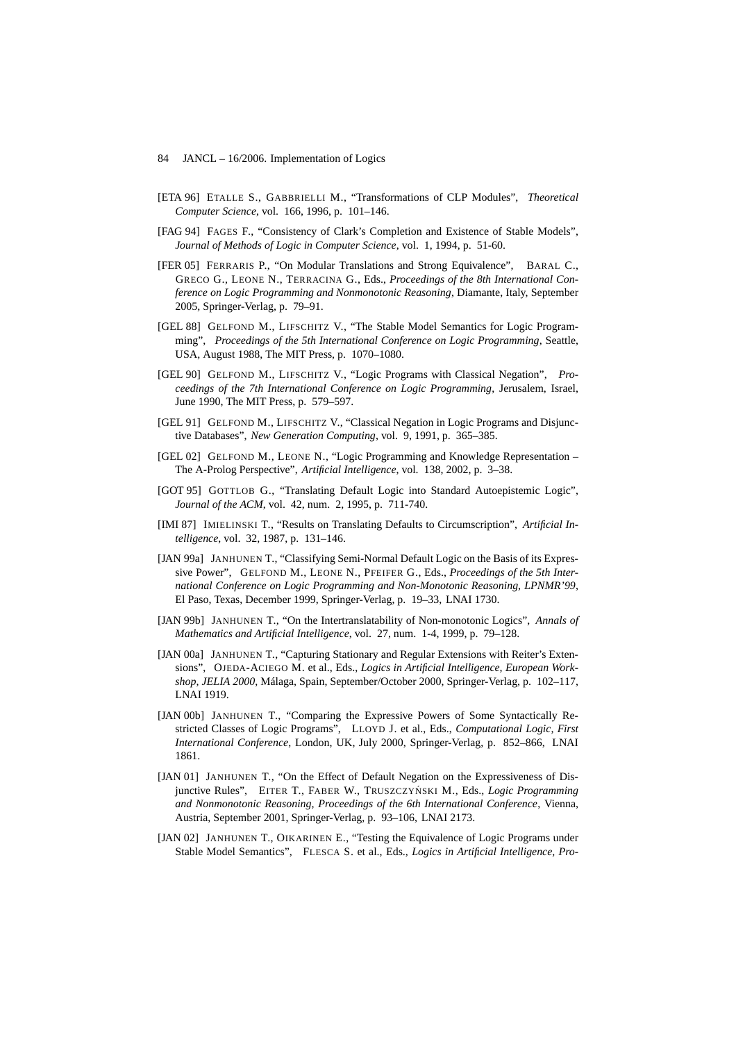- [ETA 96] ETALLE S., GABBRIELLI M., "Transformations of CLP Modules", *Theoretical Computer Science*, vol. 166, 1996, p. 101–146.
- [FAG 94] FAGES F., "Consistency of Clark's Completion and Existence of Stable Models", *Journal of Methods of Logic in Computer Science*, vol. 1, 1994, p. 51-60.
- [FER 05] FERRARIS P., "On Modular Translations and Strong Equivalence", BARAL C., GRECO G., LEONE N., TERRACINA G., Eds., *Proceedings of the 8th International Conference on Logic Programming and Nonmonotonic Reasoning*, Diamante, Italy, September 2005, Springer-Verlag, p. 79–91.
- [GEL 88] GELFOND M., LIFSCHITZ V., "The Stable Model Semantics for Logic Programming", *Proceedings of the 5th International Conference on Logic Programming*, Seattle, USA, August 1988, The MIT Press, p. 1070–1080.
- [GEL 90] GELFOND M., LIFSCHITZ V., "Logic Programs with Classical Negation", *Proceedings of the 7th International Conference on Logic Programming*, Jerusalem, Israel, June 1990, The MIT Press, p. 579–597.
- [GEL 91] GELFOND M., LIFSCHITZ V., "Classical Negation in Logic Programs and Disjunctive Databases", *New Generation Computing*, vol. 9, 1991, p. 365–385.
- [GEL 02] GELFOND M., LEONE N., "Logic Programming and Knowledge Representation The A-Prolog Perspective", *Artificial Intelligence*, vol. 138, 2002, p. 3–38.
- [GOT 95] GOTTLOB G., "Translating Default Logic into Standard Autoepistemic Logic", *Journal of the ACM*, vol. 42, num. 2, 1995, p. 711-740.
- [IMI 87] IMIELINSKI T., "Results on Translating Defaults to Circumscription", *Artificial Intelligence*, vol. 32, 1987, p. 131–146.
- [JAN 99a] JANHUNEN T., "Classifying Semi-Normal Default Logic on the Basis of its Expressive Power", GELFOND M., LEONE N., PFEIFER G., Eds., *Proceedings of the 5th International Conference on Logic Programming and Non-Monotonic Reasoning, LPNMR'99*, El Paso, Texas, December 1999, Springer-Verlag, p. 19–33, LNAI 1730.
- [JAN 99b] JANHUNEN T., "On the Intertranslatability of Non-monotonic Logics", *Annals of Mathematics and Artificial Intelligence*, vol. 27, num. 1-4, 1999, p. 79–128.
- [JAN 00a] JANHUNEN T., "Capturing Stationary and Regular Extensions with Reiter's Extensions", OJEDA-ACIEGO M. et al., Eds., *Logics in Artificial Intelligence, European Workshop, JELIA 2000*, Málaga, Spain, September/October 2000, Springer-Verlag, p. 102–117, LNAI 1919.
- [JAN 00b] JANHUNEN T., "Comparing the Expressive Powers of Some Syntactically Restricted Classes of Logic Programs", LLOYD J. et al., Eds., *Computational Logic, First International Conference*, London, UK, July 2000, Springer-Verlag, p. 852–866, LNAI 1861.
- [JAN 01] JANHUNEN T., "On the Effect of Default Negation on the Expressiveness of Disjunctive Rules", EITER T., FABER W., TRUSZCZYŃSKI M., Eds., *Logic Programming and Nonmonotonic Reasoning, Proceedings of the 6th International Conference*, Vienna, Austria, September 2001, Springer-Verlag, p. 93–106, LNAI 2173.
- [JAN 02] JANHUNEN T., OIKARINEN E., "Testing the Equivalence of Logic Programs under Stable Model Semantics", FLESCA S. et al., Eds., *Logics in Artificial Intelligence, Pro-*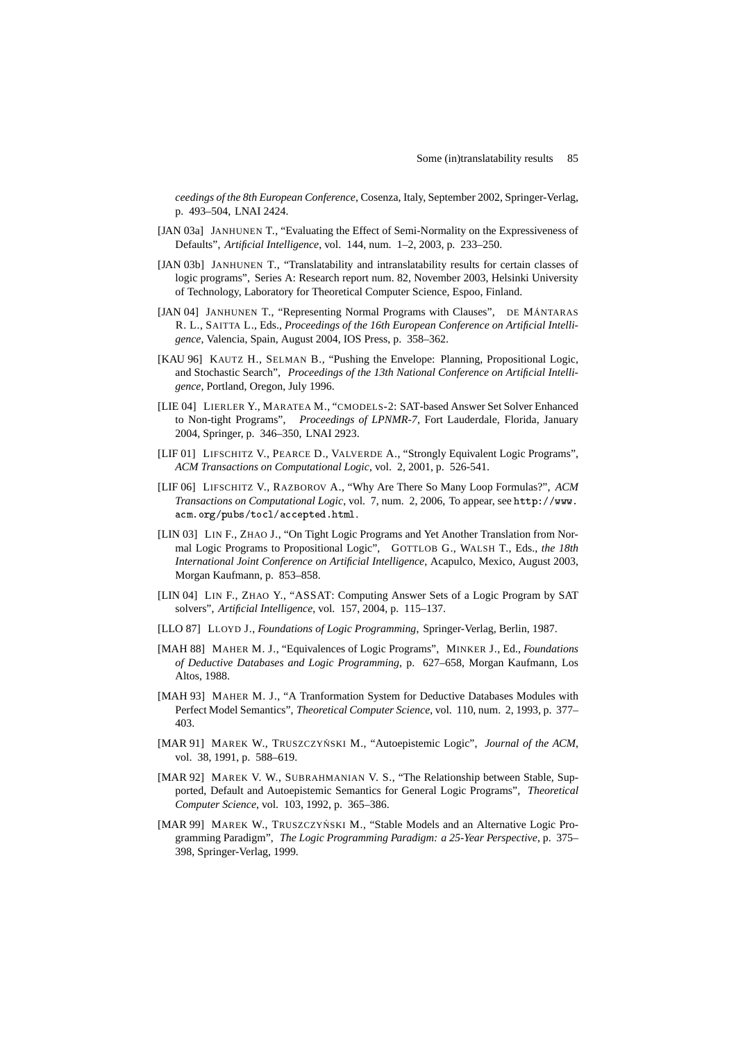*ceedings of the 8th European Conference*, Cosenza, Italy, September 2002, Springer-Verlag, p. 493–504, LNAI 2424.

- [JAN 03a] JANHUNEN T., "Evaluating the Effect of Semi-Normality on the Expressiveness of Defaults", *Artificial Intelligence*, vol. 144, num. 1–2, 2003, p. 233–250.
- [JAN 03b] JANHUNEN T., "Translatability and intranslatability results for certain classes of logic programs", Series A: Research report num. 82, November 2003, Helsinki University of Technology, Laboratory for Theoretical Computer Science, Espoo, Finland.
- [JAN 04] JANHUNEN T., "Representing Normal Programs with Clauses", DE MÁNTARAS R. L., SAITTA L., Eds., *Proceedings of the 16th European Conference on Artificial Intelligence*, Valencia, Spain, August 2004, IOS Press, p. 358–362.
- [KAU 96] KAUTZ H., SELMAN B., "Pushing the Envelope: Planning, Propositional Logic, and Stochastic Search", *Proceedings of the 13th National Conference on Artificial Intelligence*, Portland, Oregon, July 1996.
- [LIE 04] LIERLER Y., MARATEA M., "CMODELS-2: SAT-based Answer Set Solver Enhanced to Non-tight Programs", *Proceedings of LPNMR-7*, Fort Lauderdale, Florida, January 2004, Springer, p. 346–350, LNAI 2923.
- [LIF 01] LIFSCHITZ V., PEARCE D., VALVERDE A., "Strongly Equivalent Logic Programs", *ACM Transactions on Computational Logic*, vol. 2, 2001, p. 526-541.
- [LIF 06] LIFSCHITZ V., RAZBOROV A., "Why Are There So Many Loop Formulas?", *ACM Transactions on Computational Logic*, vol. 7, num. 2, 2006, To appear, see http://www. acm.org/pubs/tocl/accepted.html.
- [LIN 03] LIN F., ZHAO J., "On Tight Logic Programs and Yet Another Translation from Normal Logic Programs to Propositional Logic", GOTTLOB G., WALSH T., Eds., *the 18th International Joint Conference on Artificial Intelligence*, Acapulco, Mexico, August 2003, Morgan Kaufmann, p. 853–858.
- [LIN 04] LIN F., ZHAO Y., "ASSAT: Computing Answer Sets of a Logic Program by SAT solvers", *Artificial Intelligence*, vol. 157, 2004, p. 115–137.
- [LLO 87] LLOYD J., *Foundations of Logic Programming*, Springer-Verlag, Berlin, 1987.
- [MAH 88] MAHER M. J., "Equivalences of Logic Programs", MINKER J., Ed., *Foundations of Deductive Databases and Logic Programming*, p. 627–658, Morgan Kaufmann, Los Altos, 1988.
- [MAH 93] MAHER M. J., "A Tranformation System for Deductive Databases Modules with Perfect Model Semantics", *Theoretical Computer Science*, vol. 110, num. 2, 1993, p. 377– 403.
- [MAR 91] MAREK W., TRUSZCZYŃSKI M., "Autoepistemic Logic", *Journal of the ACM*, vol. 38, 1991, p. 588–619.
- [MAR 92] MAREK V. W., SUBRAHMANIAN V. S., "The Relationship between Stable, Supported, Default and Autoepistemic Semantics for General Logic Programs", *Theoretical Computer Science*, vol. 103, 1992, p. 365–386.
- [MAR 99] MAREK W., TRUSZCZYŃSKI M., "Stable Models and an Alternative Logic Programming Paradigm", *The Logic Programming Paradigm: a 25-Year Perspective*, p. 375– 398, Springer-Verlag, 1999.